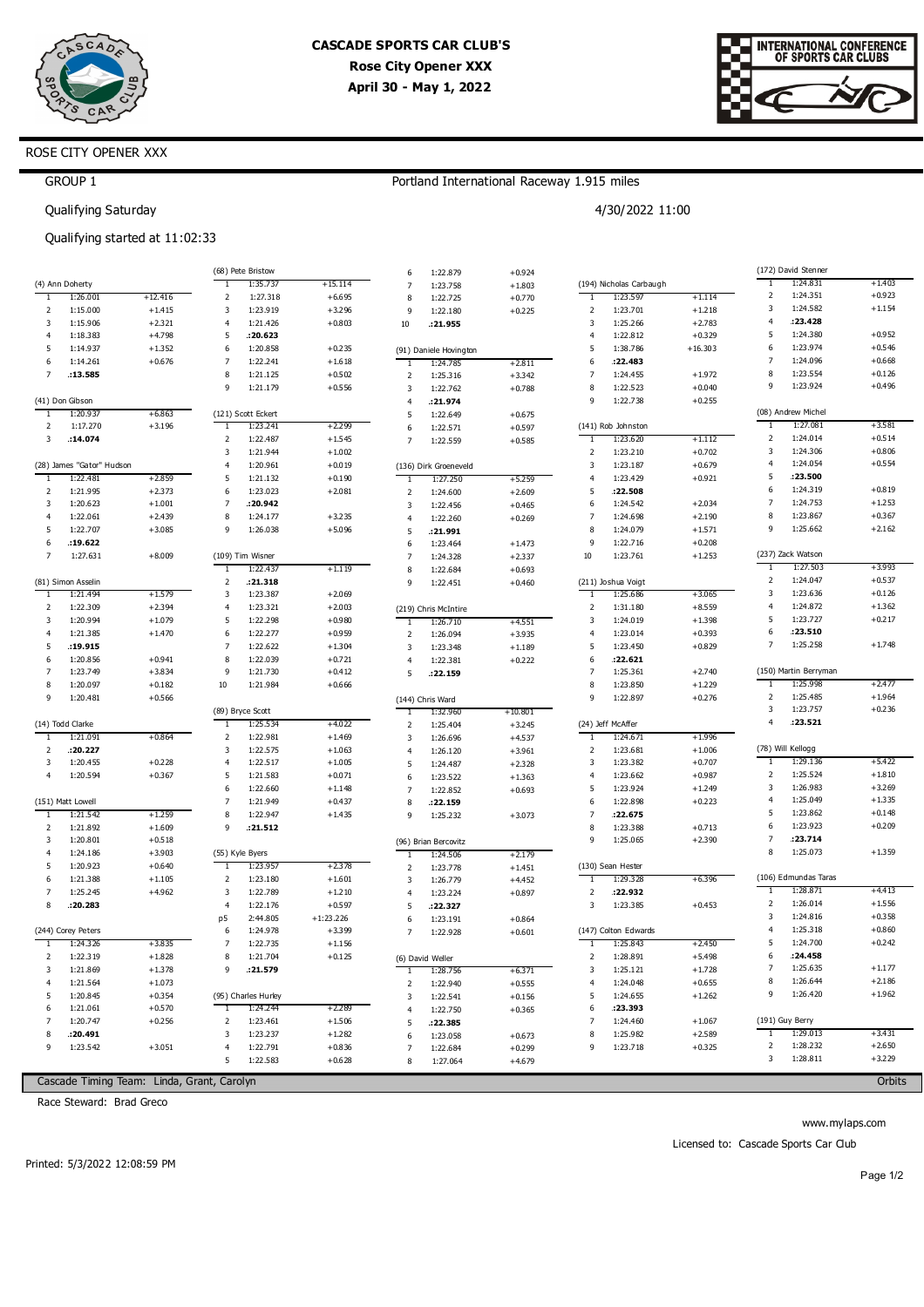



# ROSE CITY OPENER XXX

GROUP 1

## Portland International Raceway 1.915 miles

4/30/2022 11:00

Qualifying Saturday

Qualifying started at 11:02:33

|                |                           |                                            |                | (68) Pete Bristow   |             | 6              | 1:22.879               | $+0.924$  |                         |                         |           |                | (172) David Stenner   |          |
|----------------|---------------------------|--------------------------------------------|----------------|---------------------|-------------|----------------|------------------------|-----------|-------------------------|-------------------------|-----------|----------------|-----------------------|----------|
|                | (4) Ann Doherty           |                                            | ٦.             | 1:35.737            | +15.114     | $\overline{7}$ | 1:23.758               | $+1.803$  |                         | (194) Nicholas Carbaugh |           | ٦.             | 1:24.831              | $+1.403$ |
| -1             | 1:26.001                  | $+12.416$                                  | $\mathbf 2$    | 1:27.318            | $+6.695$    | 8              | 1:22.725               | $+0.770$  | -1                      | 1:23.597                | $+1.114$  | $\overline{2}$ | 1:24.351              | $+0.923$ |
| 2              | 1:15.000                  | $+1.415$                                   | 3              | 1:23.919            | $+3.296$    | 9              | 1:22.180               | $+0.225$  | $\overline{2}$          | 1:23.701                | $+1.218$  | 3              | 1:24.582              | $+1.154$ |
| 3              | 1:15.906                  | $+2.321$                                   | $\overline{4}$ | 1:21.426            | $+0.803$    | 10             | .21.955                |           | 3                       | 1:25.266                | $+2.783$  | 4              | :23.428               |          |
| $\overline{4}$ | 1:18.383                  | $+4.798$                                   | 5              | .20.623             |             |                |                        |           | $\overline{4}$          | 1:22.812                | $+0.329$  | 5              | 1:24.380              | $+0.952$ |
| 5              | 1:14.937                  | $+1.352$                                   | 6              | 1:20.858            | $+0.235$    |                | (91) Daniele Hovington |           | 5                       | 1:38.786                | $+16.303$ | 6              | 1:23.974              | $+0.546$ |
| 6              | 1:14.261                  | $+0.676$                                   | 7              | 1:22.241            | $+1.618$    |                | 1:24.785               | $+2.811$  | 6                       | :22.483                 |           | 7              | 1:24.096              | $+0.668$ |
| $\overline{7}$ | .13.585                   |                                            | 8              | 1:21.125            | $+0.502$    | $\mathbf 2$    | 1:25.316               | $+3.342$  | $\overline{7}$          | 1:24.455                | $+1.972$  | 8              | 1:23.554              | $+0.126$ |
|                |                           |                                            | 9              | 1:21.179            | $+0.556$    | $\overline{3}$ | 1:22.762               | $+0.788$  | 8                       | 1:22.523                | $+0.040$  | 9              | 1:23.924              | $+0.496$ |
|                | (41) Don Gibson           |                                            |                |                     |             | $\overline{4}$ | :21.974                |           | 9                       | 1:22.738                | $+0.255$  |                |                       |          |
| -1             | 1:20.937                  | $+6.863$                                   |                | (121) Scott Eckert  |             | 5              | 1:22.649               | $+0.675$  |                         |                         |           |                | (08) Andrew Michel    |          |
| 2              | 1:17.270                  | $+3.196$                                   | -1             | 1:23.241            | $+2.299$    | 6              | 1:22.571               | $+0.597$  |                         | (141) Rob Johnston      |           | 1              | 1:27.081              | $+3.581$ |
| 3              | .14.074                   |                                            | $\overline{2}$ | 1:22.487            | $+1.545$    | $\overline{7}$ | 1:22.559               | $+0.585$  | 1                       | 1:23.620                | $+1.112$  | 2              | 1:24.014              | $+0.514$ |
|                |                           |                                            | 3              | 1:21.944            | $+1.002$    |                |                        |           | $\overline{\mathbf{2}}$ | 1:23.210                | $+0.702$  | 3              | 1:24.306              | $+0.806$ |
|                | (28) James "Gator" Hudson |                                            | $\overline{4}$ | 1:20.961            | $+0.019$    |                | (136) Dirk Groeneveld  |           | $\overline{\mathbf{3}}$ | 1:23.187                | $+0.679$  | $\overline{4}$ | 1:24.054              | $+0.554$ |
| $\overline{1}$ | 1:22.481                  | $+2.859$                                   | 5              | 1:21.132            | $+0.190$    | 1              | 1:27.250               | $+5.259$  | $\overline{4}$          | 1:23.429                | $+0.921$  | 5              | :23.500               |          |
| 2              | 1:21.995                  | $+2.373$                                   | 6              | 1:23.023            | $+2.081$    | $\overline{2}$ | 1:24.600               | $+2.609$  | 5                       | :22.508                 |           | 6              | 1:24.319              | $+0.819$ |
| 3              | 1:20.623                  | $+1.001$                                   | 7              | :20.942             |             | $\overline{3}$ | 1:22.456               | $+0.465$  | 6                       | 1:24.542                | $+2.034$  | 7              | 1:24.753              | $+1.253$ |
| $\overline{4}$ | 1:22.061                  | $+2.439$                                   | 8              | 1:24.177            | $+3.235$    | $\overline{4}$ | 1:22.260               | $+0.269$  | $\overline{7}$          | 1:24.698                | $+2.190$  | 8              | 1:23.867              | $+0.367$ |
| 5              | 1:22.707                  | $+3.085$                                   | 9              | 1:26.038            | $+5.096$    | 5              | :21.991                |           | 8                       | 1:24.079                | $+1.571$  | 9              | 1:25.662              | $+2.162$ |
| 6              | :19.622                   |                                            |                |                     |             | 6              | 1:23.464               | $+1.473$  | 9                       | 1:22.716                | $+0.208$  |                |                       |          |
| $\overline{7}$ | 1:27.631                  | $+8.009$                                   |                | (109) Tim Wisner    |             | $\overline{7}$ | 1:24.328               | $+2.337$  | 10                      | 1:23.761                | $+1.253$  |                | (237) Zack Watson     |          |
|                |                           |                                            | T              | 1:22.437            | $+1.119$    | 8              | 1:22.684               | $+0.693$  |                         |                         |           | -1             | 1:27.503              | $+3.993$ |
|                | (81) Simon Asselin        |                                            | $\overline{2}$ | .21.318             |             | 9              | 1:22.451               | $+0.460$  |                         | (211) Joshua Voigt      |           | 2              | 1:24.047              | $+0.537$ |
| $\overline{1}$ | 1:21.494                  | $+1.579$                                   | 3              | 1:23.387            | $+2.069$    |                |                        |           | 1                       | 1:25.686                | $+3.065$  | 3              | 1:23.636              | $+0.126$ |
| 2              | 1:22.309                  | $+2.394$                                   | $\overline{4}$ | 1:23.321            | $+2.003$    |                | (219) Chris McIntire   |           | $\overline{\mathbf{2}}$ | 1:31.180                | $+8.559$  | $\overline{4}$ | 1:24.872              | $+1.362$ |
| 3              | 1:20.994                  | $+1.079$                                   | 5              | 1:22.298            | $+0.980$    | -1             | 1:26.710               | $+4.551$  | 3                       | 1:24.019                | $+1.398$  | 5              | 1:23.727              | $+0.217$ |
| $\overline{4}$ | 1:21.385                  | $+1.470$                                   | 6              | 1:22.277            | $+0.959$    | $\overline{2}$ | 1:26.094               | $+3.935$  | $\overline{4}$          | 1:23.014                | $+0.393$  | 6              | :23.510               |          |
| 5              | .19.915                   |                                            | $\overline{7}$ | 1:22.622            | $+1.304$    | 3              | 1:23.348               | $+1.189$  | 5                       | 1:23.450                | $+0.829$  | 7              | 1:25.258              | $+1.748$ |
| 6              | 1:20.856                  | $+0.941$                                   | 8              | 1:22.039            | $+0.721$    | $\overline{4}$ | 1:22.381               | $+0.222$  | 6                       | :22.621                 |           |                |                       |          |
| $\overline{7}$ | 1:23.749                  | $+3.834$                                   | 9              | 1:21.730            | $+0.412$    | 5              | .22.159                |           | $\overline{7}$          | 1:25.361                | $+2.740$  |                | (150) Martin Berryman |          |
| 8              | 1:20.097                  | $+0.182$                                   | 10             | 1:21.984            | $+0.666$    |                |                        |           | 8                       | 1:23.850                | $+1.229$  | $\mathbf{1}$   | 1:25.998              | $+2.477$ |
| 9              | 1:20.481                  | $+0.566$                                   |                |                     |             |                | (144) Chris Ward       |           | 9                       | 1:22.897                | $+0.276$  | $\overline{2}$ | 1:25.485              | $+1.964$ |
|                |                           |                                            |                | (89) Bryce Scott    |             | 1              | 1:32.960               | $+10.801$ |                         |                         |           | 3              | 1:23.757              | $+0.236$ |
|                | (14) Todd Clarke          |                                            | -1             | 1:25.534            | $+4.022$    | 2              | 1:25.404               | $+3.245$  |                         | (24) Jeff McAffer       |           | $\overline{4}$ | : 23.521              |          |
| -1             | 1:21.091                  | $+0.864$                                   | 2              | 1:22.981            | $+1.469$    | $\overline{3}$ | 1:26.696               | $+4.537$  | -1                      | 1:24.671                | $+1.996$  |                |                       |          |
| $\overline{2}$ | :20.227                   |                                            | 3              | 1:22.575            | $+1.063$    | $\overline{4}$ | 1:26.120               | $+3.961$  | $\overline{\mathbf{2}}$ | 1:23.681                | $+1.006$  |                | (78) Will Kellogg     |          |
| 3              | 1:20.455                  | $+0.228$                                   | $\overline{4}$ | 1:22.517            | $+1.005$    | 5              | 1:24.487               | $+2.328$  | 3                       | 1:23.382                | $+0.707$  | 1              | 1:29.136              | $+5.422$ |
| $\overline{4}$ | 1:20.594                  | $+0.367$                                   | 5              | 1:21.583            | $+0.071$    | 6              | 1:23.522               | $+1.363$  | $\overline{4}$          | 1:23.662                | $+0.987$  | 2              | 1:25.524              | $+1.810$ |
|                |                           |                                            | 6              | 1:22.660            | $+1.148$    | $\overline{7}$ | 1:22.852               | $+0.693$  | 5                       | 1:23.924                | $+1.249$  | 3              | 1:26.983              | $+3.269$ |
|                | (151) Matt Lowell         |                                            | $\overline{7}$ | 1:21.949            | $+0.437$    | 8              | :22.159                |           | 6                       | 1:22.898                | $+0.223$  | 4              | 1:25.049              | $+1.335$ |
| -1             | 1:21.542                  | $+1.259$                                   | 8              | 1:22.947            | $+1.435$    | 9              | 1:25.232               | $+3.073$  | $\overline{7}$          | :22.675                 |           | 5              | 1:23.862              | $+0.148$ |
| 2              | 1:21.892                  | $+1.609$                                   | 9              | .21.512             |             |                |                        |           | 8                       | 1:23.388                | $+0.713$  | 6              | 1:23.923              | $+0.209$ |
| 3              | 1:20.801                  | $+0.518$                                   |                |                     |             |                | (96) Brian Bercovitz   |           | 9                       | 1:25.065                | $+2.390$  | 7<br>8         | :23.714               |          |
| $\overline{4}$ | 1:24.186                  | $+3.903$                                   |                | (55) Kyle Byers     |             | 1              | 1:24.506               | $+2.179$  |                         |                         |           |                | 1:25.073              | $+1.359$ |
| 5              | 1:20.923                  | $+0.640$                                   | T              | 1:23.957            | $+2.378$    | $\overline{2}$ | 1:23.778               | $+1.451$  |                         | (130) Sean Hester       |           |                |                       |          |
| 6              | 1:21.388                  | $+1.105$                                   | 2              | 1:23.180            | $+1.601$    | 3              | 1:26.779               | $+4.452$  | -1                      | 1:29.328                | $+6.396$  |                | (106) Edmundas Taras  |          |
| $\overline{7}$ | 1:25.245                  | $+4.962$                                   | 3              | 1:22.789            | $+1.210$    | $\overline{4}$ | 1:23.224               | $+0.897$  | $\overline{2}$          | :22.932                 |           | 1              | 1:28.871              | $+4.413$ |
| 8              | : 20.283                  |                                            | $\overline{4}$ | 1:22.176            | $+0.597$    | 5              | :22.327                |           | 3                       | 1:23.385                | $+0.453$  | 2              | 1:26.014              | $+1.556$ |
|                |                           |                                            | p5             | 2:44.805            | $+1:23.226$ | 6              | 1:23.191               | $+0.864$  |                         |                         |           | 3              | 1:24.816              | $+0.358$ |
|                | (244) Corey Peters        |                                            | 6              | 1:24.978            | $+3.399$    | $\overline{7}$ | 1:22.928               | $+0.601$  |                         | (147) Colton Edwards    |           | $\overline{4}$ | 1:25.318              | $+0.860$ |
| $\mathbf{1}$   | 1:24.326                  | $+3.835$                                   | $\overline{7}$ | 1:22.735            | $+1.156$    |                |                        |           | 1                       | 1:25.843                | $+2.450$  | 5              | 1:24.700              | $+0.242$ |
| 2              | 1:22.319                  | $+1.828$                                   | 8              | 1:21.704            | $+0.125$    |                | (6) David Weller       |           |                         | 1:28.891                | +5.498    |                | :24.458               |          |
| 3              | 1:21.869                  | $+1.378$                                   | 9              | .21.579             |             | 1              | 1:28.756               | $+6.371$  | 3                       | 1:25.121                | $+1.728$  | 7              | 1:25.635              | $+1.177$ |
| 4              | 1:21.564                  | $+1.073$                                   |                |                     |             | 2              | 1:22.940               | $+0.555$  | $\overline{4}$          | 1:24.048                | $+0.655$  | 8              | 1:26.644              | $+2.186$ |
| 5              | 1:20.845                  | $+0.354$                                   |                | (95) Charles Hurley |             | 3              | 1:22.541               | $+0.156$  | 5                       | 1:24.655                | $+1.262$  | 9              | 1:26.420              | $+1.962$ |
| 6              | 1:21.061                  | $+0.570$                                   | -1             | 1:24.244            | +2.289      | $\overline{4}$ | 1:22.750               | $+0.365$  | 6                       | :23.393                 |           |                |                       |          |
| 7              | 1:20.747                  | $+0.256$                                   | 2              | 1:23.461            | $+1.506$    | 5              | :22.385                |           | 7                       | 1:24.460                | $+1.067$  |                | (191) Guy Berry       |          |
| 8              | : 20.491                  |                                            | 3              | 1:23.237            | $+1.282$    | 6              | 1:23.058               | $+0.673$  | 8                       | 1:25.982                | $+2.589$  | $\mathbf{1}$   | 1:29.013              | $+3.431$ |
| 9              | 1:23.542                  | $+3.051$                                   | $\overline{4}$ | 1:22.791            | $+0.836$    | $\overline{7}$ | 1:22.684               | $+0.299$  | 9                       | 1:23.718                | $+0.325$  | $\overline{2}$ | 1:28.232              | $+2.650$ |
|                |                           |                                            | 5              | 1:22.583            | $+0.628$    | 8              | 1:27.064               | $+4.679$  |                         |                         |           | 3              | 1:28.811              | $+3.229$ |
|                |                           | Cascade Timing Team: Linda, Grant, Carolyn |                |                     |             |                |                        |           |                         |                         |           |                |                       | Orbits   |

Cascade Timing Team: Linda, Grant, Carolyn

Race Steward: Brad Greco

www.mylaps.com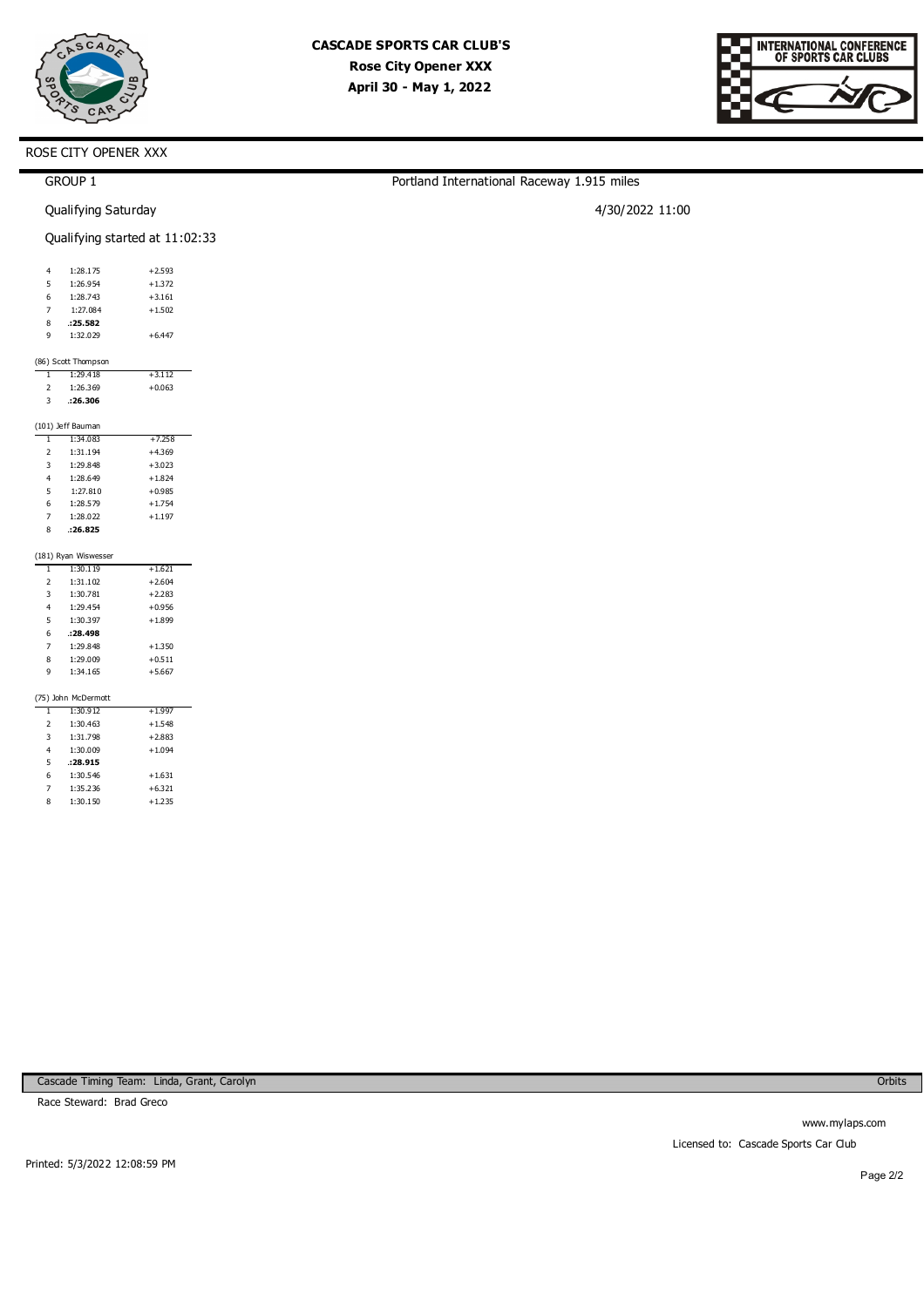



| <b>GROUP 1</b>                      |          | Portland International Raceway 1.915 miles |  |
|-------------------------------------|----------|--------------------------------------------|--|
| Qualifying Saturday                 |          | 4/30/2022 11:00                            |  |
| Qualifying started at 11:02:33      |          |                                            |  |
| 1:28.175<br>4                       | $+2.593$ |                                            |  |
| 1:26.954<br>5                       | $+1.372$ |                                            |  |
| 1:28.743<br>6                       | $+3.161$ |                                            |  |
| 7<br>1:27.084                       | $+1.502$ |                                            |  |
| 8<br>.25.582                        |          |                                            |  |
| 9<br>1:32.029                       | $+6.447$ |                                            |  |
| (86) Scott Thompson                 |          |                                            |  |
| 1:29.418<br>$\mathbf{I}$            | $+3.112$ |                                            |  |
| $\overline{\mathbf{c}}$<br>1:26.369 | $+0.063$ |                                            |  |
| 3<br>.26.306                        |          |                                            |  |
| (101) Jeff Bauman                   |          |                                            |  |
| 1:34.083<br>$\mathbf{1}$            | $+7.258$ |                                            |  |
| $\overline{2}$<br>1:31.194          | $+4.369$ |                                            |  |
| 3<br>1:29.848                       | $+3.023$ |                                            |  |
| $\overline{4}$<br>1:28.649          | $+1.824$ |                                            |  |
| 5<br>1:27.810                       | $+0.985$ |                                            |  |
| 1:28.579<br>6                       | $+1.754$ |                                            |  |
| $\overline{7}$<br>1:28.022          | $+1.197$ |                                            |  |
| .26.825<br>8                        |          |                                            |  |
| (181) Ryan Wiswesser                |          |                                            |  |
| 1:30.119<br>$\mathbf{I}$            | $+1.621$ |                                            |  |
| $\overline{\mathbf{c}}$<br>1:31.102 | $+2.604$ |                                            |  |
| 3<br>1:30.781                       | $+2.283$ |                                            |  |
| 1:29.454<br>4                       | $+0.956$ |                                            |  |
| 1:30.397<br>5                       | $+1.899$ |                                            |  |
| 6<br>.28.498                        |          |                                            |  |
| 7<br>1:29.848                       | $+1.350$ |                                            |  |
| 8<br>1:29.009                       | $+0.511$ |                                            |  |
| 9<br>1:34.165                       | $+5.667$ |                                            |  |
| (75) John McDermott                 |          |                                            |  |
| 1:30.912<br>$\mathbf{1}$            | $+1.997$ |                                            |  |
| $\overline{\mathbf{c}}$<br>1:30.463 | $+1.548$ |                                            |  |
| 3<br>1:31.798                       | $+2.883$ |                                            |  |
| 1:30.009<br>4                       | $+1.094$ |                                            |  |
| 5<br>.28.915                        |          |                                            |  |
| 6<br>1:30.546                       | $+1.631$ |                                            |  |

Cascade Timing Team: Linda, Grant, Carolyn

+6.321 +1.235

Race Steward: Brad Greco

7 8 1:35.236 1:30.150

Orbits

www.mylaps.com Licensed to: Cascade Sports Car Club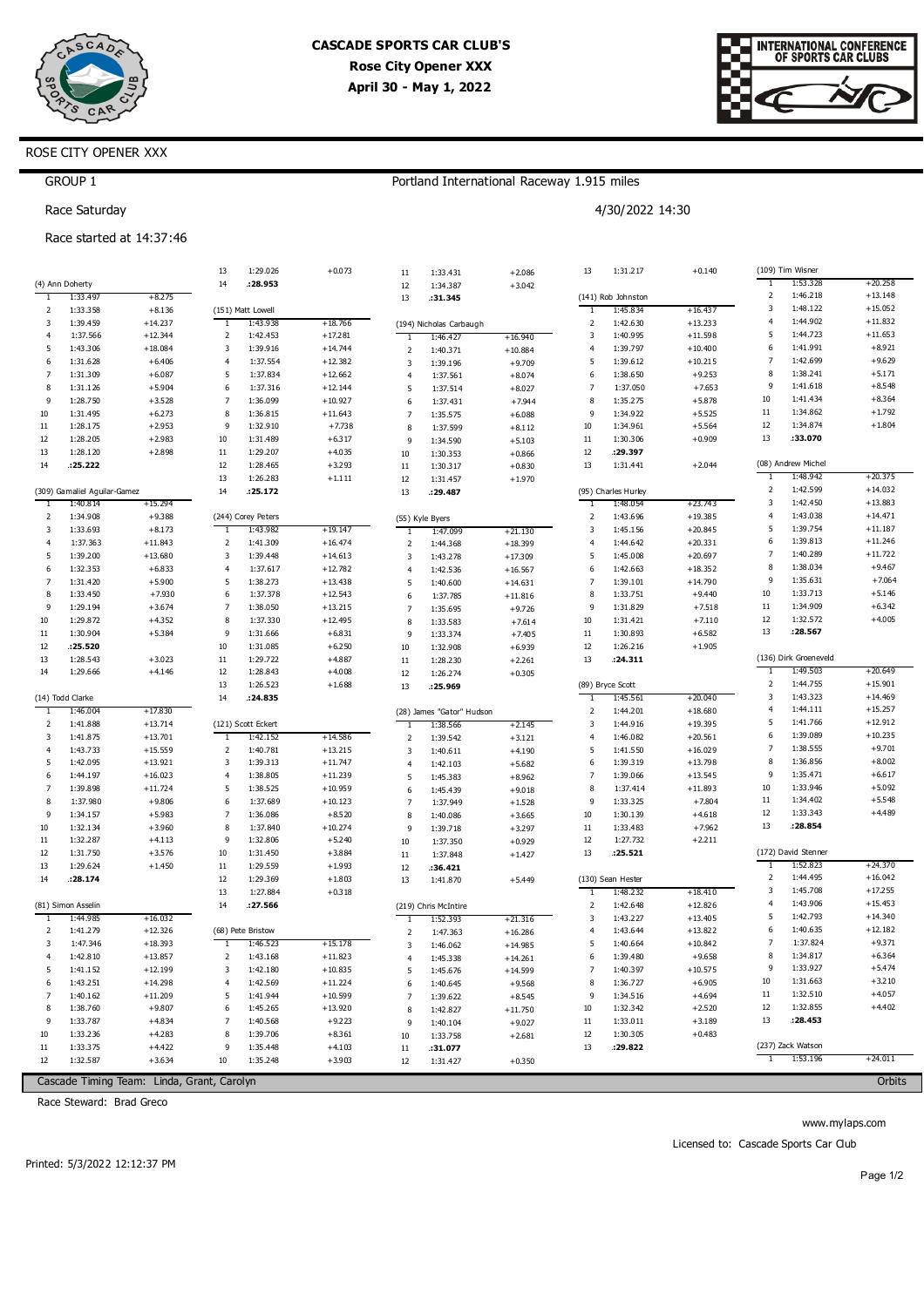



# ROSE CITY OPENER XXX

GROUP 1

## Portland International Raceway 1.915 miles

4/30/2022 14:30

Race Saturday

#### Race started at 14:37:46

| Τ<br>1:53.328<br>14<br>:28.953<br>(4) Ann Doherty<br>12<br>1:34.387<br>$+3.042$<br>$\mathbf 2$<br>1:46.218<br>$+13.148$<br>1:33.497<br>$+8.275$<br>(141) Rob Johnston<br>13<br>:31.345<br>1<br>3<br>1:48.122<br>$+15.052$<br>1:33.358<br>$+8.136$<br>1:45.834<br>$+16.437$<br>2<br>(151) Matt Lowell<br>T<br>$+11.832$<br>$\overline{4}$<br>1:44.902<br>1:39.459<br>$+14.237$<br>1:43.938<br>$\overline{\mathbf{c}}$<br>1:42.630<br>3<br>$+18.766$<br>$+13.233$<br>-1<br>(194) Nicholas Carbaugh<br>$+11.653$<br>5<br>1:44.723<br>$+12.344$<br>1:40.995<br>$+11.598$<br>$\overline{4}$<br>1:37.566<br>2<br>1:42.453<br>$+17.281$<br>3<br>1:46.427<br>T<br>$+16.940$<br>1:41.991<br>$+8.921$<br>6<br>5<br>1:43.306<br>$+18.084$<br>3<br>1:39.916<br>$+14.744$<br>4<br>1:39.797<br>$+10.400$<br>$\overline{2}$<br>1:40.371<br>$+10.884$<br>$\overline{7}$<br>1:42.699<br>$+9.629$<br>1:31.628<br>1:37.554<br>$+12.382$<br>5<br>1:39.612<br>$+10.215$<br>6<br>$+6.406$<br>$\overline{4}$<br>3<br>1:39.196<br>$+9.709$<br>8<br>$+5.171$<br>1:38.241<br>$+9.253$<br>7<br>1:31.309<br>$+6.087$<br>5<br>1:37.834<br>$+12.662$<br>6<br>1:38.650<br>$\overline{4}$<br>1:37.561<br>$+8.074$<br>$+8.548$<br>9<br>1:41.618<br>1:31.126<br>$\overline{7}$<br>1:37.050<br>$+7.653$<br>8<br>$+5.904$<br>6<br>1:37.316<br>$+12.144$<br>5<br>1:37.514<br>$+8.027$<br>10<br>1:41.434<br>$+8.364$<br>1:28.750<br>$\overline{7}$<br>$+10.927$<br>8<br>$+5.878$<br>9<br>$+3.528$<br>1:36.099<br>1:35.275<br>6<br>1:37.431<br>$+7.944$<br>$+1.792$<br>11<br>1:34.862<br>8<br>9<br>10<br>1:31.495<br>$+6.273$<br>1:36.815<br>$+11.643$<br>1:34.922<br>$+5.525$<br>$\overline{7}$<br>1:35.575<br>$+6.088$<br>12<br>$+1.804$<br>1:34.874<br>1:28.175<br>$+2.953$<br>9<br>$+7.738$<br>1:34.961<br>11<br>1:32.910<br>10<br>$+5.564$<br>8<br>1:37.599<br>$+8.112$<br>13<br>:33.070<br>1:28.205<br>$+2.983$<br>$+6.317$<br>$+0.909$<br>12<br>10<br>1:31.489<br>11<br>1:30.306<br>9<br>1:34.590<br>$+5.103$<br>12<br>13<br>1:28.120<br>$+2.898$<br>11<br>1:29.207<br>$+4.035$<br>:29.397<br>10<br>1:30.353<br>$+0.866$<br>(08) Andrew Michel<br>12<br>13<br>14<br>.25.222<br>1:28.465<br>$+3.293$<br>1:31.441<br>$+2.044$<br>11<br>1:30.317<br>$+0.830$<br>1:48.942<br>$+20.375$<br>13<br>$+1.111$<br>1<br>1:26.283<br>12<br>1:31.457<br>$+1.970$<br>$+14.032$<br>2<br>1:42.599<br>14<br>(309) Gamaliel Aguilar-Gamez<br>:25.172<br>(95) Charles Hurley<br>13<br>:29.487<br>3<br>1:42.450<br>$+13.883$<br>1:40.814<br>$+15.294$<br>1:48.054<br>$+23.743$<br>1<br>-1<br>$+14.471$<br>$\overline{4}$<br>1:43.038<br>$\overline{\mathbf{c}}$<br>$+19.385$<br>2<br>1:34.908<br>$+9.388$<br>(244) Corey Peters<br>1:43.696<br>(55) Kyle Byers<br>1:39.754<br>$+11.187$<br>5<br>3<br>3<br>1:33.693<br>$+8.173$<br>1:43.982<br>$+19.147$<br>1:45.156<br>$+20.845$<br>1<br>1:47.099<br>$+21.130$<br>1<br>$+11.246$<br>6<br>1:39.813<br>1:37.363<br>$+11.843$<br>$+16.474$<br>1:44.642<br>$+20.331$<br>$\overline{4}$<br>2<br>1:41.309<br>$\overline{4}$<br>$\overline{2}$<br>1:44.368<br>$+18.399$<br>7<br>1:40.289<br>$+11.722$<br>1:39.200<br>3<br>5<br>1:45.008<br>$+20.697$<br>5<br>$+13.680$<br>1:39.448<br>$+14.613$<br>3<br>1:43.278<br>$+17.309$<br>8<br>1:38.034<br>$+9.467$<br>1:32.353<br>$+6.833$<br>$+12.782$<br>6<br>1:42.663<br>$+18.352$<br>6<br>4<br>1:37.617<br>$\overline{4}$<br>$+16.567$<br>1:42.536<br>1:35.631<br>$+7.064$<br>9<br>7<br>1:31.420<br>$+5.900$<br>5<br>1:38.273<br>$+13.438$<br>$\overline{7}$<br>1:39.101<br>$+14.790$<br>5<br>1:40.600<br>$+14.631$<br>10<br>1:33.713<br>$+5.146$<br>8<br>1:33.450<br>$+7.930$<br>6<br>1:37.378<br>$+12.543$<br>8<br>1:33.751<br>$+9.440$<br>6<br>1:37.785<br>$+11.816$<br>1:34.909<br>$+6.342$<br>11<br>$\overline{7}$<br>9<br>1:29.194<br>$+3.674$<br>1:38.050<br>$+13.215$<br>9<br>1:31.829<br>$+7.518$<br>$\overline{7}$<br>1:35.695<br>$+9.726$<br>12<br>1:32.572<br>$+4.005$<br>1:29.872<br>$+4.352$<br>8<br>1:37.330<br>$+12.495$<br>10<br>$+7.110$<br>10<br>1:31.421<br>8<br>1:33.583<br>$+7.614$<br>13<br>:28.567<br>1:30.904<br>$+5.384$<br>9<br>$+6.831$<br>$11\,$<br>1:30.893<br>$+6.582$<br>11<br>1:31.666<br>9<br>1:33.374<br>$+7.405$<br>12<br>: 25.520<br>10<br>1:31.085<br>$+6.250$<br>12<br>1:26.216<br>$+1.905$<br>10<br>1:32.908<br>$+6.939$<br>(136) Dirk Groeneveld<br>1:28.543<br>13<br>: 24.311<br>13<br>$+3.023$<br>11<br>1:29.722<br>$+4.887$<br>$11\,$<br>1:28.230<br>$+2.261$<br>1:49.503<br>$+20.649$<br>1:29.666<br>12<br>1<br>14<br>$+4.146$<br>1:28.843<br>$+4.008$<br>12<br>1:26.274<br>$+0.305$<br>$\overline{2}$<br>1:44.755<br>$+15.901$<br>13<br>1:26.523<br>$+1.688$<br>(89) Bryce Scott<br>13<br>.25.969<br>1:43.323<br>$+14.469$<br>3<br>14<br>(14) Todd Clarke<br>:24.835<br>1:45.561<br>$+20.040$<br>1<br>$+15.257$<br>$\overline{4}$<br>1:44.111<br>$+17.830$<br>$\overline{2}$<br>1:44.201<br>$+18.680$<br>1:46.004<br>-1<br>(28) James "Gator" Hudson<br>5<br>1:41.766<br>$+12.912$<br>2<br>1:41.888<br>$+13.714$<br>(121) Scott Eckert<br>3<br>1:44.916<br>$+19.395$<br>1:38.566<br>$+2.145$<br>6<br>1:39.089<br>$+10.235$<br>$+13.701$<br>1:42.152<br>$\overline{4}$<br>1:46.082<br>$+20.561$<br>3<br>1:41.875<br>$+14.586$<br>$\overline{1}$<br>$\overline{2}$<br>1:39.542<br>$+3.121$<br>$+9.701$<br>7<br>1:38.555<br>1:43.733<br>$+15.559$<br>$+13.215$<br>5<br>$+16.029$<br>$\overline{4}$<br>2<br>1:40.781<br>1:41.550<br>3<br>1:40.611<br>$+4.190$<br>$+8.002$<br>8<br>1:36.856<br>1:42.095<br>3<br>6<br>1:39.319<br>5<br>$+13.921$<br>1:39.313<br>$+11.747$<br>$+13.798$<br>$+5.682$<br>$\overline{4}$<br>1:42.103<br>$+6.617$<br>9<br>1:35.471<br>1:44.197<br>$+16.023$<br>$+11.239$<br>1:39.066<br>$+13.545$<br>6<br>4<br>1:38.805<br>7<br>5<br>1:45.383<br>$+8.962$<br>10<br>1:33.946<br>$+5.092$<br>$\overline{7}$<br>1:39.898<br>5<br>$+10.959$<br>8<br>1:37.414<br>$+11.893$<br>$+11.724$<br>1:38.525<br>6<br>1:45.439<br>$+9.018$<br>$+5.548$<br>11<br>1:34.402<br>8<br>1:37.980<br>$+9.806$<br>$+10.123$<br>9<br>1:33.325<br>$+7.804$<br>6<br>1:37.689<br>$\overline{7}$<br>1:37.949<br>$+1.528$<br>1:33.343<br>$+4.489$<br>12<br>9<br>1:34.157<br>$+5.983$<br>7<br>1:36.086<br>$+8.520$<br>10<br>1:30.139<br>$+4.618$<br>8<br>1:40.086<br>$+3.665$<br>13<br>:28.854<br>1:32.134<br>$+3.960$<br>8<br>1:37.840<br>$+10.274$<br>1:33.483<br>$+7.962$<br>10<br>11<br>9<br>1:39.718<br>$+3.297$<br>$+2.211$<br>11<br>1:32.287<br>$+4.113$<br>9<br>1:32.806<br>$+5.240$<br>12<br>1:27.732<br>10<br>1:37.350<br>$+0.929$<br>(172) David Stenner<br>13<br>: 25.521<br>12<br>1:31.750<br>$+3.576$<br>10<br>$+3.884$<br>1:31.450<br>$11\,$<br>1:37.848<br>$+1.427$<br>1:52.823<br>$+24.370$<br>$+1.450$<br>1<br>13<br>1:29.624<br>11<br>1:29.559<br>$+1.993$<br>12<br>:36.421<br>1:44.495<br>$+16.042$<br>$\overline{2}$<br>: 28.174<br>14<br>12<br>1:29.369<br>$+1.803$<br>13<br>(130) Sean Hester<br>1:41.870<br>$+5.449$<br>3<br>1:45.708<br>$+17.255$<br>13<br>$+0.318$<br>1:48.232<br>1:27.884<br>$+18.410$<br>Τ<br>$\overline{4}$<br>1:43.906<br>$+15.453$<br>$\overline{\mathbf{c}}$<br>$+12.826$<br>14<br>:27.566<br>1:42.648<br>(81) Simon Asselin<br>(219) Chris McIntire<br>1:42.793<br>5<br>$+14.340$<br>3<br>1:43.227<br>$+13.405$<br>1:44.985<br>$+16.032$<br>1:52.393<br>$+21.316$<br>-1<br>1<br>1:40.635<br>$+12.182$<br>6<br>2<br>1:41.279<br>$+12.326$<br>(68) Pete Bristow<br>$\overline{4}$<br>1:43.644<br>$+13.822$<br>$\overline{2}$<br>1:47.363<br>$+16.286$<br>$+9.371$<br>$\overline{7}$<br>1:37.824<br>1:47.346<br>$+18.393$<br>1:46.523<br>$+15.178$<br>5<br>1:40.664<br>$+10.842$<br>3<br>1<br>3<br>1:46.062<br>$+14.985$<br>8<br>1:34.817<br>$+6.364$<br>$+11.823$<br>1:42.810<br>$+13.857$<br>2<br>1:43.168<br>6<br>1:39.480<br>$+9.658$<br>$\overline{4}$<br>1:45.338<br>$+14.261$<br>1:33.927<br>$+5.474$<br>9<br>1:41.152<br>$+10.835$<br>7<br>$+12.199$<br>3<br>1:42.180<br>1:40.397<br>$+10.575$<br>5<br>5<br>$+14.599$<br>1:45.676<br>$+3.210$<br>10<br>1:31.663<br>1:43.251<br>$+14.298$<br>8<br>1:36.727<br>$+6.905$<br>6<br>4<br>1:42.569<br>$+11.224$<br>6<br>1:40.645<br>$+9.568$<br>1:32.510<br>$+4.057$<br>$11\,$<br>1:40.162<br>$+10.599$<br>9<br>1:34.516<br>$+11.209$<br>5<br>1:41.944<br>$+4.694$<br>7<br>$\overline{7}$<br>$+8.545$<br>1:39.622<br>1:32.855<br>$+4.402$<br>12<br>1:38.760<br>$+9.807$<br>$+13.920$<br>1:32.342<br>$+2.520$<br>8<br>1:45.265<br>10<br>6<br>8<br>1:42.827<br>$+11.750$<br>.28.453<br>13<br>1:33.787<br>7<br>$+9.223$<br>1:33.011<br>9<br>$+4.834$<br>1:40.568<br>$11\,$<br>$+3.189$<br>9<br>$+9.027$<br>1:40.104<br>1:33.236<br>$+4.283$<br>$+8.361$<br>12<br>1:30.305<br>$+0.483$<br>10<br>8<br>1:39.706<br>10<br>1:33.758<br>$+2.681$<br>(237) Zack Watson<br>13<br>11<br>1:33.375<br>$+4.422$<br>9<br>1:35.448<br>$+4.103$<br>:29.822<br>$11\,$<br>:31.077<br>1:53.196<br>$+24.011$<br>$\overline{1}$<br>12<br>1:32.587<br>$+3.634$<br>$10\,$<br>1:35.248<br>$+3.903$<br>12<br>1:31.427<br>$+0.350$<br>Cascade Timing Team: Linda, Grant, Carolyn<br>Orbits |  | 13 | 1:29.026 | $+0.073$ | $11\,$ | 1:33.431 | $+2.086$ | 13 | 1:31.217 | $+0.140$ | (109) Tim Wisner |           |
|------------------------------------------------------------------------------------------------------------------------------------------------------------------------------------------------------------------------------------------------------------------------------------------------------------------------------------------------------------------------------------------------------------------------------------------------------------------------------------------------------------------------------------------------------------------------------------------------------------------------------------------------------------------------------------------------------------------------------------------------------------------------------------------------------------------------------------------------------------------------------------------------------------------------------------------------------------------------------------------------------------------------------------------------------------------------------------------------------------------------------------------------------------------------------------------------------------------------------------------------------------------------------------------------------------------------------------------------------------------------------------------------------------------------------------------------------------------------------------------------------------------------------------------------------------------------------------------------------------------------------------------------------------------------------------------------------------------------------------------------------------------------------------------------------------------------------------------------------------------------------------------------------------------------------------------------------------------------------------------------------------------------------------------------------------------------------------------------------------------------------------------------------------------------------------------------------------------------------------------------------------------------------------------------------------------------------------------------------------------------------------------------------------------------------------------------------------------------------------------------------------------------------------------------------------------------------------------------------------------------------------------------------------------------------------------------------------------------------------------------------------------------------------------------------------------------------------------------------------------------------------------------------------------------------------------------------------------------------------------------------------------------------------------------------------------------------------------------------------------------------------------------------------------------------------------------------------------------------------------------------------------------------------------------------------------------------------------------------------------------------------------------------------------------------------------------------------------------------------------------------------------------------------------------------------------------------------------------------------------------------------------------------------------------------------------------------------------------------------------------------------------------------------------------------------------------------------------------------------------------------------------------------------------------------------------------------------------------------------------------------------------------------------------------------------------------------------------------------------------------------------------------------------------------------------------------------------------------------------------------------------------------------------------------------------------------------------------------------------------------------------------------------------------------------------------------------------------------------------------------------------------------------------------------------------------------------------------------------------------------------------------------------------------------------------------------------------------------------------------------------------------------------------------------------------------------------------------------------------------------------------------------------------------------------------------------------------------------------------------------------------------------------------------------------------------------------------------------------------------------------------------------------------------------------------------------------------------------------------------------------------------------------------------------------------------------------------------------------------------------------------------------------------------------------------------------------------------------------------------------------------------------------------------------------------------------------------------------------------------------------------------------------------------------------------------------------------------------------------------------------------------------------------------------------------------------------------------------------------------------------------------------------------------------------------------------------------------------------------------------------------------------------------------------------------------------------------------------------------------------------------------------------------------------------------------------------------------------------------------------------------------------------------------------------------------------------------------------------------------------------------------------------------------------------------------------------------------------------------------------------------------------------------------------------------------------------------------------------------------------------------------------------------------------------------------------------------------------------------------------------------------------------------------------------------------------------------------------------------------------------------------------------------------------------------------------------------------------------------------------------------------------------------------------------------------------------------------------------------------------------------------------------------------------------------------------------------------------------------------------------------------------------------------------------------------------------------------------------------------------------------------------------------------------------------------------------------------------------------------------------------------------------------------------------------------------------------------------------------------------------------------------------------------------------------------------------------------------------------------------------------------------------------------------------------------------------------------------------------------------------------------------------------------------------------------------------------------------------------------------------------------------------------------------------------------------------------------------------------------------------------------------------------------------------------------------------------------------------------------------------------------------------------------------------------------------------------------------------------------------------------------------------------------------------------------------------------------------------------------------------------------------------------------------------------------------------------------------------------------------------------------------------------------------------------------------------------------------------------------------------------------------------------------------------------------------------------------------------------------------------------------------------------------------------------------------------------------------------------------------------------------------------------|--|----|----------|----------|--------|----------|----------|----|----------|----------|------------------|-----------|
|                                                                                                                                                                                                                                                                                                                                                                                                                                                                                                                                                                                                                                                                                                                                                                                                                                                                                                                                                                                                                                                                                                                                                                                                                                                                                                                                                                                                                                                                                                                                                                                                                                                                                                                                                                                                                                                                                                                                                                                                                                                                                                                                                                                                                                                                                                                                                                                                                                                                                                                                                                                                                                                                                                                                                                                                                                                                                                                                                                                                                                                                                                                                                                                                                                                                                                                                                                                                                                                                                                                                                                                                                                                                                                                                                                                                                                                                                                                                                                                                                                                                                                                                                                                                                                                                                                                                                                                                                                                                                                                                                                                                                                                                                                                                                                                                                                                                                                                                                                                                                                                                                                                                                                                                                                                                                                                                                                                                                                                                                                                                                                                                                                                                                                                                                                                                                                                                                                                                                                                                                                                                                                                                                                                                                                                                                                                                                                                                                                                                                                                                                                                                                                                                                                                                                                                                                                                                                                                                                                                                                                                                                                                                                                                                                                                                                                                                                                                                                                                                                                                                                                                                                                                                                                                                                                                                                                                                                                                                                                                                                                                                                                                                                                                                                                                                                                                                                                                                                                                                                                                                                                                                                                                                                                                                                                                                                                                                                                                                                                                                                                    |  |    |          |          |        |          |          |    |          |          |                  | $+20.258$ |
|                                                                                                                                                                                                                                                                                                                                                                                                                                                                                                                                                                                                                                                                                                                                                                                                                                                                                                                                                                                                                                                                                                                                                                                                                                                                                                                                                                                                                                                                                                                                                                                                                                                                                                                                                                                                                                                                                                                                                                                                                                                                                                                                                                                                                                                                                                                                                                                                                                                                                                                                                                                                                                                                                                                                                                                                                                                                                                                                                                                                                                                                                                                                                                                                                                                                                                                                                                                                                                                                                                                                                                                                                                                                                                                                                                                                                                                                                                                                                                                                                                                                                                                                                                                                                                                                                                                                                                                                                                                                                                                                                                                                                                                                                                                                                                                                                                                                                                                                                                                                                                                                                                                                                                                                                                                                                                                                                                                                                                                                                                                                                                                                                                                                                                                                                                                                                                                                                                                                                                                                                                                                                                                                                                                                                                                                                                                                                                                                                                                                                                                                                                                                                                                                                                                                                                                                                                                                                                                                                                                                                                                                                                                                                                                                                                                                                                                                                                                                                                                                                                                                                                                                                                                                                                                                                                                                                                                                                                                                                                                                                                                                                                                                                                                                                                                                                                                                                                                                                                                                                                                                                                                                                                                                                                                                                                                                                                                                                                                                                                                                                                    |  |    |          |          |        |          |          |    |          |          |                  |           |
|                                                                                                                                                                                                                                                                                                                                                                                                                                                                                                                                                                                                                                                                                                                                                                                                                                                                                                                                                                                                                                                                                                                                                                                                                                                                                                                                                                                                                                                                                                                                                                                                                                                                                                                                                                                                                                                                                                                                                                                                                                                                                                                                                                                                                                                                                                                                                                                                                                                                                                                                                                                                                                                                                                                                                                                                                                                                                                                                                                                                                                                                                                                                                                                                                                                                                                                                                                                                                                                                                                                                                                                                                                                                                                                                                                                                                                                                                                                                                                                                                                                                                                                                                                                                                                                                                                                                                                                                                                                                                                                                                                                                                                                                                                                                                                                                                                                                                                                                                                                                                                                                                                                                                                                                                                                                                                                                                                                                                                                                                                                                                                                                                                                                                                                                                                                                                                                                                                                                                                                                                                                                                                                                                                                                                                                                                                                                                                                                                                                                                                                                                                                                                                                                                                                                                                                                                                                                                                                                                                                                                                                                                                                                                                                                                                                                                                                                                                                                                                                                                                                                                                                                                                                                                                                                                                                                                                                                                                                                                                                                                                                                                                                                                                                                                                                                                                                                                                                                                                                                                                                                                                                                                                                                                                                                                                                                                                                                                                                                                                                                                                    |  |    |          |          |        |          |          |    |          |          |                  |           |
|                                                                                                                                                                                                                                                                                                                                                                                                                                                                                                                                                                                                                                                                                                                                                                                                                                                                                                                                                                                                                                                                                                                                                                                                                                                                                                                                                                                                                                                                                                                                                                                                                                                                                                                                                                                                                                                                                                                                                                                                                                                                                                                                                                                                                                                                                                                                                                                                                                                                                                                                                                                                                                                                                                                                                                                                                                                                                                                                                                                                                                                                                                                                                                                                                                                                                                                                                                                                                                                                                                                                                                                                                                                                                                                                                                                                                                                                                                                                                                                                                                                                                                                                                                                                                                                                                                                                                                                                                                                                                                                                                                                                                                                                                                                                                                                                                                                                                                                                                                                                                                                                                                                                                                                                                                                                                                                                                                                                                                                                                                                                                                                                                                                                                                                                                                                                                                                                                                                                                                                                                                                                                                                                                                                                                                                                                                                                                                                                                                                                                                                                                                                                                                                                                                                                                                                                                                                                                                                                                                                                                                                                                                                                                                                                                                                                                                                                                                                                                                                                                                                                                                                                                                                                                                                                                                                                                                                                                                                                                                                                                                                                                                                                                                                                                                                                                                                                                                                                                                                                                                                                                                                                                                                                                                                                                                                                                                                                                                                                                                                                                                    |  |    |          |          |        |          |          |    |          |          |                  |           |
|                                                                                                                                                                                                                                                                                                                                                                                                                                                                                                                                                                                                                                                                                                                                                                                                                                                                                                                                                                                                                                                                                                                                                                                                                                                                                                                                                                                                                                                                                                                                                                                                                                                                                                                                                                                                                                                                                                                                                                                                                                                                                                                                                                                                                                                                                                                                                                                                                                                                                                                                                                                                                                                                                                                                                                                                                                                                                                                                                                                                                                                                                                                                                                                                                                                                                                                                                                                                                                                                                                                                                                                                                                                                                                                                                                                                                                                                                                                                                                                                                                                                                                                                                                                                                                                                                                                                                                                                                                                                                                                                                                                                                                                                                                                                                                                                                                                                                                                                                                                                                                                                                                                                                                                                                                                                                                                                                                                                                                                                                                                                                                                                                                                                                                                                                                                                                                                                                                                                                                                                                                                                                                                                                                                                                                                                                                                                                                                                                                                                                                                                                                                                                                                                                                                                                                                                                                                                                                                                                                                                                                                                                                                                                                                                                                                                                                                                                                                                                                                                                                                                                                                                                                                                                                                                                                                                                                                                                                                                                                                                                                                                                                                                                                                                                                                                                                                                                                                                                                                                                                                                                                                                                                                                                                                                                                                                                                                                                                                                                                                                                                    |  |    |          |          |        |          |          |    |          |          |                  |           |
|                                                                                                                                                                                                                                                                                                                                                                                                                                                                                                                                                                                                                                                                                                                                                                                                                                                                                                                                                                                                                                                                                                                                                                                                                                                                                                                                                                                                                                                                                                                                                                                                                                                                                                                                                                                                                                                                                                                                                                                                                                                                                                                                                                                                                                                                                                                                                                                                                                                                                                                                                                                                                                                                                                                                                                                                                                                                                                                                                                                                                                                                                                                                                                                                                                                                                                                                                                                                                                                                                                                                                                                                                                                                                                                                                                                                                                                                                                                                                                                                                                                                                                                                                                                                                                                                                                                                                                                                                                                                                                                                                                                                                                                                                                                                                                                                                                                                                                                                                                                                                                                                                                                                                                                                                                                                                                                                                                                                                                                                                                                                                                                                                                                                                                                                                                                                                                                                                                                                                                                                                                                                                                                                                                                                                                                                                                                                                                                                                                                                                                                                                                                                                                                                                                                                                                                                                                                                                                                                                                                                                                                                                                                                                                                                                                                                                                                                                                                                                                                                                                                                                                                                                                                                                                                                                                                                                                                                                                                                                                                                                                                                                                                                                                                                                                                                                                                                                                                                                                                                                                                                                                                                                                                                                                                                                                                                                                                                                                                                                                                                                                    |  |    |          |          |        |          |          |    |          |          |                  |           |
|                                                                                                                                                                                                                                                                                                                                                                                                                                                                                                                                                                                                                                                                                                                                                                                                                                                                                                                                                                                                                                                                                                                                                                                                                                                                                                                                                                                                                                                                                                                                                                                                                                                                                                                                                                                                                                                                                                                                                                                                                                                                                                                                                                                                                                                                                                                                                                                                                                                                                                                                                                                                                                                                                                                                                                                                                                                                                                                                                                                                                                                                                                                                                                                                                                                                                                                                                                                                                                                                                                                                                                                                                                                                                                                                                                                                                                                                                                                                                                                                                                                                                                                                                                                                                                                                                                                                                                                                                                                                                                                                                                                                                                                                                                                                                                                                                                                                                                                                                                                                                                                                                                                                                                                                                                                                                                                                                                                                                                                                                                                                                                                                                                                                                                                                                                                                                                                                                                                                                                                                                                                                                                                                                                                                                                                                                                                                                                                                                                                                                                                                                                                                                                                                                                                                                                                                                                                                                                                                                                                                                                                                                                                                                                                                                                                                                                                                                                                                                                                                                                                                                                                                                                                                                                                                                                                                                                                                                                                                                                                                                                                                                                                                                                                                                                                                                                                                                                                                                                                                                                                                                                                                                                                                                                                                                                                                                                                                                                                                                                                                                                    |  |    |          |          |        |          |          |    |          |          |                  |           |
|                                                                                                                                                                                                                                                                                                                                                                                                                                                                                                                                                                                                                                                                                                                                                                                                                                                                                                                                                                                                                                                                                                                                                                                                                                                                                                                                                                                                                                                                                                                                                                                                                                                                                                                                                                                                                                                                                                                                                                                                                                                                                                                                                                                                                                                                                                                                                                                                                                                                                                                                                                                                                                                                                                                                                                                                                                                                                                                                                                                                                                                                                                                                                                                                                                                                                                                                                                                                                                                                                                                                                                                                                                                                                                                                                                                                                                                                                                                                                                                                                                                                                                                                                                                                                                                                                                                                                                                                                                                                                                                                                                                                                                                                                                                                                                                                                                                                                                                                                                                                                                                                                                                                                                                                                                                                                                                                                                                                                                                                                                                                                                                                                                                                                                                                                                                                                                                                                                                                                                                                                                                                                                                                                                                                                                                                                                                                                                                                                                                                                                                                                                                                                                                                                                                                                                                                                                                                                                                                                                                                                                                                                                                                                                                                                                                                                                                                                                                                                                                                                                                                                                                                                                                                                                                                                                                                                                                                                                                                                                                                                                                                                                                                                                                                                                                                                                                                                                                                                                                                                                                                                                                                                                                                                                                                                                                                                                                                                                                                                                                                                                    |  |    |          |          |        |          |          |    |          |          |                  |           |
|                                                                                                                                                                                                                                                                                                                                                                                                                                                                                                                                                                                                                                                                                                                                                                                                                                                                                                                                                                                                                                                                                                                                                                                                                                                                                                                                                                                                                                                                                                                                                                                                                                                                                                                                                                                                                                                                                                                                                                                                                                                                                                                                                                                                                                                                                                                                                                                                                                                                                                                                                                                                                                                                                                                                                                                                                                                                                                                                                                                                                                                                                                                                                                                                                                                                                                                                                                                                                                                                                                                                                                                                                                                                                                                                                                                                                                                                                                                                                                                                                                                                                                                                                                                                                                                                                                                                                                                                                                                                                                                                                                                                                                                                                                                                                                                                                                                                                                                                                                                                                                                                                                                                                                                                                                                                                                                                                                                                                                                                                                                                                                                                                                                                                                                                                                                                                                                                                                                                                                                                                                                                                                                                                                                                                                                                                                                                                                                                                                                                                                                                                                                                                                                                                                                                                                                                                                                                                                                                                                                                                                                                                                                                                                                                                                                                                                                                                                                                                                                                                                                                                                                                                                                                                                                                                                                                                                                                                                                                                                                                                                                                                                                                                                                                                                                                                                                                                                                                                                                                                                                                                                                                                                                                                                                                                                                                                                                                                                                                                                                                                                    |  |    |          |          |        |          |          |    |          |          |                  |           |
|                                                                                                                                                                                                                                                                                                                                                                                                                                                                                                                                                                                                                                                                                                                                                                                                                                                                                                                                                                                                                                                                                                                                                                                                                                                                                                                                                                                                                                                                                                                                                                                                                                                                                                                                                                                                                                                                                                                                                                                                                                                                                                                                                                                                                                                                                                                                                                                                                                                                                                                                                                                                                                                                                                                                                                                                                                                                                                                                                                                                                                                                                                                                                                                                                                                                                                                                                                                                                                                                                                                                                                                                                                                                                                                                                                                                                                                                                                                                                                                                                                                                                                                                                                                                                                                                                                                                                                                                                                                                                                                                                                                                                                                                                                                                                                                                                                                                                                                                                                                                                                                                                                                                                                                                                                                                                                                                                                                                                                                                                                                                                                                                                                                                                                                                                                                                                                                                                                                                                                                                                                                                                                                                                                                                                                                                                                                                                                                                                                                                                                                                                                                                                                                                                                                                                                                                                                                                                                                                                                                                                                                                                                                                                                                                                                                                                                                                                                                                                                                                                                                                                                                                                                                                                                                                                                                                                                                                                                                                                                                                                                                                                                                                                                                                                                                                                                                                                                                                                                                                                                                                                                                                                                                                                                                                                                                                                                                                                                                                                                                                                                    |  |    |          |          |        |          |          |    |          |          |                  |           |
|                                                                                                                                                                                                                                                                                                                                                                                                                                                                                                                                                                                                                                                                                                                                                                                                                                                                                                                                                                                                                                                                                                                                                                                                                                                                                                                                                                                                                                                                                                                                                                                                                                                                                                                                                                                                                                                                                                                                                                                                                                                                                                                                                                                                                                                                                                                                                                                                                                                                                                                                                                                                                                                                                                                                                                                                                                                                                                                                                                                                                                                                                                                                                                                                                                                                                                                                                                                                                                                                                                                                                                                                                                                                                                                                                                                                                                                                                                                                                                                                                                                                                                                                                                                                                                                                                                                                                                                                                                                                                                                                                                                                                                                                                                                                                                                                                                                                                                                                                                                                                                                                                                                                                                                                                                                                                                                                                                                                                                                                                                                                                                                                                                                                                                                                                                                                                                                                                                                                                                                                                                                                                                                                                                                                                                                                                                                                                                                                                                                                                                                                                                                                                                                                                                                                                                                                                                                                                                                                                                                                                                                                                                                                                                                                                                                                                                                                                                                                                                                                                                                                                                                                                                                                                                                                                                                                                                                                                                                                                                                                                                                                                                                                                                                                                                                                                                                                                                                                                                                                                                                                                                                                                                                                                                                                                                                                                                                                                                                                                                                                                                    |  |    |          |          |        |          |          |    |          |          |                  |           |
|                                                                                                                                                                                                                                                                                                                                                                                                                                                                                                                                                                                                                                                                                                                                                                                                                                                                                                                                                                                                                                                                                                                                                                                                                                                                                                                                                                                                                                                                                                                                                                                                                                                                                                                                                                                                                                                                                                                                                                                                                                                                                                                                                                                                                                                                                                                                                                                                                                                                                                                                                                                                                                                                                                                                                                                                                                                                                                                                                                                                                                                                                                                                                                                                                                                                                                                                                                                                                                                                                                                                                                                                                                                                                                                                                                                                                                                                                                                                                                                                                                                                                                                                                                                                                                                                                                                                                                                                                                                                                                                                                                                                                                                                                                                                                                                                                                                                                                                                                                                                                                                                                                                                                                                                                                                                                                                                                                                                                                                                                                                                                                                                                                                                                                                                                                                                                                                                                                                                                                                                                                                                                                                                                                                                                                                                                                                                                                                                                                                                                                                                                                                                                                                                                                                                                                                                                                                                                                                                                                                                                                                                                                                                                                                                                                                                                                                                                                                                                                                                                                                                                                                                                                                                                                                                                                                                                                                                                                                                                                                                                                                                                                                                                                                                                                                                                                                                                                                                                                                                                                                                                                                                                                                                                                                                                                                                                                                                                                                                                                                                                                    |  |    |          |          |        |          |          |    |          |          |                  |           |
|                                                                                                                                                                                                                                                                                                                                                                                                                                                                                                                                                                                                                                                                                                                                                                                                                                                                                                                                                                                                                                                                                                                                                                                                                                                                                                                                                                                                                                                                                                                                                                                                                                                                                                                                                                                                                                                                                                                                                                                                                                                                                                                                                                                                                                                                                                                                                                                                                                                                                                                                                                                                                                                                                                                                                                                                                                                                                                                                                                                                                                                                                                                                                                                                                                                                                                                                                                                                                                                                                                                                                                                                                                                                                                                                                                                                                                                                                                                                                                                                                                                                                                                                                                                                                                                                                                                                                                                                                                                                                                                                                                                                                                                                                                                                                                                                                                                                                                                                                                                                                                                                                                                                                                                                                                                                                                                                                                                                                                                                                                                                                                                                                                                                                                                                                                                                                                                                                                                                                                                                                                                                                                                                                                                                                                                                                                                                                                                                                                                                                                                                                                                                                                                                                                                                                                                                                                                                                                                                                                                                                                                                                                                                                                                                                                                                                                                                                                                                                                                                                                                                                                                                                                                                                                                                                                                                                                                                                                                                                                                                                                                                                                                                                                                                                                                                                                                                                                                                                                                                                                                                                                                                                                                                                                                                                                                                                                                                                                                                                                                                                                    |  |    |          |          |        |          |          |    |          |          |                  |           |
|                                                                                                                                                                                                                                                                                                                                                                                                                                                                                                                                                                                                                                                                                                                                                                                                                                                                                                                                                                                                                                                                                                                                                                                                                                                                                                                                                                                                                                                                                                                                                                                                                                                                                                                                                                                                                                                                                                                                                                                                                                                                                                                                                                                                                                                                                                                                                                                                                                                                                                                                                                                                                                                                                                                                                                                                                                                                                                                                                                                                                                                                                                                                                                                                                                                                                                                                                                                                                                                                                                                                                                                                                                                                                                                                                                                                                                                                                                                                                                                                                                                                                                                                                                                                                                                                                                                                                                                                                                                                                                                                                                                                                                                                                                                                                                                                                                                                                                                                                                                                                                                                                                                                                                                                                                                                                                                                                                                                                                                                                                                                                                                                                                                                                                                                                                                                                                                                                                                                                                                                                                                                                                                                                                                                                                                                                                                                                                                                                                                                                                                                                                                                                                                                                                                                                                                                                                                                                                                                                                                                                                                                                                                                                                                                                                                                                                                                                                                                                                                                                                                                                                                                                                                                                                                                                                                                                                                                                                                                                                                                                                                                                                                                                                                                                                                                                                                                                                                                                                                                                                                                                                                                                                                                                                                                                                                                                                                                                                                                                                                                                                    |  |    |          |          |        |          |          |    |          |          |                  |           |
|                                                                                                                                                                                                                                                                                                                                                                                                                                                                                                                                                                                                                                                                                                                                                                                                                                                                                                                                                                                                                                                                                                                                                                                                                                                                                                                                                                                                                                                                                                                                                                                                                                                                                                                                                                                                                                                                                                                                                                                                                                                                                                                                                                                                                                                                                                                                                                                                                                                                                                                                                                                                                                                                                                                                                                                                                                                                                                                                                                                                                                                                                                                                                                                                                                                                                                                                                                                                                                                                                                                                                                                                                                                                                                                                                                                                                                                                                                                                                                                                                                                                                                                                                                                                                                                                                                                                                                                                                                                                                                                                                                                                                                                                                                                                                                                                                                                                                                                                                                                                                                                                                                                                                                                                                                                                                                                                                                                                                                                                                                                                                                                                                                                                                                                                                                                                                                                                                                                                                                                                                                                                                                                                                                                                                                                                                                                                                                                                                                                                                                                                                                                                                                                                                                                                                                                                                                                                                                                                                                                                                                                                                                                                                                                                                                                                                                                                                                                                                                                                                                                                                                                                                                                                                                                                                                                                                                                                                                                                                                                                                                                                                                                                                                                                                                                                                                                                                                                                                                                                                                                                                                                                                                                                                                                                                                                                                                                                                                                                                                                                                                    |  |    |          |          |        |          |          |    |          |          |                  |           |
|                                                                                                                                                                                                                                                                                                                                                                                                                                                                                                                                                                                                                                                                                                                                                                                                                                                                                                                                                                                                                                                                                                                                                                                                                                                                                                                                                                                                                                                                                                                                                                                                                                                                                                                                                                                                                                                                                                                                                                                                                                                                                                                                                                                                                                                                                                                                                                                                                                                                                                                                                                                                                                                                                                                                                                                                                                                                                                                                                                                                                                                                                                                                                                                                                                                                                                                                                                                                                                                                                                                                                                                                                                                                                                                                                                                                                                                                                                                                                                                                                                                                                                                                                                                                                                                                                                                                                                                                                                                                                                                                                                                                                                                                                                                                                                                                                                                                                                                                                                                                                                                                                                                                                                                                                                                                                                                                                                                                                                                                                                                                                                                                                                                                                                                                                                                                                                                                                                                                                                                                                                                                                                                                                                                                                                                                                                                                                                                                                                                                                                                                                                                                                                                                                                                                                                                                                                                                                                                                                                                                                                                                                                                                                                                                                                                                                                                                                                                                                                                                                                                                                                                                                                                                                                                                                                                                                                                                                                                                                                                                                                                                                                                                                                                                                                                                                                                                                                                                                                                                                                                                                                                                                                                                                                                                                                                                                                                                                                                                                                                                                                    |  |    |          |          |        |          |          |    |          |          |                  |           |
|                                                                                                                                                                                                                                                                                                                                                                                                                                                                                                                                                                                                                                                                                                                                                                                                                                                                                                                                                                                                                                                                                                                                                                                                                                                                                                                                                                                                                                                                                                                                                                                                                                                                                                                                                                                                                                                                                                                                                                                                                                                                                                                                                                                                                                                                                                                                                                                                                                                                                                                                                                                                                                                                                                                                                                                                                                                                                                                                                                                                                                                                                                                                                                                                                                                                                                                                                                                                                                                                                                                                                                                                                                                                                                                                                                                                                                                                                                                                                                                                                                                                                                                                                                                                                                                                                                                                                                                                                                                                                                                                                                                                                                                                                                                                                                                                                                                                                                                                                                                                                                                                                                                                                                                                                                                                                                                                                                                                                                                                                                                                                                                                                                                                                                                                                                                                                                                                                                                                                                                                                                                                                                                                                                                                                                                                                                                                                                                                                                                                                                                                                                                                                                                                                                                                                                                                                                                                                                                                                                                                                                                                                                                                                                                                                                                                                                                                                                                                                                                                                                                                                                                                                                                                                                                                                                                                                                                                                                                                                                                                                                                                                                                                                                                                                                                                                                                                                                                                                                                                                                                                                                                                                                                                                                                                                                                                                                                                                                                                                                                                                                    |  |    |          |          |        |          |          |    |          |          |                  |           |
|                                                                                                                                                                                                                                                                                                                                                                                                                                                                                                                                                                                                                                                                                                                                                                                                                                                                                                                                                                                                                                                                                                                                                                                                                                                                                                                                                                                                                                                                                                                                                                                                                                                                                                                                                                                                                                                                                                                                                                                                                                                                                                                                                                                                                                                                                                                                                                                                                                                                                                                                                                                                                                                                                                                                                                                                                                                                                                                                                                                                                                                                                                                                                                                                                                                                                                                                                                                                                                                                                                                                                                                                                                                                                                                                                                                                                                                                                                                                                                                                                                                                                                                                                                                                                                                                                                                                                                                                                                                                                                                                                                                                                                                                                                                                                                                                                                                                                                                                                                                                                                                                                                                                                                                                                                                                                                                                                                                                                                                                                                                                                                                                                                                                                                                                                                                                                                                                                                                                                                                                                                                                                                                                                                                                                                                                                                                                                                                                                                                                                                                                                                                                                                                                                                                                                                                                                                                                                                                                                                                                                                                                                                                                                                                                                                                                                                                                                                                                                                                                                                                                                                                                                                                                                                                                                                                                                                                                                                                                                                                                                                                                                                                                                                                                                                                                                                                                                                                                                                                                                                                                                                                                                                                                                                                                                                                                                                                                                                                                                                                                                                    |  |    |          |          |        |          |          |    |          |          |                  |           |
|                                                                                                                                                                                                                                                                                                                                                                                                                                                                                                                                                                                                                                                                                                                                                                                                                                                                                                                                                                                                                                                                                                                                                                                                                                                                                                                                                                                                                                                                                                                                                                                                                                                                                                                                                                                                                                                                                                                                                                                                                                                                                                                                                                                                                                                                                                                                                                                                                                                                                                                                                                                                                                                                                                                                                                                                                                                                                                                                                                                                                                                                                                                                                                                                                                                                                                                                                                                                                                                                                                                                                                                                                                                                                                                                                                                                                                                                                                                                                                                                                                                                                                                                                                                                                                                                                                                                                                                                                                                                                                                                                                                                                                                                                                                                                                                                                                                                                                                                                                                                                                                                                                                                                                                                                                                                                                                                                                                                                                                                                                                                                                                                                                                                                                                                                                                                                                                                                                                                                                                                                                                                                                                                                                                                                                                                                                                                                                                                                                                                                                                                                                                                                                                                                                                                                                                                                                                                                                                                                                                                                                                                                                                                                                                                                                                                                                                                                                                                                                                                                                                                                                                                                                                                                                                                                                                                                                                                                                                                                                                                                                                                                                                                                                                                                                                                                                                                                                                                                                                                                                                                                                                                                                                                                                                                                                                                                                                                                                                                                                                                                                    |  |    |          |          |        |          |          |    |          |          |                  |           |
|                                                                                                                                                                                                                                                                                                                                                                                                                                                                                                                                                                                                                                                                                                                                                                                                                                                                                                                                                                                                                                                                                                                                                                                                                                                                                                                                                                                                                                                                                                                                                                                                                                                                                                                                                                                                                                                                                                                                                                                                                                                                                                                                                                                                                                                                                                                                                                                                                                                                                                                                                                                                                                                                                                                                                                                                                                                                                                                                                                                                                                                                                                                                                                                                                                                                                                                                                                                                                                                                                                                                                                                                                                                                                                                                                                                                                                                                                                                                                                                                                                                                                                                                                                                                                                                                                                                                                                                                                                                                                                                                                                                                                                                                                                                                                                                                                                                                                                                                                                                                                                                                                                                                                                                                                                                                                                                                                                                                                                                                                                                                                                                                                                                                                                                                                                                                                                                                                                                                                                                                                                                                                                                                                                                                                                                                                                                                                                                                                                                                                                                                                                                                                                                                                                                                                                                                                                                                                                                                                                                                                                                                                                                                                                                                                                                                                                                                                                                                                                                                                                                                                                                                                                                                                                                                                                                                                                                                                                                                                                                                                                                                                                                                                                                                                                                                                                                                                                                                                                                                                                                                                                                                                                                                                                                                                                                                                                                                                                                                                                                                                                    |  |    |          |          |        |          |          |    |          |          |                  |           |
|                                                                                                                                                                                                                                                                                                                                                                                                                                                                                                                                                                                                                                                                                                                                                                                                                                                                                                                                                                                                                                                                                                                                                                                                                                                                                                                                                                                                                                                                                                                                                                                                                                                                                                                                                                                                                                                                                                                                                                                                                                                                                                                                                                                                                                                                                                                                                                                                                                                                                                                                                                                                                                                                                                                                                                                                                                                                                                                                                                                                                                                                                                                                                                                                                                                                                                                                                                                                                                                                                                                                                                                                                                                                                                                                                                                                                                                                                                                                                                                                                                                                                                                                                                                                                                                                                                                                                                                                                                                                                                                                                                                                                                                                                                                                                                                                                                                                                                                                                                                                                                                                                                                                                                                                                                                                                                                                                                                                                                                                                                                                                                                                                                                                                                                                                                                                                                                                                                                                                                                                                                                                                                                                                                                                                                                                                                                                                                                                                                                                                                                                                                                                                                                                                                                                                                                                                                                                                                                                                                                                                                                                                                                                                                                                                                                                                                                                                                                                                                                                                                                                                                                                                                                                                                                                                                                                                                                                                                                                                                                                                                                                                                                                                                                                                                                                                                                                                                                                                                                                                                                                                                                                                                                                                                                                                                                                                                                                                                                                                                                                                                    |  |    |          |          |        |          |          |    |          |          |                  |           |
|                                                                                                                                                                                                                                                                                                                                                                                                                                                                                                                                                                                                                                                                                                                                                                                                                                                                                                                                                                                                                                                                                                                                                                                                                                                                                                                                                                                                                                                                                                                                                                                                                                                                                                                                                                                                                                                                                                                                                                                                                                                                                                                                                                                                                                                                                                                                                                                                                                                                                                                                                                                                                                                                                                                                                                                                                                                                                                                                                                                                                                                                                                                                                                                                                                                                                                                                                                                                                                                                                                                                                                                                                                                                                                                                                                                                                                                                                                                                                                                                                                                                                                                                                                                                                                                                                                                                                                                                                                                                                                                                                                                                                                                                                                                                                                                                                                                                                                                                                                                                                                                                                                                                                                                                                                                                                                                                                                                                                                                                                                                                                                                                                                                                                                                                                                                                                                                                                                                                                                                                                                                                                                                                                                                                                                                                                                                                                                                                                                                                                                                                                                                                                                                                                                                                                                                                                                                                                                                                                                                                                                                                                                                                                                                                                                                                                                                                                                                                                                                                                                                                                                                                                                                                                                                                                                                                                                                                                                                                                                                                                                                                                                                                                                                                                                                                                                                                                                                                                                                                                                                                                                                                                                                                                                                                                                                                                                                                                                                                                                                                                                    |  |    |          |          |        |          |          |    |          |          |                  |           |
|                                                                                                                                                                                                                                                                                                                                                                                                                                                                                                                                                                                                                                                                                                                                                                                                                                                                                                                                                                                                                                                                                                                                                                                                                                                                                                                                                                                                                                                                                                                                                                                                                                                                                                                                                                                                                                                                                                                                                                                                                                                                                                                                                                                                                                                                                                                                                                                                                                                                                                                                                                                                                                                                                                                                                                                                                                                                                                                                                                                                                                                                                                                                                                                                                                                                                                                                                                                                                                                                                                                                                                                                                                                                                                                                                                                                                                                                                                                                                                                                                                                                                                                                                                                                                                                                                                                                                                                                                                                                                                                                                                                                                                                                                                                                                                                                                                                                                                                                                                                                                                                                                                                                                                                                                                                                                                                                                                                                                                                                                                                                                                                                                                                                                                                                                                                                                                                                                                                                                                                                                                                                                                                                                                                                                                                                                                                                                                                                                                                                                                                                                                                                                                                                                                                                                                                                                                                                                                                                                                                                                                                                                                                                                                                                                                                                                                                                                                                                                                                                                                                                                                                                                                                                                                                                                                                                                                                                                                                                                                                                                                                                                                                                                                                                                                                                                                                                                                                                                                                                                                                                                                                                                                                                                                                                                                                                                                                                                                                                                                                                                                    |  |    |          |          |        |          |          |    |          |          |                  |           |
|                                                                                                                                                                                                                                                                                                                                                                                                                                                                                                                                                                                                                                                                                                                                                                                                                                                                                                                                                                                                                                                                                                                                                                                                                                                                                                                                                                                                                                                                                                                                                                                                                                                                                                                                                                                                                                                                                                                                                                                                                                                                                                                                                                                                                                                                                                                                                                                                                                                                                                                                                                                                                                                                                                                                                                                                                                                                                                                                                                                                                                                                                                                                                                                                                                                                                                                                                                                                                                                                                                                                                                                                                                                                                                                                                                                                                                                                                                                                                                                                                                                                                                                                                                                                                                                                                                                                                                                                                                                                                                                                                                                                                                                                                                                                                                                                                                                                                                                                                                                                                                                                                                                                                                                                                                                                                                                                                                                                                                                                                                                                                                                                                                                                                                                                                                                                                                                                                                                                                                                                                                                                                                                                                                                                                                                                                                                                                                                                                                                                                                                                                                                                                                                                                                                                                                                                                                                                                                                                                                                                                                                                                                                                                                                                                                                                                                                                                                                                                                                                                                                                                                                                                                                                                                                                                                                                                                                                                                                                                                                                                                                                                                                                                                                                                                                                                                                                                                                                                                                                                                                                                                                                                                                                                                                                                                                                                                                                                                                                                                                                                                    |  |    |          |          |        |          |          |    |          |          |                  |           |
|                                                                                                                                                                                                                                                                                                                                                                                                                                                                                                                                                                                                                                                                                                                                                                                                                                                                                                                                                                                                                                                                                                                                                                                                                                                                                                                                                                                                                                                                                                                                                                                                                                                                                                                                                                                                                                                                                                                                                                                                                                                                                                                                                                                                                                                                                                                                                                                                                                                                                                                                                                                                                                                                                                                                                                                                                                                                                                                                                                                                                                                                                                                                                                                                                                                                                                                                                                                                                                                                                                                                                                                                                                                                                                                                                                                                                                                                                                                                                                                                                                                                                                                                                                                                                                                                                                                                                                                                                                                                                                                                                                                                                                                                                                                                                                                                                                                                                                                                                                                                                                                                                                                                                                                                                                                                                                                                                                                                                                                                                                                                                                                                                                                                                                                                                                                                                                                                                                                                                                                                                                                                                                                                                                                                                                                                                                                                                                                                                                                                                                                                                                                                                                                                                                                                                                                                                                                                                                                                                                                                                                                                                                                                                                                                                                                                                                                                                                                                                                                                                                                                                                                                                                                                                                                                                                                                                                                                                                                                                                                                                                                                                                                                                                                                                                                                                                                                                                                                                                                                                                                                                                                                                                                                                                                                                                                                                                                                                                                                                                                                                                    |  |    |          |          |        |          |          |    |          |          |                  |           |
|                                                                                                                                                                                                                                                                                                                                                                                                                                                                                                                                                                                                                                                                                                                                                                                                                                                                                                                                                                                                                                                                                                                                                                                                                                                                                                                                                                                                                                                                                                                                                                                                                                                                                                                                                                                                                                                                                                                                                                                                                                                                                                                                                                                                                                                                                                                                                                                                                                                                                                                                                                                                                                                                                                                                                                                                                                                                                                                                                                                                                                                                                                                                                                                                                                                                                                                                                                                                                                                                                                                                                                                                                                                                                                                                                                                                                                                                                                                                                                                                                                                                                                                                                                                                                                                                                                                                                                                                                                                                                                                                                                                                                                                                                                                                                                                                                                                                                                                                                                                                                                                                                                                                                                                                                                                                                                                                                                                                                                                                                                                                                                                                                                                                                                                                                                                                                                                                                                                                                                                                                                                                                                                                                                                                                                                                                                                                                                                                                                                                                                                                                                                                                                                                                                                                                                                                                                                                                                                                                                                                                                                                                                                                                                                                                                                                                                                                                                                                                                                                                                                                                                                                                                                                                                                                                                                                                                                                                                                                                                                                                                                                                                                                                                                                                                                                                                                                                                                                                                                                                                                                                                                                                                                                                                                                                                                                                                                                                                                                                                                                                                    |  |    |          |          |        |          |          |    |          |          |                  |           |
|                                                                                                                                                                                                                                                                                                                                                                                                                                                                                                                                                                                                                                                                                                                                                                                                                                                                                                                                                                                                                                                                                                                                                                                                                                                                                                                                                                                                                                                                                                                                                                                                                                                                                                                                                                                                                                                                                                                                                                                                                                                                                                                                                                                                                                                                                                                                                                                                                                                                                                                                                                                                                                                                                                                                                                                                                                                                                                                                                                                                                                                                                                                                                                                                                                                                                                                                                                                                                                                                                                                                                                                                                                                                                                                                                                                                                                                                                                                                                                                                                                                                                                                                                                                                                                                                                                                                                                                                                                                                                                                                                                                                                                                                                                                                                                                                                                                                                                                                                                                                                                                                                                                                                                                                                                                                                                                                                                                                                                                                                                                                                                                                                                                                                                                                                                                                                                                                                                                                                                                                                                                                                                                                                                                                                                                                                                                                                                                                                                                                                                                                                                                                                                                                                                                                                                                                                                                                                                                                                                                                                                                                                                                                                                                                                                                                                                                                                                                                                                                                                                                                                                                                                                                                                                                                                                                                                                                                                                                                                                                                                                                                                                                                                                                                                                                                                                                                                                                                                                                                                                                                                                                                                                                                                                                                                                                                                                                                                                                                                                                                                                    |  |    |          |          |        |          |          |    |          |          |                  |           |
|                                                                                                                                                                                                                                                                                                                                                                                                                                                                                                                                                                                                                                                                                                                                                                                                                                                                                                                                                                                                                                                                                                                                                                                                                                                                                                                                                                                                                                                                                                                                                                                                                                                                                                                                                                                                                                                                                                                                                                                                                                                                                                                                                                                                                                                                                                                                                                                                                                                                                                                                                                                                                                                                                                                                                                                                                                                                                                                                                                                                                                                                                                                                                                                                                                                                                                                                                                                                                                                                                                                                                                                                                                                                                                                                                                                                                                                                                                                                                                                                                                                                                                                                                                                                                                                                                                                                                                                                                                                                                                                                                                                                                                                                                                                                                                                                                                                                                                                                                                                                                                                                                                                                                                                                                                                                                                                                                                                                                                                                                                                                                                                                                                                                                                                                                                                                                                                                                                                                                                                                                                                                                                                                                                                                                                                                                                                                                                                                                                                                                                                                                                                                                                                                                                                                                                                                                                                                                                                                                                                                                                                                                                                                                                                                                                                                                                                                                                                                                                                                                                                                                                                                                                                                                                                                                                                                                                                                                                                                                                                                                                                                                                                                                                                                                                                                                                                                                                                                                                                                                                                                                                                                                                                                                                                                                                                                                                                                                                                                                                                                                                    |  |    |          |          |        |          |          |    |          |          |                  |           |
|                                                                                                                                                                                                                                                                                                                                                                                                                                                                                                                                                                                                                                                                                                                                                                                                                                                                                                                                                                                                                                                                                                                                                                                                                                                                                                                                                                                                                                                                                                                                                                                                                                                                                                                                                                                                                                                                                                                                                                                                                                                                                                                                                                                                                                                                                                                                                                                                                                                                                                                                                                                                                                                                                                                                                                                                                                                                                                                                                                                                                                                                                                                                                                                                                                                                                                                                                                                                                                                                                                                                                                                                                                                                                                                                                                                                                                                                                                                                                                                                                                                                                                                                                                                                                                                                                                                                                                                                                                                                                                                                                                                                                                                                                                                                                                                                                                                                                                                                                                                                                                                                                                                                                                                                                                                                                                                                                                                                                                                                                                                                                                                                                                                                                                                                                                                                                                                                                                                                                                                                                                                                                                                                                                                                                                                                                                                                                                                                                                                                                                                                                                                                                                                                                                                                                                                                                                                                                                                                                                                                                                                                                                                                                                                                                                                                                                                                                                                                                                                                                                                                                                                                                                                                                                                                                                                                                                                                                                                                                                                                                                                                                                                                                                                                                                                                                                                                                                                                                                                                                                                                                                                                                                                                                                                                                                                                                                                                                                                                                                                                                                    |  |    |          |          |        |          |          |    |          |          |                  |           |
|                                                                                                                                                                                                                                                                                                                                                                                                                                                                                                                                                                                                                                                                                                                                                                                                                                                                                                                                                                                                                                                                                                                                                                                                                                                                                                                                                                                                                                                                                                                                                                                                                                                                                                                                                                                                                                                                                                                                                                                                                                                                                                                                                                                                                                                                                                                                                                                                                                                                                                                                                                                                                                                                                                                                                                                                                                                                                                                                                                                                                                                                                                                                                                                                                                                                                                                                                                                                                                                                                                                                                                                                                                                                                                                                                                                                                                                                                                                                                                                                                                                                                                                                                                                                                                                                                                                                                                                                                                                                                                                                                                                                                                                                                                                                                                                                                                                                                                                                                                                                                                                                                                                                                                                                                                                                                                                                                                                                                                                                                                                                                                                                                                                                                                                                                                                                                                                                                                                                                                                                                                                                                                                                                                                                                                                                                                                                                                                                                                                                                                                                                                                                                                                                                                                                                                                                                                                                                                                                                                                                                                                                                                                                                                                                                                                                                                                                                                                                                                                                                                                                                                                                                                                                                                                                                                                                                                                                                                                                                                                                                                                                                                                                                                                                                                                                                                                                                                                                                                                                                                                                                                                                                                                                                                                                                                                                                                                                                                                                                                                                                                    |  |    |          |          |        |          |          |    |          |          |                  |           |
|                                                                                                                                                                                                                                                                                                                                                                                                                                                                                                                                                                                                                                                                                                                                                                                                                                                                                                                                                                                                                                                                                                                                                                                                                                                                                                                                                                                                                                                                                                                                                                                                                                                                                                                                                                                                                                                                                                                                                                                                                                                                                                                                                                                                                                                                                                                                                                                                                                                                                                                                                                                                                                                                                                                                                                                                                                                                                                                                                                                                                                                                                                                                                                                                                                                                                                                                                                                                                                                                                                                                                                                                                                                                                                                                                                                                                                                                                                                                                                                                                                                                                                                                                                                                                                                                                                                                                                                                                                                                                                                                                                                                                                                                                                                                                                                                                                                                                                                                                                                                                                                                                                                                                                                                                                                                                                                                                                                                                                                                                                                                                                                                                                                                                                                                                                                                                                                                                                                                                                                                                                                                                                                                                                                                                                                                                                                                                                                                                                                                                                                                                                                                                                                                                                                                                                                                                                                                                                                                                                                                                                                                                                                                                                                                                                                                                                                                                                                                                                                                                                                                                                                                                                                                                                                                                                                                                                                                                                                                                                                                                                                                                                                                                                                                                                                                                                                                                                                                                                                                                                                                                                                                                                                                                                                                                                                                                                                                                                                                                                                                                                    |  |    |          |          |        |          |          |    |          |          |                  |           |
|                                                                                                                                                                                                                                                                                                                                                                                                                                                                                                                                                                                                                                                                                                                                                                                                                                                                                                                                                                                                                                                                                                                                                                                                                                                                                                                                                                                                                                                                                                                                                                                                                                                                                                                                                                                                                                                                                                                                                                                                                                                                                                                                                                                                                                                                                                                                                                                                                                                                                                                                                                                                                                                                                                                                                                                                                                                                                                                                                                                                                                                                                                                                                                                                                                                                                                                                                                                                                                                                                                                                                                                                                                                                                                                                                                                                                                                                                                                                                                                                                                                                                                                                                                                                                                                                                                                                                                                                                                                                                                                                                                                                                                                                                                                                                                                                                                                                                                                                                                                                                                                                                                                                                                                                                                                                                                                                                                                                                                                                                                                                                                                                                                                                                                                                                                                                                                                                                                                                                                                                                                                                                                                                                                                                                                                                                                                                                                                                                                                                                                                                                                                                                                                                                                                                                                                                                                                                                                                                                                                                                                                                                                                                                                                                                                                                                                                                                                                                                                                                                                                                                                                                                                                                                                                                                                                                                                                                                                                                                                                                                                                                                                                                                                                                                                                                                                                                                                                                                                                                                                                                                                                                                                                                                                                                                                                                                                                                                                                                                                                                                                    |  |    |          |          |        |          |          |    |          |          |                  |           |
|                                                                                                                                                                                                                                                                                                                                                                                                                                                                                                                                                                                                                                                                                                                                                                                                                                                                                                                                                                                                                                                                                                                                                                                                                                                                                                                                                                                                                                                                                                                                                                                                                                                                                                                                                                                                                                                                                                                                                                                                                                                                                                                                                                                                                                                                                                                                                                                                                                                                                                                                                                                                                                                                                                                                                                                                                                                                                                                                                                                                                                                                                                                                                                                                                                                                                                                                                                                                                                                                                                                                                                                                                                                                                                                                                                                                                                                                                                                                                                                                                                                                                                                                                                                                                                                                                                                                                                                                                                                                                                                                                                                                                                                                                                                                                                                                                                                                                                                                                                                                                                                                                                                                                                                                                                                                                                                                                                                                                                                                                                                                                                                                                                                                                                                                                                                                                                                                                                                                                                                                                                                                                                                                                                                                                                                                                                                                                                                                                                                                                                                                                                                                                                                                                                                                                                                                                                                                                                                                                                                                                                                                                                                                                                                                                                                                                                                                                                                                                                                                                                                                                                                                                                                                                                                                                                                                                                                                                                                                                                                                                                                                                                                                                                                                                                                                                                                                                                                                                                                                                                                                                                                                                                                                                                                                                                                                                                                                                                                                                                                                                                    |  |    |          |          |        |          |          |    |          |          |                  |           |
|                                                                                                                                                                                                                                                                                                                                                                                                                                                                                                                                                                                                                                                                                                                                                                                                                                                                                                                                                                                                                                                                                                                                                                                                                                                                                                                                                                                                                                                                                                                                                                                                                                                                                                                                                                                                                                                                                                                                                                                                                                                                                                                                                                                                                                                                                                                                                                                                                                                                                                                                                                                                                                                                                                                                                                                                                                                                                                                                                                                                                                                                                                                                                                                                                                                                                                                                                                                                                                                                                                                                                                                                                                                                                                                                                                                                                                                                                                                                                                                                                                                                                                                                                                                                                                                                                                                                                                                                                                                                                                                                                                                                                                                                                                                                                                                                                                                                                                                                                                                                                                                                                                                                                                                                                                                                                                                                                                                                                                                                                                                                                                                                                                                                                                                                                                                                                                                                                                                                                                                                                                                                                                                                                                                                                                                                                                                                                                                                                                                                                                                                                                                                                                                                                                                                                                                                                                                                                                                                                                                                                                                                                                                                                                                                                                                                                                                                                                                                                                                                                                                                                                                                                                                                                                                                                                                                                                                                                                                                                                                                                                                                                                                                                                                                                                                                                                                                                                                                                                                                                                                                                                                                                                                                                                                                                                                                                                                                                                                                                                                                                                    |  |    |          |          |        |          |          |    |          |          |                  |           |
|                                                                                                                                                                                                                                                                                                                                                                                                                                                                                                                                                                                                                                                                                                                                                                                                                                                                                                                                                                                                                                                                                                                                                                                                                                                                                                                                                                                                                                                                                                                                                                                                                                                                                                                                                                                                                                                                                                                                                                                                                                                                                                                                                                                                                                                                                                                                                                                                                                                                                                                                                                                                                                                                                                                                                                                                                                                                                                                                                                                                                                                                                                                                                                                                                                                                                                                                                                                                                                                                                                                                                                                                                                                                                                                                                                                                                                                                                                                                                                                                                                                                                                                                                                                                                                                                                                                                                                                                                                                                                                                                                                                                                                                                                                                                                                                                                                                                                                                                                                                                                                                                                                                                                                                                                                                                                                                                                                                                                                                                                                                                                                                                                                                                                                                                                                                                                                                                                                                                                                                                                                                                                                                                                                                                                                                                                                                                                                                                                                                                                                                                                                                                                                                                                                                                                                                                                                                                                                                                                                                                                                                                                                                                                                                                                                                                                                                                                                                                                                                                                                                                                                                                                                                                                                                                                                                                                                                                                                                                                                                                                                                                                                                                                                                                                                                                                                                                                                                                                                                                                                                                                                                                                                                                                                                                                                                                                                                                                                                                                                                                                                    |  |    |          |          |        |          |          |    |          |          |                  |           |
|                                                                                                                                                                                                                                                                                                                                                                                                                                                                                                                                                                                                                                                                                                                                                                                                                                                                                                                                                                                                                                                                                                                                                                                                                                                                                                                                                                                                                                                                                                                                                                                                                                                                                                                                                                                                                                                                                                                                                                                                                                                                                                                                                                                                                                                                                                                                                                                                                                                                                                                                                                                                                                                                                                                                                                                                                                                                                                                                                                                                                                                                                                                                                                                                                                                                                                                                                                                                                                                                                                                                                                                                                                                                                                                                                                                                                                                                                                                                                                                                                                                                                                                                                                                                                                                                                                                                                                                                                                                                                                                                                                                                                                                                                                                                                                                                                                                                                                                                                                                                                                                                                                                                                                                                                                                                                                                                                                                                                                                                                                                                                                                                                                                                                                                                                                                                                                                                                                                                                                                                                                                                                                                                                                                                                                                                                                                                                                                                                                                                                                                                                                                                                                                                                                                                                                                                                                                                                                                                                                                                                                                                                                                                                                                                                                                                                                                                                                                                                                                                                                                                                                                                                                                                                                                                                                                                                                                                                                                                                                                                                                                                                                                                                                                                                                                                                                                                                                                                                                                                                                                                                                                                                                                                                                                                                                                                                                                                                                                                                                                                                                    |  |    |          |          |        |          |          |    |          |          |                  |           |
|                                                                                                                                                                                                                                                                                                                                                                                                                                                                                                                                                                                                                                                                                                                                                                                                                                                                                                                                                                                                                                                                                                                                                                                                                                                                                                                                                                                                                                                                                                                                                                                                                                                                                                                                                                                                                                                                                                                                                                                                                                                                                                                                                                                                                                                                                                                                                                                                                                                                                                                                                                                                                                                                                                                                                                                                                                                                                                                                                                                                                                                                                                                                                                                                                                                                                                                                                                                                                                                                                                                                                                                                                                                                                                                                                                                                                                                                                                                                                                                                                                                                                                                                                                                                                                                                                                                                                                                                                                                                                                                                                                                                                                                                                                                                                                                                                                                                                                                                                                                                                                                                                                                                                                                                                                                                                                                                                                                                                                                                                                                                                                                                                                                                                                                                                                                                                                                                                                                                                                                                                                                                                                                                                                                                                                                                                                                                                                                                                                                                                                                                                                                                                                                                                                                                                                                                                                                                                                                                                                                                                                                                                                                                                                                                                                                                                                                                                                                                                                                                                                                                                                                                                                                                                                                                                                                                                                                                                                                                                                                                                                                                                                                                                                                                                                                                                                                                                                                                                                                                                                                                                                                                                                                                                                                                                                                                                                                                                                                                                                                                                                    |  |    |          |          |        |          |          |    |          |          |                  |           |
|                                                                                                                                                                                                                                                                                                                                                                                                                                                                                                                                                                                                                                                                                                                                                                                                                                                                                                                                                                                                                                                                                                                                                                                                                                                                                                                                                                                                                                                                                                                                                                                                                                                                                                                                                                                                                                                                                                                                                                                                                                                                                                                                                                                                                                                                                                                                                                                                                                                                                                                                                                                                                                                                                                                                                                                                                                                                                                                                                                                                                                                                                                                                                                                                                                                                                                                                                                                                                                                                                                                                                                                                                                                                                                                                                                                                                                                                                                                                                                                                                                                                                                                                                                                                                                                                                                                                                                                                                                                                                                                                                                                                                                                                                                                                                                                                                                                                                                                                                                                                                                                                                                                                                                                                                                                                                                                                                                                                                                                                                                                                                                                                                                                                                                                                                                                                                                                                                                                                                                                                                                                                                                                                                                                                                                                                                                                                                                                                                                                                                                                                                                                                                                                                                                                                                                                                                                                                                                                                                                                                                                                                                                                                                                                                                                                                                                                                                                                                                                                                                                                                                                                                                                                                                                                                                                                                                                                                                                                                                                                                                                                                                                                                                                                                                                                                                                                                                                                                                                                                                                                                                                                                                                                                                                                                                                                                                                                                                                                                                                                                                                    |  |    |          |          |        |          |          |    |          |          |                  |           |
|                                                                                                                                                                                                                                                                                                                                                                                                                                                                                                                                                                                                                                                                                                                                                                                                                                                                                                                                                                                                                                                                                                                                                                                                                                                                                                                                                                                                                                                                                                                                                                                                                                                                                                                                                                                                                                                                                                                                                                                                                                                                                                                                                                                                                                                                                                                                                                                                                                                                                                                                                                                                                                                                                                                                                                                                                                                                                                                                                                                                                                                                                                                                                                                                                                                                                                                                                                                                                                                                                                                                                                                                                                                                                                                                                                                                                                                                                                                                                                                                                                                                                                                                                                                                                                                                                                                                                                                                                                                                                                                                                                                                                                                                                                                                                                                                                                                                                                                                                                                                                                                                                                                                                                                                                                                                                                                                                                                                                                                                                                                                                                                                                                                                                                                                                                                                                                                                                                                                                                                                                                                                                                                                                                                                                                                                                                                                                                                                                                                                                                                                                                                                                                                                                                                                                                                                                                                                                                                                                                                                                                                                                                                                                                                                                                                                                                                                                                                                                                                                                                                                                                                                                                                                                                                                                                                                                                                                                                                                                                                                                                                                                                                                                                                                                                                                                                                                                                                                                                                                                                                                                                                                                                                                                                                                                                                                                                                                                                                                                                                                                                    |  |    |          |          |        |          |          |    |          |          |                  |           |
|                                                                                                                                                                                                                                                                                                                                                                                                                                                                                                                                                                                                                                                                                                                                                                                                                                                                                                                                                                                                                                                                                                                                                                                                                                                                                                                                                                                                                                                                                                                                                                                                                                                                                                                                                                                                                                                                                                                                                                                                                                                                                                                                                                                                                                                                                                                                                                                                                                                                                                                                                                                                                                                                                                                                                                                                                                                                                                                                                                                                                                                                                                                                                                                                                                                                                                                                                                                                                                                                                                                                                                                                                                                                                                                                                                                                                                                                                                                                                                                                                                                                                                                                                                                                                                                                                                                                                                                                                                                                                                                                                                                                                                                                                                                                                                                                                                                                                                                                                                                                                                                                                                                                                                                                                                                                                                                                                                                                                                                                                                                                                                                                                                                                                                                                                                                                                                                                                                                                                                                                                                                                                                                                                                                                                                                                                                                                                                                                                                                                                                                                                                                                                                                                                                                                                                                                                                                                                                                                                                                                                                                                                                                                                                                                                                                                                                                                                                                                                                                                                                                                                                                                                                                                                                                                                                                                                                                                                                                                                                                                                                                                                                                                                                                                                                                                                                                                                                                                                                                                                                                                                                                                                                                                                                                                                                                                                                                                                                                                                                                                                                    |  |    |          |          |        |          |          |    |          |          |                  |           |
|                                                                                                                                                                                                                                                                                                                                                                                                                                                                                                                                                                                                                                                                                                                                                                                                                                                                                                                                                                                                                                                                                                                                                                                                                                                                                                                                                                                                                                                                                                                                                                                                                                                                                                                                                                                                                                                                                                                                                                                                                                                                                                                                                                                                                                                                                                                                                                                                                                                                                                                                                                                                                                                                                                                                                                                                                                                                                                                                                                                                                                                                                                                                                                                                                                                                                                                                                                                                                                                                                                                                                                                                                                                                                                                                                                                                                                                                                                                                                                                                                                                                                                                                                                                                                                                                                                                                                                                                                                                                                                                                                                                                                                                                                                                                                                                                                                                                                                                                                                                                                                                                                                                                                                                                                                                                                                                                                                                                                                                                                                                                                                                                                                                                                                                                                                                                                                                                                                                                                                                                                                                                                                                                                                                                                                                                                                                                                                                                                                                                                                                                                                                                                                                                                                                                                                                                                                                                                                                                                                                                                                                                                                                                                                                                                                                                                                                                                                                                                                                                                                                                                                                                                                                                                                                                                                                                                                                                                                                                                                                                                                                                                                                                                                                                                                                                                                                                                                                                                                                                                                                                                                                                                                                                                                                                                                                                                                                                                                                                                                                                                                    |  |    |          |          |        |          |          |    |          |          |                  |           |
|                                                                                                                                                                                                                                                                                                                                                                                                                                                                                                                                                                                                                                                                                                                                                                                                                                                                                                                                                                                                                                                                                                                                                                                                                                                                                                                                                                                                                                                                                                                                                                                                                                                                                                                                                                                                                                                                                                                                                                                                                                                                                                                                                                                                                                                                                                                                                                                                                                                                                                                                                                                                                                                                                                                                                                                                                                                                                                                                                                                                                                                                                                                                                                                                                                                                                                                                                                                                                                                                                                                                                                                                                                                                                                                                                                                                                                                                                                                                                                                                                                                                                                                                                                                                                                                                                                                                                                                                                                                                                                                                                                                                                                                                                                                                                                                                                                                                                                                                                                                                                                                                                                                                                                                                                                                                                                                                                                                                                                                                                                                                                                                                                                                                                                                                                                                                                                                                                                                                                                                                                                                                                                                                                                                                                                                                                                                                                                                                                                                                                                                                                                                                                                                                                                                                                                                                                                                                                                                                                                                                                                                                                                                                                                                                                                                                                                                                                                                                                                                                                                                                                                                                                                                                                                                                                                                                                                                                                                                                                                                                                                                                                                                                                                                                                                                                                                                                                                                                                                                                                                                                                                                                                                                                                                                                                                                                                                                                                                                                                                                                                                    |  |    |          |          |        |          |          |    |          |          |                  |           |
|                                                                                                                                                                                                                                                                                                                                                                                                                                                                                                                                                                                                                                                                                                                                                                                                                                                                                                                                                                                                                                                                                                                                                                                                                                                                                                                                                                                                                                                                                                                                                                                                                                                                                                                                                                                                                                                                                                                                                                                                                                                                                                                                                                                                                                                                                                                                                                                                                                                                                                                                                                                                                                                                                                                                                                                                                                                                                                                                                                                                                                                                                                                                                                                                                                                                                                                                                                                                                                                                                                                                                                                                                                                                                                                                                                                                                                                                                                                                                                                                                                                                                                                                                                                                                                                                                                                                                                                                                                                                                                                                                                                                                                                                                                                                                                                                                                                                                                                                                                                                                                                                                                                                                                                                                                                                                                                                                                                                                                                                                                                                                                                                                                                                                                                                                                                                                                                                                                                                                                                                                                                                                                                                                                                                                                                                                                                                                                                                                                                                                                                                                                                                                                                                                                                                                                                                                                                                                                                                                                                                                                                                                                                                                                                                                                                                                                                                                                                                                                                                                                                                                                                                                                                                                                                                                                                                                                                                                                                                                                                                                                                                                                                                                                                                                                                                                                                                                                                                                                                                                                                                                                                                                                                                                                                                                                                                                                                                                                                                                                                                                                    |  |    |          |          |        |          |          |    |          |          |                  |           |
|                                                                                                                                                                                                                                                                                                                                                                                                                                                                                                                                                                                                                                                                                                                                                                                                                                                                                                                                                                                                                                                                                                                                                                                                                                                                                                                                                                                                                                                                                                                                                                                                                                                                                                                                                                                                                                                                                                                                                                                                                                                                                                                                                                                                                                                                                                                                                                                                                                                                                                                                                                                                                                                                                                                                                                                                                                                                                                                                                                                                                                                                                                                                                                                                                                                                                                                                                                                                                                                                                                                                                                                                                                                                                                                                                                                                                                                                                                                                                                                                                                                                                                                                                                                                                                                                                                                                                                                                                                                                                                                                                                                                                                                                                                                                                                                                                                                                                                                                                                                                                                                                                                                                                                                                                                                                                                                                                                                                                                                                                                                                                                                                                                                                                                                                                                                                                                                                                                                                                                                                                                                                                                                                                                                                                                                                                                                                                                                                                                                                                                                                                                                                                                                                                                                                                                                                                                                                                                                                                                                                                                                                                                                                                                                                                                                                                                                                                                                                                                                                                                                                                                                                                                                                                                                                                                                                                                                                                                                                                                                                                                                                                                                                                                                                                                                                                                                                                                                                                                                                                                                                                                                                                                                                                                                                                                                                                                                                                                                                                                                                                                    |  |    |          |          |        |          |          |    |          |          |                  |           |
|                                                                                                                                                                                                                                                                                                                                                                                                                                                                                                                                                                                                                                                                                                                                                                                                                                                                                                                                                                                                                                                                                                                                                                                                                                                                                                                                                                                                                                                                                                                                                                                                                                                                                                                                                                                                                                                                                                                                                                                                                                                                                                                                                                                                                                                                                                                                                                                                                                                                                                                                                                                                                                                                                                                                                                                                                                                                                                                                                                                                                                                                                                                                                                                                                                                                                                                                                                                                                                                                                                                                                                                                                                                                                                                                                                                                                                                                                                                                                                                                                                                                                                                                                                                                                                                                                                                                                                                                                                                                                                                                                                                                                                                                                                                                                                                                                                                                                                                                                                                                                                                                                                                                                                                                                                                                                                                                                                                                                                                                                                                                                                                                                                                                                                                                                                                                                                                                                                                                                                                                                                                                                                                                                                                                                                                                                                                                                                                                                                                                                                                                                                                                                                                                                                                                                                                                                                                                                                                                                                                                                                                                                                                                                                                                                                                                                                                                                                                                                                                                                                                                                                                                                                                                                                                                                                                                                                                                                                                                                                                                                                                                                                                                                                                                                                                                                                                                                                                                                                                                                                                                                                                                                                                                                                                                                                                                                                                                                                                                                                                                                                    |  |    |          |          |        |          |          |    |          |          |                  |           |
|                                                                                                                                                                                                                                                                                                                                                                                                                                                                                                                                                                                                                                                                                                                                                                                                                                                                                                                                                                                                                                                                                                                                                                                                                                                                                                                                                                                                                                                                                                                                                                                                                                                                                                                                                                                                                                                                                                                                                                                                                                                                                                                                                                                                                                                                                                                                                                                                                                                                                                                                                                                                                                                                                                                                                                                                                                                                                                                                                                                                                                                                                                                                                                                                                                                                                                                                                                                                                                                                                                                                                                                                                                                                                                                                                                                                                                                                                                                                                                                                                                                                                                                                                                                                                                                                                                                                                                                                                                                                                                                                                                                                                                                                                                                                                                                                                                                                                                                                                                                                                                                                                                                                                                                                                                                                                                                                                                                                                                                                                                                                                                                                                                                                                                                                                                                                                                                                                                                                                                                                                                                                                                                                                                                                                                                                                                                                                                                                                                                                                                                                                                                                                                                                                                                                                                                                                                                                                                                                                                                                                                                                                                                                                                                                                                                                                                                                                                                                                                                                                                                                                                                                                                                                                                                                                                                                                                                                                                                                                                                                                                                                                                                                                                                                                                                                                                                                                                                                                                                                                                                                                                                                                                                                                                                                                                                                                                                                                                                                                                                                                                    |  |    |          |          |        |          |          |    |          |          |                  |           |
|                                                                                                                                                                                                                                                                                                                                                                                                                                                                                                                                                                                                                                                                                                                                                                                                                                                                                                                                                                                                                                                                                                                                                                                                                                                                                                                                                                                                                                                                                                                                                                                                                                                                                                                                                                                                                                                                                                                                                                                                                                                                                                                                                                                                                                                                                                                                                                                                                                                                                                                                                                                                                                                                                                                                                                                                                                                                                                                                                                                                                                                                                                                                                                                                                                                                                                                                                                                                                                                                                                                                                                                                                                                                                                                                                                                                                                                                                                                                                                                                                                                                                                                                                                                                                                                                                                                                                                                                                                                                                                                                                                                                                                                                                                                                                                                                                                                                                                                                                                                                                                                                                                                                                                                                                                                                                                                                                                                                                                                                                                                                                                                                                                                                                                                                                                                                                                                                                                                                                                                                                                                                                                                                                                                                                                                                                                                                                                                                                                                                                                                                                                                                                                                                                                                                                                                                                                                                                                                                                                                                                                                                                                                                                                                                                                                                                                                                                                                                                                                                                                                                                                                                                                                                                                                                                                                                                                                                                                                                                                                                                                                                                                                                                                                                                                                                                                                                                                                                                                                                                                                                                                                                                                                                                                                                                                                                                                                                                                                                                                                                                                    |  |    |          |          |        |          |          |    |          |          |                  |           |
|                                                                                                                                                                                                                                                                                                                                                                                                                                                                                                                                                                                                                                                                                                                                                                                                                                                                                                                                                                                                                                                                                                                                                                                                                                                                                                                                                                                                                                                                                                                                                                                                                                                                                                                                                                                                                                                                                                                                                                                                                                                                                                                                                                                                                                                                                                                                                                                                                                                                                                                                                                                                                                                                                                                                                                                                                                                                                                                                                                                                                                                                                                                                                                                                                                                                                                                                                                                                                                                                                                                                                                                                                                                                                                                                                                                                                                                                                                                                                                                                                                                                                                                                                                                                                                                                                                                                                                                                                                                                                                                                                                                                                                                                                                                                                                                                                                                                                                                                                                                                                                                                                                                                                                                                                                                                                                                                                                                                                                                                                                                                                                                                                                                                                                                                                                                                                                                                                                                                                                                                                                                                                                                                                                                                                                                                                                                                                                                                                                                                                                                                                                                                                                                                                                                                                                                                                                                                                                                                                                                                                                                                                                                                                                                                                                                                                                                                                                                                                                                                                                                                                                                                                                                                                                                                                                                                                                                                                                                                                                                                                                                                                                                                                                                                                                                                                                                                                                                                                                                                                                                                                                                                                                                                                                                                                                                                                                                                                                                                                                                                                                    |  |    |          |          |        |          |          |    |          |          |                  |           |
|                                                                                                                                                                                                                                                                                                                                                                                                                                                                                                                                                                                                                                                                                                                                                                                                                                                                                                                                                                                                                                                                                                                                                                                                                                                                                                                                                                                                                                                                                                                                                                                                                                                                                                                                                                                                                                                                                                                                                                                                                                                                                                                                                                                                                                                                                                                                                                                                                                                                                                                                                                                                                                                                                                                                                                                                                                                                                                                                                                                                                                                                                                                                                                                                                                                                                                                                                                                                                                                                                                                                                                                                                                                                                                                                                                                                                                                                                                                                                                                                                                                                                                                                                                                                                                                                                                                                                                                                                                                                                                                                                                                                                                                                                                                                                                                                                                                                                                                                                                                                                                                                                                                                                                                                                                                                                                                                                                                                                                                                                                                                                                                                                                                                                                                                                                                                                                                                                                                                                                                                                                                                                                                                                                                                                                                                                                                                                                                                                                                                                                                                                                                                                                                                                                                                                                                                                                                                                                                                                                                                                                                                                                                                                                                                                                                                                                                                                                                                                                                                                                                                                                                                                                                                                                                                                                                                                                                                                                                                                                                                                                                                                                                                                                                                                                                                                                                                                                                                                                                                                                                                                                                                                                                                                                                                                                                                                                                                                                                                                                                                                                    |  |    |          |          |        |          |          |    |          |          |                  |           |
|                                                                                                                                                                                                                                                                                                                                                                                                                                                                                                                                                                                                                                                                                                                                                                                                                                                                                                                                                                                                                                                                                                                                                                                                                                                                                                                                                                                                                                                                                                                                                                                                                                                                                                                                                                                                                                                                                                                                                                                                                                                                                                                                                                                                                                                                                                                                                                                                                                                                                                                                                                                                                                                                                                                                                                                                                                                                                                                                                                                                                                                                                                                                                                                                                                                                                                                                                                                                                                                                                                                                                                                                                                                                                                                                                                                                                                                                                                                                                                                                                                                                                                                                                                                                                                                                                                                                                                                                                                                                                                                                                                                                                                                                                                                                                                                                                                                                                                                                                                                                                                                                                                                                                                                                                                                                                                                                                                                                                                                                                                                                                                                                                                                                                                                                                                                                                                                                                                                                                                                                                                                                                                                                                                                                                                                                                                                                                                                                                                                                                                                                                                                                                                                                                                                                                                                                                                                                                                                                                                                                                                                                                                                                                                                                                                                                                                                                                                                                                                                                                                                                                                                                                                                                                                                                                                                                                                                                                                                                                                                                                                                                                                                                                                                                                                                                                                                                                                                                                                                                                                                                                                                                                                                                                                                                                                                                                                                                                                                                                                                                                                    |  |    |          |          |        |          |          |    |          |          |                  |           |
|                                                                                                                                                                                                                                                                                                                                                                                                                                                                                                                                                                                                                                                                                                                                                                                                                                                                                                                                                                                                                                                                                                                                                                                                                                                                                                                                                                                                                                                                                                                                                                                                                                                                                                                                                                                                                                                                                                                                                                                                                                                                                                                                                                                                                                                                                                                                                                                                                                                                                                                                                                                                                                                                                                                                                                                                                                                                                                                                                                                                                                                                                                                                                                                                                                                                                                                                                                                                                                                                                                                                                                                                                                                                                                                                                                                                                                                                                                                                                                                                                                                                                                                                                                                                                                                                                                                                                                                                                                                                                                                                                                                                                                                                                                                                                                                                                                                                                                                                                                                                                                                                                                                                                                                                                                                                                                                                                                                                                                                                                                                                                                                                                                                                                                                                                                                                                                                                                                                                                                                                                                                                                                                                                                                                                                                                                                                                                                                                                                                                                                                                                                                                                                                                                                                                                                                                                                                                                                                                                                                                                                                                                                                                                                                                                                                                                                                                                                                                                                                                                                                                                                                                                                                                                                                                                                                                                                                                                                                                                                                                                                                                                                                                                                                                                                                                                                                                                                                                                                                                                                                                                                                                                                                                                                                                                                                                                                                                                                                                                                                                                                    |  |    |          |          |        |          |          |    |          |          |                  |           |
|                                                                                                                                                                                                                                                                                                                                                                                                                                                                                                                                                                                                                                                                                                                                                                                                                                                                                                                                                                                                                                                                                                                                                                                                                                                                                                                                                                                                                                                                                                                                                                                                                                                                                                                                                                                                                                                                                                                                                                                                                                                                                                                                                                                                                                                                                                                                                                                                                                                                                                                                                                                                                                                                                                                                                                                                                                                                                                                                                                                                                                                                                                                                                                                                                                                                                                                                                                                                                                                                                                                                                                                                                                                                                                                                                                                                                                                                                                                                                                                                                                                                                                                                                                                                                                                                                                                                                                                                                                                                                                                                                                                                                                                                                                                                                                                                                                                                                                                                                                                                                                                                                                                                                                                                                                                                                                                                                                                                                                                                                                                                                                                                                                                                                                                                                                                                                                                                                                                                                                                                                                                                                                                                                                                                                                                                                                                                                                                                                                                                                                                                                                                                                                                                                                                                                                                                                                                                                                                                                                                                                                                                                                                                                                                                                                                                                                                                                                                                                                                                                                                                                                                                                                                                                                                                                                                                                                                                                                                                                                                                                                                                                                                                                                                                                                                                                                                                                                                                                                                                                                                                                                                                                                                                                                                                                                                                                                                                                                                                                                                                                                    |  |    |          |          |        |          |          |    |          |          |                  |           |
|                                                                                                                                                                                                                                                                                                                                                                                                                                                                                                                                                                                                                                                                                                                                                                                                                                                                                                                                                                                                                                                                                                                                                                                                                                                                                                                                                                                                                                                                                                                                                                                                                                                                                                                                                                                                                                                                                                                                                                                                                                                                                                                                                                                                                                                                                                                                                                                                                                                                                                                                                                                                                                                                                                                                                                                                                                                                                                                                                                                                                                                                                                                                                                                                                                                                                                                                                                                                                                                                                                                                                                                                                                                                                                                                                                                                                                                                                                                                                                                                                                                                                                                                                                                                                                                                                                                                                                                                                                                                                                                                                                                                                                                                                                                                                                                                                                                                                                                                                                                                                                                                                                                                                                                                                                                                                                                                                                                                                                                                                                                                                                                                                                                                                                                                                                                                                                                                                                                                                                                                                                                                                                                                                                                                                                                                                                                                                                                                                                                                                                                                                                                                                                                                                                                                                                                                                                                                                                                                                                                                                                                                                                                                                                                                                                                                                                                                                                                                                                                                                                                                                                                                                                                                                                                                                                                                                                                                                                                                                                                                                                                                                                                                                                                                                                                                                                                                                                                                                                                                                                                                                                                                                                                                                                                                                                                                                                                                                                                                                                                                                                    |  |    |          |          |        |          |          |    |          |          |                  |           |
|                                                                                                                                                                                                                                                                                                                                                                                                                                                                                                                                                                                                                                                                                                                                                                                                                                                                                                                                                                                                                                                                                                                                                                                                                                                                                                                                                                                                                                                                                                                                                                                                                                                                                                                                                                                                                                                                                                                                                                                                                                                                                                                                                                                                                                                                                                                                                                                                                                                                                                                                                                                                                                                                                                                                                                                                                                                                                                                                                                                                                                                                                                                                                                                                                                                                                                                                                                                                                                                                                                                                                                                                                                                                                                                                                                                                                                                                                                                                                                                                                                                                                                                                                                                                                                                                                                                                                                                                                                                                                                                                                                                                                                                                                                                                                                                                                                                                                                                                                                                                                                                                                                                                                                                                                                                                                                                                                                                                                                                                                                                                                                                                                                                                                                                                                                                                                                                                                                                                                                                                                                                                                                                                                                                                                                                                                                                                                                                                                                                                                                                                                                                                                                                                                                                                                                                                                                                                                                                                                                                                                                                                                                                                                                                                                                                                                                                                                                                                                                                                                                                                                                                                                                                                                                                                                                                                                                                                                                                                                                                                                                                                                                                                                                                                                                                                                                                                                                                                                                                                                                                                                                                                                                                                                                                                                                                                                                                                                                                                                                                                                                    |  |    |          |          |        |          |          |    |          |          |                  |           |
|                                                                                                                                                                                                                                                                                                                                                                                                                                                                                                                                                                                                                                                                                                                                                                                                                                                                                                                                                                                                                                                                                                                                                                                                                                                                                                                                                                                                                                                                                                                                                                                                                                                                                                                                                                                                                                                                                                                                                                                                                                                                                                                                                                                                                                                                                                                                                                                                                                                                                                                                                                                                                                                                                                                                                                                                                                                                                                                                                                                                                                                                                                                                                                                                                                                                                                                                                                                                                                                                                                                                                                                                                                                                                                                                                                                                                                                                                                                                                                                                                                                                                                                                                                                                                                                                                                                                                                                                                                                                                                                                                                                                                                                                                                                                                                                                                                                                                                                                                                                                                                                                                                                                                                                                                                                                                                                                                                                                                                                                                                                                                                                                                                                                                                                                                                                                                                                                                                                                                                                                                                                                                                                                                                                                                                                                                                                                                                                                                                                                                                                                                                                                                                                                                                                                                                                                                                                                                                                                                                                                                                                                                                                                                                                                                                                                                                                                                                                                                                                                                                                                                                                                                                                                                                                                                                                                                                                                                                                                                                                                                                                                                                                                                                                                                                                                                                                                                                                                                                                                                                                                                                                                                                                                                                                                                                                                                                                                                                                                                                                                                                    |  |    |          |          |        |          |          |    |          |          |                  |           |
|                                                                                                                                                                                                                                                                                                                                                                                                                                                                                                                                                                                                                                                                                                                                                                                                                                                                                                                                                                                                                                                                                                                                                                                                                                                                                                                                                                                                                                                                                                                                                                                                                                                                                                                                                                                                                                                                                                                                                                                                                                                                                                                                                                                                                                                                                                                                                                                                                                                                                                                                                                                                                                                                                                                                                                                                                                                                                                                                                                                                                                                                                                                                                                                                                                                                                                                                                                                                                                                                                                                                                                                                                                                                                                                                                                                                                                                                                                                                                                                                                                                                                                                                                                                                                                                                                                                                                                                                                                                                                                                                                                                                                                                                                                                                                                                                                                                                                                                                                                                                                                                                                                                                                                                                                                                                                                                                                                                                                                                                                                                                                                                                                                                                                                                                                                                                                                                                                                                                                                                                                                                                                                                                                                                                                                                                                                                                                                                                                                                                                                                                                                                                                                                                                                                                                                                                                                                                                                                                                                                                                                                                                                                                                                                                                                                                                                                                                                                                                                                                                                                                                                                                                                                                                                                                                                                                                                                                                                                                                                                                                                                                                                                                                                                                                                                                                                                                                                                                                                                                                                                                                                                                                                                                                                                                                                                                                                                                                                                                                                                                                                    |  |    |          |          |        |          |          |    |          |          |                  |           |
|                                                                                                                                                                                                                                                                                                                                                                                                                                                                                                                                                                                                                                                                                                                                                                                                                                                                                                                                                                                                                                                                                                                                                                                                                                                                                                                                                                                                                                                                                                                                                                                                                                                                                                                                                                                                                                                                                                                                                                                                                                                                                                                                                                                                                                                                                                                                                                                                                                                                                                                                                                                                                                                                                                                                                                                                                                                                                                                                                                                                                                                                                                                                                                                                                                                                                                                                                                                                                                                                                                                                                                                                                                                                                                                                                                                                                                                                                                                                                                                                                                                                                                                                                                                                                                                                                                                                                                                                                                                                                                                                                                                                                                                                                                                                                                                                                                                                                                                                                                                                                                                                                                                                                                                                                                                                                                                                                                                                                                                                                                                                                                                                                                                                                                                                                                                                                                                                                                                                                                                                                                                                                                                                                                                                                                                                                                                                                                                                                                                                                                                                                                                                                                                                                                                                                                                                                                                                                                                                                                                                                                                                                                                                                                                                                                                                                                                                                                                                                                                                                                                                                                                                                                                                                                                                                                                                                                                                                                                                                                                                                                                                                                                                                                                                                                                                                                                                                                                                                                                                                                                                                                                                                                                                                                                                                                                                                                                                                                                                                                                                                                    |  |    |          |          |        |          |          |    |          |          |                  |           |
|                                                                                                                                                                                                                                                                                                                                                                                                                                                                                                                                                                                                                                                                                                                                                                                                                                                                                                                                                                                                                                                                                                                                                                                                                                                                                                                                                                                                                                                                                                                                                                                                                                                                                                                                                                                                                                                                                                                                                                                                                                                                                                                                                                                                                                                                                                                                                                                                                                                                                                                                                                                                                                                                                                                                                                                                                                                                                                                                                                                                                                                                                                                                                                                                                                                                                                                                                                                                                                                                                                                                                                                                                                                                                                                                                                                                                                                                                                                                                                                                                                                                                                                                                                                                                                                                                                                                                                                                                                                                                                                                                                                                                                                                                                                                                                                                                                                                                                                                                                                                                                                                                                                                                                                                                                                                                                                                                                                                                                                                                                                                                                                                                                                                                                                                                                                                                                                                                                                                                                                                                                                                                                                                                                                                                                                                                                                                                                                                                                                                                                                                                                                                                                                                                                                                                                                                                                                                                                                                                                                                                                                                                                                                                                                                                                                                                                                                                                                                                                                                                                                                                                                                                                                                                                                                                                                                                                                                                                                                                                                                                                                                                                                                                                                                                                                                                                                                                                                                                                                                                                                                                                                                                                                                                                                                                                                                                                                                                                                                                                                                                                    |  |    |          |          |        |          |          |    |          |          |                  |           |
|                                                                                                                                                                                                                                                                                                                                                                                                                                                                                                                                                                                                                                                                                                                                                                                                                                                                                                                                                                                                                                                                                                                                                                                                                                                                                                                                                                                                                                                                                                                                                                                                                                                                                                                                                                                                                                                                                                                                                                                                                                                                                                                                                                                                                                                                                                                                                                                                                                                                                                                                                                                                                                                                                                                                                                                                                                                                                                                                                                                                                                                                                                                                                                                                                                                                                                                                                                                                                                                                                                                                                                                                                                                                                                                                                                                                                                                                                                                                                                                                                                                                                                                                                                                                                                                                                                                                                                                                                                                                                                                                                                                                                                                                                                                                                                                                                                                                                                                                                                                                                                                                                                                                                                                                                                                                                                                                                                                                                                                                                                                                                                                                                                                                                                                                                                                                                                                                                                                                                                                                                                                                                                                                                                                                                                                                                                                                                                                                                                                                                                                                                                                                                                                                                                                                                                                                                                                                                                                                                                                                                                                                                                                                                                                                                                                                                                                                                                                                                                                                                                                                                                                                                                                                                                                                                                                                                                                                                                                                                                                                                                                                                                                                                                                                                                                                                                                                                                                                                                                                                                                                                                                                                                                                                                                                                                                                                                                                                                                                                                                                                                    |  |    |          |          |        |          |          |    |          |          |                  |           |
|                                                                                                                                                                                                                                                                                                                                                                                                                                                                                                                                                                                                                                                                                                                                                                                                                                                                                                                                                                                                                                                                                                                                                                                                                                                                                                                                                                                                                                                                                                                                                                                                                                                                                                                                                                                                                                                                                                                                                                                                                                                                                                                                                                                                                                                                                                                                                                                                                                                                                                                                                                                                                                                                                                                                                                                                                                                                                                                                                                                                                                                                                                                                                                                                                                                                                                                                                                                                                                                                                                                                                                                                                                                                                                                                                                                                                                                                                                                                                                                                                                                                                                                                                                                                                                                                                                                                                                                                                                                                                                                                                                                                                                                                                                                                                                                                                                                                                                                                                                                                                                                                                                                                                                                                                                                                                                                                                                                                                                                                                                                                                                                                                                                                                                                                                                                                                                                                                                                                                                                                                                                                                                                                                                                                                                                                                                                                                                                                                                                                                                                                                                                                                                                                                                                                                                                                                                                                                                                                                                                                                                                                                                                                                                                                                                                                                                                                                                                                                                                                                                                                                                                                                                                                                                                                                                                                                                                                                                                                                                                                                                                                                                                                                                                                                                                                                                                                                                                                                                                                                                                                                                                                                                                                                                                                                                                                                                                                                                                                                                                                                                    |  |    |          |          |        |          |          |    |          |          |                  |           |
|                                                                                                                                                                                                                                                                                                                                                                                                                                                                                                                                                                                                                                                                                                                                                                                                                                                                                                                                                                                                                                                                                                                                                                                                                                                                                                                                                                                                                                                                                                                                                                                                                                                                                                                                                                                                                                                                                                                                                                                                                                                                                                                                                                                                                                                                                                                                                                                                                                                                                                                                                                                                                                                                                                                                                                                                                                                                                                                                                                                                                                                                                                                                                                                                                                                                                                                                                                                                                                                                                                                                                                                                                                                                                                                                                                                                                                                                                                                                                                                                                                                                                                                                                                                                                                                                                                                                                                                                                                                                                                                                                                                                                                                                                                                                                                                                                                                                                                                                                                                                                                                                                                                                                                                                                                                                                                                                                                                                                                                                                                                                                                                                                                                                                                                                                                                                                                                                                                                                                                                                                                                                                                                                                                                                                                                                                                                                                                                                                                                                                                                                                                                                                                                                                                                                                                                                                                                                                                                                                                                                                                                                                                                                                                                                                                                                                                                                                                                                                                                                                                                                                                                                                                                                                                                                                                                                                                                                                                                                                                                                                                                                                                                                                                                                                                                                                                                                                                                                                                                                                                                                                                                                                                                                                                                                                                                                                                                                                                                                                                                                                                    |  |    |          |          |        |          |          |    |          |          |                  |           |

Cascade Timing Team: Linda, Grant, Carolyn

Race Steward: Brad Greco

www.mylaps.com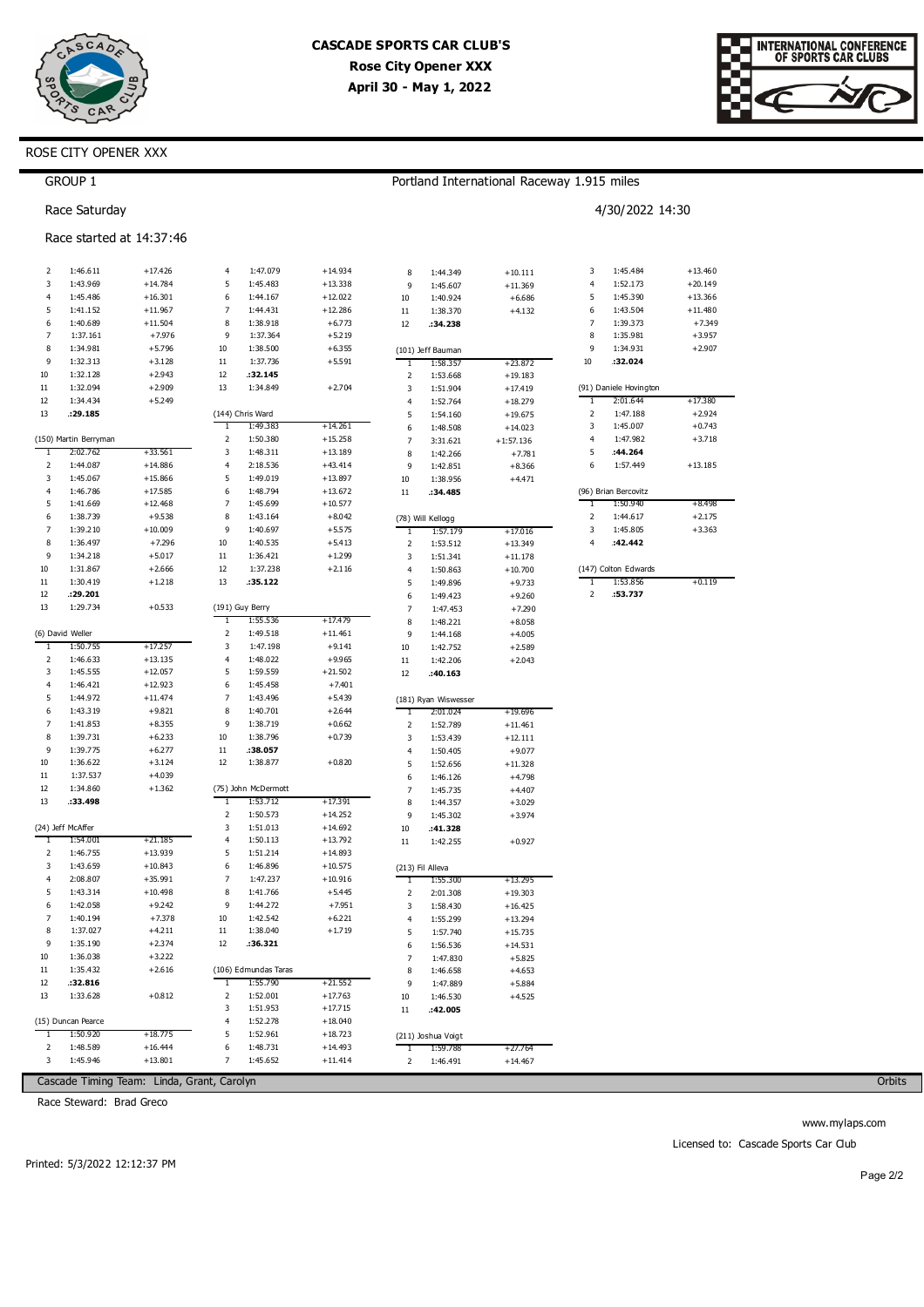



## ROSE CITY OPENER XXX

|                | <b>GROUP 1</b>           |                        |                |                      |                        |                |                               | Portland International Raceway 1.915 miles |                |                        |           |
|----------------|--------------------------|------------------------|----------------|----------------------|------------------------|----------------|-------------------------------|--------------------------------------------|----------------|------------------------|-----------|
|                | Race Saturday            |                        |                |                      |                        |                |                               |                                            |                | 4/30/2022 14:30        |           |
|                | Race started at 14:37:46 |                        |                |                      |                        |                |                               |                                            |                |                        |           |
| 2              | 1:46.611                 | $+17.426$              | 4              | 1:47.079             | $+14.934$              | 8              | 1:44.349                      | $+10.111$                                  | 3              | 1:45.484               | $+13.460$ |
| 3              | 1:43.969                 | $+14.784$              | 5              | 1:45.483             | $+13.338$              | 9              | 1:45.607                      | $+11.369$                                  | $\overline{4}$ | 1:52.173               | $+20.149$ |
| $\overline{4}$ | 1:45.486                 | $+16.301$              | 6              | 1:44.167             | $+12.022$              | 10             | 1:40.924                      | $+6.686$                                   | 5              | 1:45.390               | $+13.366$ |
| 5              | 1:41.152                 | $+11.967$              | $\overline{7}$ | 1:44.431             | $+12.286$              | $11\,$         | 1:38.370                      | $+4.132$                                   | 6              | 1:43.504               | $+11.480$ |
| 6              | 1:40.689                 | $+11.504$              | 8              | 1:38.918             | $+6.773$               | 12             | :34.238                       |                                            | 7              | 1:39.373               | $+7.349$  |
| 7              | 1:37.161                 | $+7.976$               | 9              | 1:37.364             | $+5.219$               |                |                               |                                            | 8              | 1:35.981               | $+3.957$  |
| 8              | 1:34.981                 | $+5.796$               | 10             | 1:38.500             | $+6.355$               |                | (101) Jeff Bauman             |                                            | 9              | 1:34.931               | $+2.907$  |
| 9              | 1:32.313                 | $+3.128$               | $11\,$         | 1:37.736             | $+5.591$               | 1              | 1:58.357                      | $+23.872$                                  | $10\,$         | :32.024                |           |
| 10             | 1:32.128                 | $+2.943$               | 12             | :32.145              |                        | 2              | 1:53.668                      | $+19.183$                                  |                |                        |           |
| $11\,$         | 1:32.094                 | $+2.909$               | 13             | 1:34.849             | $+2.704$               | 3              | 1:51.904                      | $+17.419$                                  |                | (91) Daniele Hovington |           |
| 12             | 1:34.434                 | $+5.249$               |                |                      |                        | $\overline{4}$ | 1:52.764                      | $+18.279$                                  | $\mathbf{1}$   | 2:01.644               | $+17.380$ |
| 13             | .29.185                  |                        |                | (144) Chris Ward     |                        | 5              | 1:54.160                      | $+19.675$                                  | $\mathbf 2$    | 1:47.188               | $+2.924$  |
|                |                          |                        | 1              | 1:49.383             | $+14.261$              | 6              | 1:48.508                      | $+14.023$                                  | 3              | 1:45.007               | $+0.743$  |
| T              | (150) Martin Berryman    |                        | 2              | 1:50.380             | $+15.258$              | $\overline{7}$ | 3:31.621                      | $+1:57.136$                                | $\overline{4}$ | 1:47.982               | $+3.718$  |
|                | 2:02.762                 | $+33.561$              | 3<br>4         | 1:48.311             | $+13.189$              | 8              | 1:42.266                      | $+7.781$                                   | 5<br>6         | :44.264                |           |
| 2<br>3         | 1:44.087<br>1:45.067     | $+14.886$<br>$+15.866$ | 5              | 2:18.536<br>1:49.019 | $+43.414$<br>$+13.897$ | 9              | 1:42.851                      | $+8.366$                                   |                | 1:57.449               | $+13.185$ |
| $\overline{4}$ | 1:46.786                 | $+17.585$              | 6              | 1:48.794             | $+13.672$              | $10\,$         | 1:38.956                      | $+4.471$                                   |                | (96) Brian Bercovitz   |           |
| 5              | 1:41.669                 | $+12.468$              | $\overline{7}$ | 1:45.699             | $+10.577$              | $11\,$         | :34.485                       |                                            | 1              | 1:50.940               | $+8.498$  |
| 6              | 1:38.739                 | $+9.538$               | 8              | 1:43.164             | $+8.042$               |                |                               |                                            | $\mathbf 2$    | 1:44.617               | $+2.175$  |
| $\overline{7}$ | 1:39.210                 | $+10.009$              | 9              | 1:40.697             | $+5.575$               | T              | (78) Will Kellogg<br>1:57.179 | $+17.016$                                  | 3              | 1:45.805               | $+3.363$  |
| 8              | 1:36.497                 | $+7.296$               | 10             | 1:40.535             | $+5.413$               | $\mathbf 2$    | 1:53.512                      | $+13.349$                                  | 4              | :42.442                |           |
| 9              | 1:34.218                 | $+5.017$               | $11\,$         | 1:36.421             | $+1.299$               | 3              | 1:51.341                      | $+11.178$                                  |                |                        |           |
| 10             | 1:31.867                 | $+2.666$               | 12             | 1:37.238             | $+2.116$               | $\overline{4}$ | 1:50.863                      | $+10.700$                                  |                | (147) Colton Edwards   |           |
| 11             | 1:30.419                 | $+1.218$               | 13             | :35.122              |                        | 5              | 1:49.896                      | $+9.733$                                   | 1              | 1:53.856               | $+0.119$  |
| 12             | :29.201                  |                        |                |                      |                        | 6              | 1:49.423                      | $+9.260$                                   | 2              | :53.737                |           |
| 13             | 1:29.734                 | $+0.533$               |                | (191) Guy Berry      |                        | 7              | 1:47.453                      | $+7.290$                                   |                |                        |           |
|                |                          |                        | T              | 1:55.536             | $+17.479$              | 8              | 1:48.221                      | $+8.058$                                   |                |                        |           |
|                | (6) David Weller         |                        | 2              | 1:49.518             | $+11.461$              | 9              | 1:44.168                      | $+4.005$                                   |                |                        |           |
| 1              | 1:50.755                 | $+17.257$              | 3              | 1:47.198             | $+9.141$               | 10             | 1:42.752                      | $+2.589$                                   |                |                        |           |
| 2              | 1:46.633                 | $+13.135$              | 4              | 1:48.022             | $+9.965$               | $11\,$         | 1:42.206                      | $+2.043$                                   |                |                        |           |
| 3              | 1:45.555                 | $+12.057$              | 5              | 1:59.559             | $+21.502$              | 12             | :40.163                       |                                            |                |                        |           |
| $\overline{4}$ | 1:46.421                 | $+12.923$              | 6              | 1:45.458             | $+7.401$               |                |                               |                                            |                |                        |           |
| 5              | 1:44.972                 | $+11.474$              | 7              | 1:43.496             | $+5.439$               |                | (181) Ryan Wiswesser          |                                            |                |                        |           |
| 6              | 1:43.319                 | $+9.821$               | 8              | 1:40.701             | $+2.644$               | T              | 2:01.024                      | $+19.696$                                  |                |                        |           |
| $\overline{7}$ | 1:41.853                 | $+8.355$               | 9              | 1:38.719             | $+0.662$               | 2              | 1:52.789                      | $+11.461$                                  |                |                        |           |
| 8              | 1:39.731                 | $+6.233$               | 10             | 1:38.796             | $+0.739$               | 3              | 1:53.439                      | $+12.111$                                  |                |                        |           |
| 9              | 1:39.775                 | $+6.277$               | $11\,$         | :38.057              |                        | $\overline{4}$ | 1:50.405                      | $+9.077$                                   |                |                        |           |
| 10             | 1:36.622                 | $+3.124$               | 12             | 1:38.877             | $+0.820$               | 5              | 1:52.656                      | $+11.328$                                  |                |                        |           |
| $11\,$         | 1:37.537                 | $+4.039$               |                |                      |                        | 6              | 1:46.126                      | $+4.798$                                   |                |                        |           |
| 12             | 1:34.860                 | $+1.362$               |                | (75) John McDermott  |                        | 7              | 1:45.735                      | $+4.407$                                   |                |                        |           |
| 13             | :33.498                  |                        | 1              | 1:53.712             | $+17.391$              | 8              | 1:44.357                      | $+3.029$                                   |                |                        |           |
|                |                          |                        | $\mathsf 2$    | 1:50.573             | $+14.252$              | 9              | 1:45.302                      | $+3.974$                                   |                |                        |           |
|                | (24) Jeff McAffer        |                        | 3              | 1:51.013             | $+14.692$              | 10             | :41.328                       |                                            |                |                        |           |
| -1             | 1:54.001                 | $+21.185$              | $\overline{4}$ | 1:50.113             | $+13.792$              | $11\,$         | 1:42.255                      | $+0.927$                                   |                |                        |           |
| 2              | 1:46.755                 | $+13.939$              | 5              | 1:51.214             | $+14.893$              |                |                               |                                            |                |                        |           |
| 3              | 1:43.659                 | $+10.843$              | 6              | 1:46.896             | $+10.575$              |                | (213) Fil Alleva              |                                            |                |                        |           |
| 4              | 2:08.807                 | $+35.991$              | $\overline{7}$ | 1:47.237             | $+10.916$              | $\mathbf{1}$   | 1:55.300                      | $+13.295$                                  |                |                        |           |
| 5              | 1:43.314                 | $+10.498$              | 8              | 1:41.766             | $+5.445$               | 2              | 2:01.308                      | $+19.303$                                  |                |                        |           |
| 6              | 1:42.058                 | $+9.242$               | 9              | 1:44.272             | $+7.951$               | 3              | 1:58.430                      | $+16.425$                                  |                |                        |           |
| 7              | 1:40.194                 | $+7.378$               | 10             | 1:42.542<br>1:38.040 | $+6.221$               | 4              | 1:55.299                      | $+13.294$                                  |                |                        |           |
| 8<br>9         | 1:37.027                 | $+4.211$               | $11\,$<br>12   |                      | $+1.719$               | 5              | 1:57.740                      | $+15.735$                                  |                |                        |           |
| 10             | 1:35.190                 | $+2.374$               |                | :36.321              |                        | 6              | 1:56.536                      | $+14.531$                                  |                |                        |           |
|                | 1:36.038                 | $+3.222$               |                |                      |                        | 7              | 1:47.830                      | $+5.825$                                   |                |                        |           |
| 11             | 1:35.432                 | $+2.616$               |                | (106) Edmundas Taras |                        | 8              | 1:46.658                      | $+4.653$                                   |                |                        |           |
| 12<br>13       | :32.816<br>1:33.628      | $+0.812$               | $\mathbf{1}$   | 1:55.790             | $+21.552$              | 9              | 1:47.889                      | $+5.884$                                   |                |                        |           |
|                |                          |                        | 2<br>3         | 1:52.001<br>1:51.953 | $+17.763$<br>$+17.715$ | 10             | 1:46.530                      | $+4.525$                                   |                |                        |           |
|                | (15) Duncan Pearce       |                        | 4              | 1:52.278             | $+18.040$              | 11             | :42.005                       |                                            |                |                        |           |
| 1              | 1:50.920                 | $+18.775$              | 5              | 1:52.961             | $+18.723$              |                | (211) Joshua Voigt            |                                            |                |                        |           |
| 2              | 1:48.589                 | $+16.444$              | 6              | 1:48.731             | $+14.493$              | $\mathbf{1}$   | 1:59.788                      | $+27.764$                                  |                |                        |           |
| 3              | 1:45.946                 | $+13.801$              | 7              | 1:45.652             | $+11.414$              | 2              | 1:46.491                      | $+14.467$                                  |                |                        |           |
|                |                          |                        |                |                      |                        |                |                               |                                            |                |                        |           |

Cascade Timing Team: Linda, Grant, Carolyn

Race Steward: Brad Greco

Orbits

www.mylaps.com Licensed to: Cascade Sports Car Club

Printed: 5/3/2022 12:12:37 PM

Page 2/2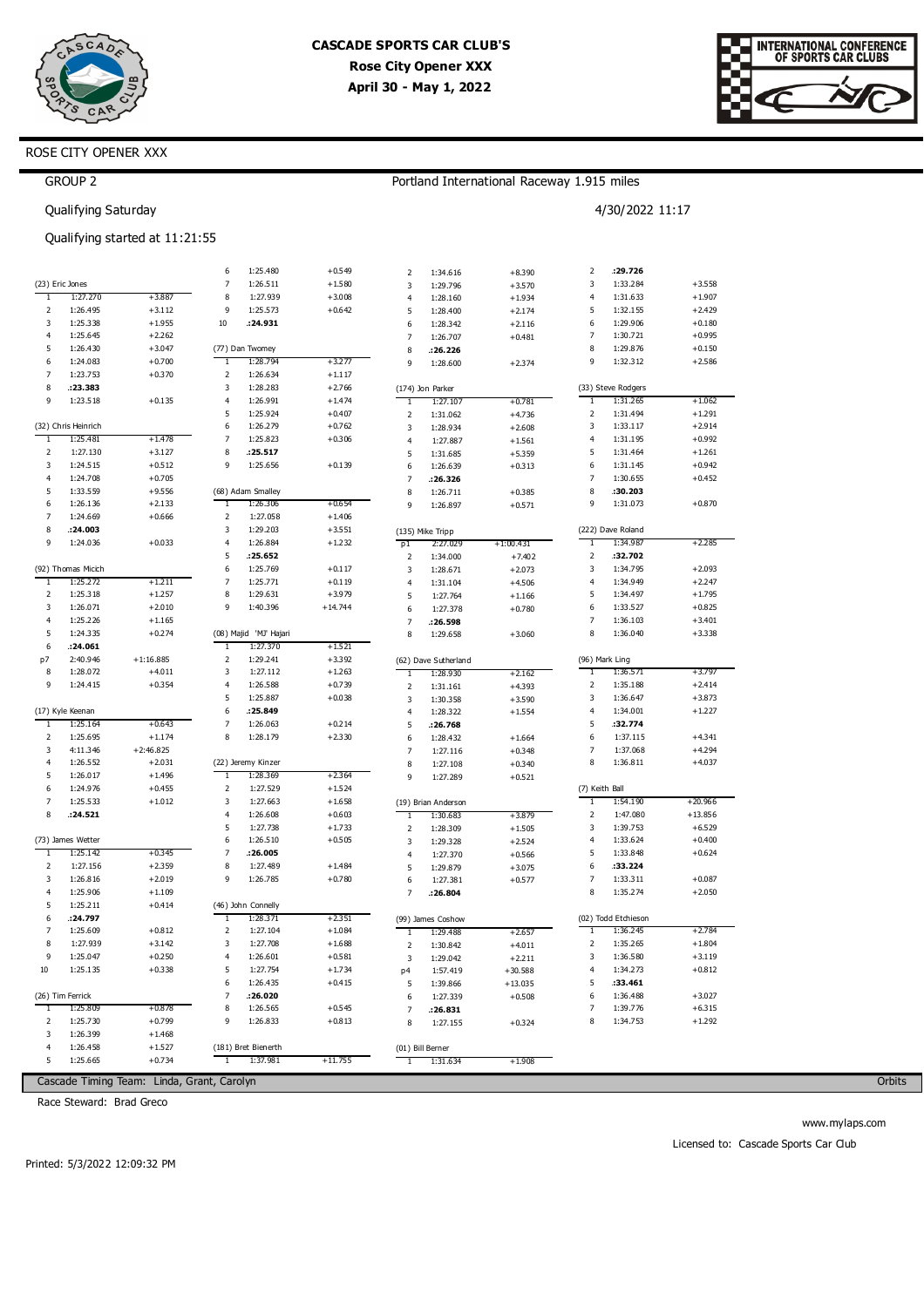



|                | <b>GROUP 2</b>                 |                                            |                               |                        |                      |                         |                      | Portland International Raceway 1.915 miles |                |                      |                       |
|----------------|--------------------------------|--------------------------------------------|-------------------------------|------------------------|----------------------|-------------------------|----------------------|--------------------------------------------|----------------|----------------------|-----------------------|
|                | Qualifying Saturday            |                                            |                               |                        |                      |                         |                      |                                            |                | 4/30/2022 11:17      |                       |
|                |                                | Qualifying started at 11:21:55             |                               |                        |                      |                         |                      |                                            |                |                      |                       |
|                |                                |                                            | 6                             | 1:25.480               | $+0.549$             | $\overline{2}$          | 1:34.616             | $+8.390$                                   | 2              | :29.726              |                       |
|                | (23) Eric Jones                |                                            | 7                             | 1:26.511               | $+1.580$             | 3                       | 1:29.796             | $+3.570$                                   | 3              | 1:33.284             | $+3.558$              |
| $\mathbf{1}$   | 1:27.270                       | $+3.887$                                   | 8                             | 1:27.939               | $+3.008$             | $\overline{\mathbf{4}}$ | 1:28.160             | $+1.934$                                   | 4              | 1:31.633             | $+1.907$              |
| 2              | 1:26.495                       | $+3.112$                                   | 9                             | 1:25.573               | $+0.642$             | 5                       | 1:28.400             | $+2.174$                                   | 5              | 1:32.155             | $+2.429$              |
| 3<br>4         | 1:25.338<br>1:25.645           | $+1.955$<br>$+2.262$                       | $10\,$                        | : 24.931               |                      | 6                       | 1:28.342             | $+2.116$                                   | 6<br>7         | 1:29.906<br>1:30.721 | $+0.180$<br>$+0.995$  |
| 5              | 1:26.430                       | $+3.047$                                   |                               | (77) Dan Twomey        |                      | $\overline{7}$<br>8     | 1:26.707<br>:26.226  | $+0.481$                                   | 8              | 1:29.876             | $+0.150$              |
| 6              | 1:24.083                       | $+0.700$                                   | 1                             | 1:28.794               | $+3.277$             | 9                       | 1:28.600             | $+2.374$                                   | 9              | 1:32.312             | $+2.586$              |
| 7              | 1:23.753                       | $+0.370$                                   | 2                             | 1:26.634               | $+1.117$             |                         |                      |                                            |                |                      |                       |
| 8              | :23.383                        |                                            | 3                             | 1:28.283               | $+2.766$             |                         | (174) Jon Parker     |                                            |                | (33) Steve Rodgers   |                       |
| 9              | 1:23.518                       | $+0.135$                                   | 4                             | 1:26.991               | $+1.474$             | $\mathbf{I}$            | 1:27.107             | $+0.781$                                   | 1              | 1:31.265             | $+1.062$              |
|                |                                |                                            | 5                             | 1:25.924               | $+0.407$             | $\overline{2}$          | 1:31.062             | $+4.736$                                   | 2              | 1:31.494             | $+1.291$              |
|                | (32) Chris Heinrich            |                                            | 6                             | 1:26.279               | $+0.762$             | 3                       | 1:28.934             | $+2.608$                                   | 3              | 1:33.117             | $+2.914$              |
| T<br>2         | 1:25.481<br>1:27.130           | $+1.478$<br>$+3.127$                       | 7<br>8                        | 1:25.823<br>:25.517    | $+0.306$             | $\overline{\mathbf{4}}$ | 1:27.887             | $+1.561$                                   | 4<br>5         | 1:31.195<br>1:31.464 | $+0.992$<br>$+1.261$  |
| 3              | 1:24.515                       | $+0.512$                                   | 9                             | 1:25.656               | $+0.139$             | 5<br>6                  | 1:31.685<br>1:26.639 | $+5.359$<br>$+0.313$                       | 6              | 1:31.145             | $+0.942$              |
| 4              | 1:24.708                       | $+0.705$                                   |                               |                        |                      | $\overline{7}$          | :26.326              |                                            | 7              | 1:30.655             | $+0.452$              |
| 5              | 1:33.559                       | $+9.556$                                   |                               | (68) Adam Smalley      |                      | 8                       | 1:26.711             | $+0.385$                                   | 8              | :30.203              |                       |
| 6              | 1:26.136                       | $+2.133$                                   | 1                             | 1:26.306               | $+0.654$             | 9                       | 1:26.897             | $+0.571$                                   | 9              | 1:31.073             | $+0.870$              |
| 7              | 1:24.669                       | $+0.666$                                   | 2                             | 1:27.058               | $+1.406$             |                         |                      |                                            |                |                      |                       |
| 8              | :24.003                        |                                            | 3                             | 1:29.203               | $+3.551$             |                         | (135) Mike Tripp     |                                            |                | (222) Dave Roland    |                       |
| 9              | 1:24.036                       | $+0.033$                                   | 4                             | 1:26.884               | $+1.232$             | p1                      | 2:27.029             | $+1:00.431$                                | $\mathbf{1}$   | 1:34.987             | $+2.285$              |
|                |                                |                                            | 5                             | :25.652                |                      | $\overline{2}$          | 1:34.000             | $+7.402$                                   | 2              | :32.702              |                       |
| 1              | (92) Thomas Micich<br>1:25.272 | $+1.211$                                   | 6<br>$\overline{\phantom{a}}$ | 1:25.769<br>1:25.771   | $+0.117$<br>$+0.119$ | 3<br>$\overline{4}$     | 1:28.671             | $+2.073$                                   | 3<br>4         | 1:34.795<br>1:34.949 | $+2.093$<br>$+2.247$  |
| 2              | 1:25.318                       | $+1.257$                                   | 8                             | 1:29.631               | $+3.979$             | 5                       | 1:31.104<br>1:27.764 | $+4.506$<br>$+1.166$                       | 5              | 1:34.497             | $+1.795$              |
| 3              | 1:26.071                       | $+2.010$                                   | 9                             | 1:40.396               | $+14.744$            | 6                       | 1:27.378             | $+0.780$                                   | 6              | 1:33.527             | $+0.825$              |
| 4              | 1:25.226                       | $+1.165$                                   |                               |                        |                      | $\overline{7}$          | : 26.598             |                                            | 7              | 1:36.103             | $+3.401$              |
| 5              | 1:24.335                       | $+0.274$                                   |                               | (08) Majid 'MJ' Hajari |                      | 8                       | 1:29.658             | $+3.060$                                   | 8              | 1:36.040             | $+3.338$              |
| 6              | .24.061                        |                                            | 1                             | 1:27.370               | $+1.521$             |                         |                      |                                            |                |                      |                       |
| p7             | 2:40.946                       | $+1:16.885$                                | $\mathsf 2$                   | 1:29.241               | $+3.392$             |                         | (62) Dave Sutherland |                                            |                | (96) Mark Ling       |                       |
| 8              | 1:28.072                       | $+4.011$                                   | 3                             | 1:27.112               | $+1.263$             | $\mathbf{1}$            | 1:28.930             | $+2.162$                                   | 1              | 1:36.571             | $+3.797$              |
| 9              | 1:24.415                       | $+0.354$                                   | 4                             | 1:26.588               | $+0.739$             | $\overline{2}$          | 1:31.161             | $+4.393$                                   | 2              | 1:35.188             | $+2.414$              |
|                | (17) Kyle Keenan               |                                            | 5<br>6                        | 1:25.887<br>: 25.849   | $+0.038$             | 3                       | 1:30.358             | $+3.590$                                   | 3<br>4         | 1:36.647<br>1:34.001 | $+3.873$<br>$+1.227$  |
| T              | 1:25.164                       | $+0.643$                                   | $\overline{\phantom{a}}$      | 1:26.063               | $+0.214$             | $\overline{4}$<br>5     | 1:28.322<br>:26.768  | $+1.554$                                   | 5              | :32.774              |                       |
| 2              | 1:25.695                       | $+1.174$                                   | 8                             | 1:28.179               | $+2.330$             | 6                       | 1:28.432             | $+1.664$                                   | 6              | 1:37.115             | $+4.341$              |
| 3              | 4:11.346                       | $+2:46.825$                                |                               |                        |                      | $\overline{7}$          | 1:27.116             | $+0.348$                                   | 7              | 1:37.068             | $+4.294$              |
| $\overline{4}$ | 1:26.552                       | $+2.031$                                   |                               | (22) Jeremy Kinzer     |                      | 8                       | 1:27.108             | $+0.340$                                   | 8              | 1:36.811             | $+4.037$              |
| 5              | 1:26.017                       | $+1.496$                                   | 1                             | 1:28.369               | $+2.364$             | 9                       | 1:27.289             | $+0.521$                                   |                |                      |                       |
| 6              | 1:24.976                       | $+0.455$                                   | 2                             | 1:27.529               | $+1.524$             |                         |                      |                                            | (7) Keith Ball |                      |                       |
| $\overline{7}$ | 1:25.533                       | $+1.012$                                   | 3                             | 1:27.663               | $+1.658$             |                         | (19) Brian Anderson  |                                            | 1              | 1:54.190             | $+20.966$             |
| 8              | .24.521                        |                                            | 4<br>5                        | 1:26.608<br>1:27.738   | $+0.603$<br>$+1.733$ | $\mathbf{1}$            | 1:30.683             | $+3.879$                                   | 2<br>3         | 1:47.080<br>1:39.753 | $+13.856$<br>$+6.529$ |
|                | (73) James Wetter              |                                            | 6                             | 1:26.510               | $+0.505$             | $\mathbf 2$<br>3        | 1:28.309<br>1:29.328 | $+1.505$<br>$+2.524$                       | 4              | 1:33.624             | $+0.400$              |
| T              | 1:25.142                       | $+0.345$                                   | 7                             | .26.005                |                      | $\overline{\mathbf{4}}$ | 1:27.370             | $+0.566$                                   | 5              | 1:33.848             | $+0.624$              |
| $\overline{2}$ | 1:27.156                       | $+2.359$                                   | 8                             | 1:27.489               | $+1.484$             | 5                       | 1:29.879             | $+3.075$                                   | 6              | :33.224              |                       |
| 3              | 1:26.816                       | $+2.019$                                   | 9                             | 1:26.785               | $+0.780$             | 6                       | 1:27.381             | $+0.577$                                   | 7              | 1:33.311             | $+0.087$              |
| 4              | 1:25.906                       | $+1.109$                                   |                               |                        |                      | $\overline{7}$          | :26.804              |                                            | 8              | 1:35.274             | $+2.050$              |
| 5              | 1:25.211                       | $+0.414$                                   |                               | (46) John Connelly     |                      |                         |                      |                                            |                |                      |                       |
| 6              | : 24.797                       |                                            | 1                             | 1:28.371               | $+2.351$             |                         | (99) James Coshow    |                                            |                | (02) Todd Etchieson  |                       |
| 7              | 1:25.609                       | $+0.812$                                   | 2                             | 1:27.104               | $+1.084$             | 1                       | 1:29.488             | $+2.657$                                   | 1              | 1:36.245             | $+2.784$              |
| 8              | 1:27.939                       | $+3.142$                                   | 3                             | 1:27.708               | $+1.688$             | $\overline{2}$          | 1:30.842             | $+4.011$                                   | 2              | 1:35.265             | $+1.804$              |
| 9<br>10        | 1:25.047<br>1:25.135           | $+0.250$<br>$+0.338$                       | 4<br>5                        | 1:26.601<br>1:27.754   | $+0.581$<br>$+1.734$ | 3                       | 1:29.042             | $+2.211$                                   | 3<br>4         | 1:36.580<br>1:34.273 | $+3.119$<br>$+0.812$  |
|                |                                |                                            | 6                             | 1:26.435               | $+0.415$             | p4<br>5                 | 1:57.419<br>1:39.866 | $+30.588$<br>$+13.035$                     | 5              | :33.461              |                       |
|                | (26) Tim Ferrick               |                                            | 7                             | :26.020                |                      | 6                       | 1:27.339             | $+0.508$                                   | 6              | 1:36.488             | $+3.027$              |
| 1              | 1:25.809                       | +0.878                                     | 8                             | 1:26.565               | $+0.545$             | $\overline{7}$          | :26.831              |                                            | 7              | 1:39.776             | $+6.315$              |
| 2              | 1:25.730                       | $+0.799$                                   | 9                             | 1:26.833               | $+0.813$             | 8                       | 1:27.155             | $+0.324$                                   | 8              | 1:34.753             | $+1.292$              |
| 3              | 1:26.399                       | $+1.468$                                   |                               |                        |                      |                         |                      |                                            |                |                      |                       |
| 4              | 1:26.458                       | $+1.527$                                   |                               | (181) Bret Bienerth    |                      |                         | (01) Bill Berner     |                                            |                |                      |                       |
| 5              | 1:25.665                       | $+0.734$                                   | 1                             | 1:37.981               | $+11.755$            | 1                       | 1:31.634             | $+1.908$                                   |                |                      |                       |
|                |                                | Cascade Timing Team: Linda, Grant, Carolyn |                               |                        |                      |                         |                      |                                            |                |                      |                       |

Race Steward: Brad Greco

Orbits

www.mylaps.com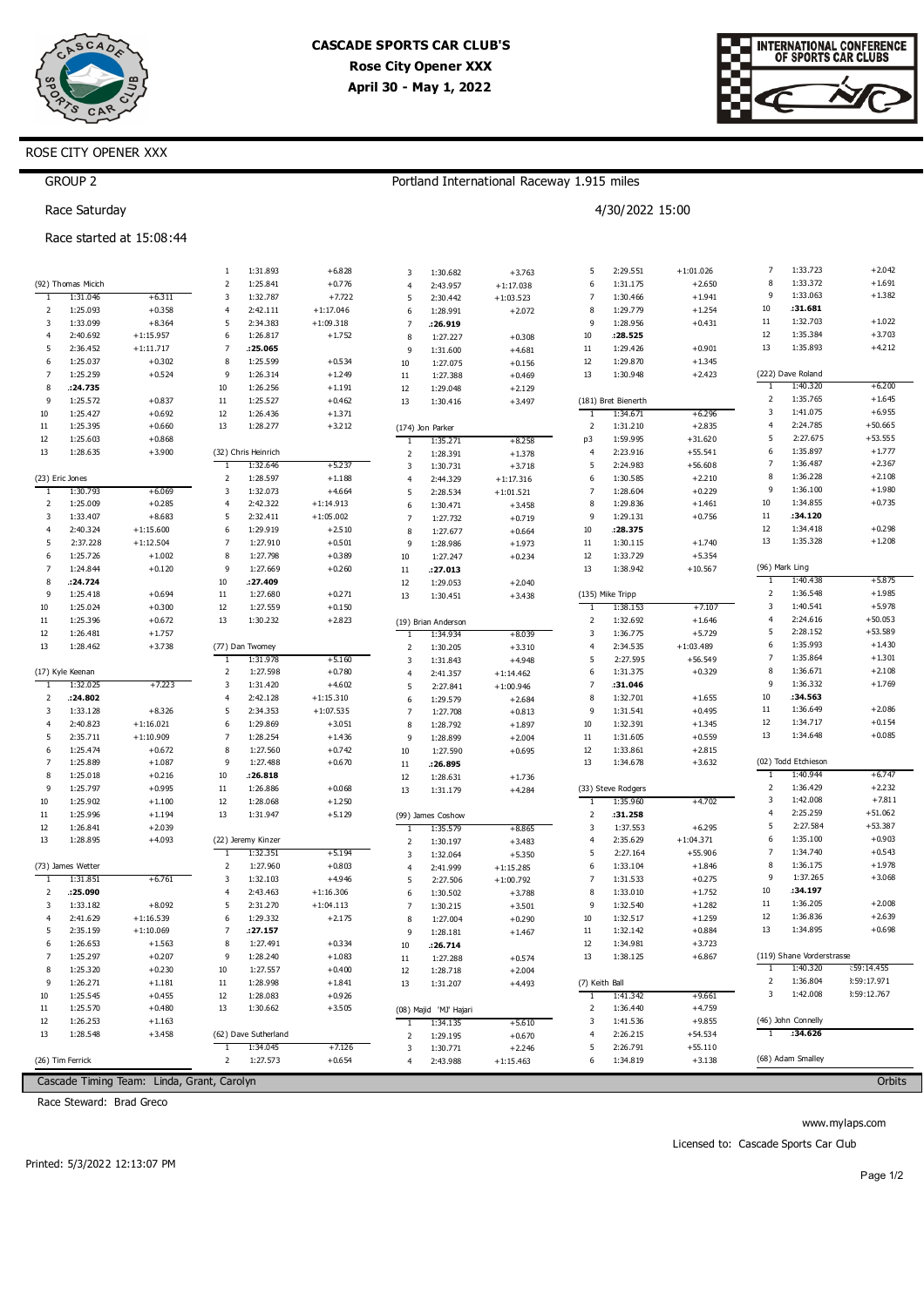



|                     | <b>GROUP 2</b>       |                                            |                         |                      |                      |                         |                        | Portland International Raceway 1.915 miles |                         |                     |             |                |                                       |             |
|---------------------|----------------------|--------------------------------------------|-------------------------|----------------------|----------------------|-------------------------|------------------------|--------------------------------------------|-------------------------|---------------------|-------------|----------------|---------------------------------------|-------------|
|                     | Race Saturday        |                                            | 4/30/2022 15:00         |                      |                      |                         |                        |                                            |                         |                     |             |                |                                       |             |
|                     |                      | Race started at 15:08:44                   |                         |                      |                      |                         |                        |                                            |                         |                     |             |                |                                       |             |
|                     |                      |                                            | 1                       | 1:31.893             | $+6.828$             | 3                       | 1:30.682               | $+3.763$                                   | 5                       | 2:29.551            | $+1:01.026$ | $\overline{7}$ | 1:33.723                              | $+2.042$    |
|                     | (92) Thomas Micich   |                                            | $\mathsf 2$             | 1:25.841             | $+0.776$             | 4                       | 2:43.957               | $+1:17.038$                                | 6                       | 1:31.175            | $+2.650$    | 8              | 1:33.372                              | $+1.691$    |
| T                   | 1:31.046             | $+6.311$                                   | 3                       | 1:32.787             | $+7.722$             | 5                       | 2:30.442               | $+1:03.523$                                | 7                       | 1:30.466            | $+1.941$    | 9              | 1:33.063                              | $+1.382$    |
| $\overline{2}$      | 1:25.093             | $+0.358$                                   | $\overline{4}$          | 2:42.111             | $+1:17.046$          | 6                       | 1:28.991               | $+2.072$                                   | 8                       | 1:29.779            | $+1.254$    | 10             | :31.681                               |             |
| 3                   | 1:33.099             | $+8.364$                                   | 5                       | 2:34.383             | $+1:09.318$          | $\overline{7}$          | :26.919                |                                            | 9                       | 1:28.956            | $+0.431$    | 11             | 1:32.703                              | $+1.022$    |
| $\overline{4}$      | 2:40.692             | $+1:15.957$                                | 6                       | 1:26.817             | $+1.752$             | 8                       | 1:27.227               | $+0.308$                                   | 10                      | : 28.525            |             | 12             | 1:35.384                              | $+3.703$    |
| 5                   | 2:36.452             | $+1:11.717$                                | $\overline{7}$          | : 25.065             |                      | 9                       | 1:31.600               | $+4.681$                                   | $11\,$                  | 1:29.426            | $+0.901$    | 13             | 1:35.893                              | $+4.212$    |
| 6<br>$\overline{7}$ | 1:25.037             | $+0.302$                                   | 8                       | 1:25.599             | $+0.534$             | $10\,$                  | 1:27.075               | $+0.156$                                   | 12                      | 1:29.870            | $+1.345$    |                | (222) Dave Roland                     |             |
| 8                   | 1:25.259<br>:24.735  | $+0.524$                                   | 9<br>10                 | 1:26.314<br>1:26.256 | $+1.249$<br>$+1.191$ | $11\,$                  | 1:27.388               | $+0.469$                                   | 13                      | 1:30.948            | $+2.423$    | 1              | 1:40.320                              | $+6.200$    |
| 9                   | 1:25.572             | $+0.837$                                   | $11\,$                  | 1:25.527             | $+0.462$             | 12<br>13                | 1:29.048<br>1:30.416   | $+2.129$<br>$+3.497$                       |                         | (181) Bret Bienerth |             | $\overline{2}$ | 1:35.765                              | $+1.645$    |
| 10                  | 1:25.427             | $+0.692$                                   | 12                      | 1:26.436             | $+1.371$             |                         |                        |                                            | 1                       | 1:34.671            | $+6.296$    | 3              | 1:41.075                              | $+6.955$    |
| 11                  | 1:25.395             | $+0.660$                                   | 13                      | 1:28.277             | $+3.212$             |                         | (174) Jon Parker       |                                            | $\overline{2}$          | 1:31.210            | $+2.835$    | $\overline{4}$ | 2:24.785                              | $+50.665$   |
| 12                  | 1:25.603             | $+0.868$                                   |                         |                      |                      | $\mathbf{1}$            | 1:35.271               | $+8.258$                                   | p3                      | 1:59.995            | $+31.620$   | 5              | 2:27.675                              | $+53.555$   |
| 13                  | 1:28.635             | $+3.900$                                   |                         | (32) Chris Heinrich  |                      | 2                       | 1:28.391               | $+1.378$                                   | 4                       | 2:23.916            | $+55.541$   | 6              | 1:35.897                              | $+1.777$    |
|                     |                      |                                            | T                       | 1:32.646             | $+5.237$             | 3                       | 1:30.731               | $+3.718$                                   | 5                       | 2:24.983            | $+56.608$   | $\overline{7}$ | 1:36.487                              | $+2.367$    |
|                     | (23) Eric Jones      |                                            | $\overline{2}$          | 1:28.597             | $+1.188$             | $\overline{4}$          | 2:44.329               | $+1:17.316$                                | 6                       | 1:30.585            | $+2.210$    | 8              | 1:36.228                              | $+2.108$    |
| -1                  | 1:30.793             | $+6.069$                                   | 3                       | 1:32.073             | $+4.664$             | 5                       | 2:28.534               | $+1:01.521$                                | 7                       | 1:28.604            | $+0.229$    | 9              | 1:36.100                              | $+1.980$    |
| $\overline{2}$      | 1:25.009             | $+0.285$                                   | $\overline{4}$          | 2:42.322             | $+1:14.913$          | 6                       | 1:30.471               | $+3.458$                                   | 8                       | 1:29.836            | $+1.461$    | 10             | 1:34.855                              | $+0.735$    |
| 3                   | 1:33.407             | $+8.683$                                   | 5                       | 2:32.411             | $+1:05.002$          | $\overline{7}$          | 1:27.732               | $+0.719$                                   | 9                       | 1:29.131            | $+0.756$    | 11             | :34.120                               |             |
| $\overline{4}$      | 2:40.324             | $+1:15.600$                                | 6                       | 1:29.919             | $+2.510$             | 8                       | 1:27.677               | $+0.664$                                   | 10                      | :28.375             |             | 12             | 1:34.418                              | $+0.298$    |
| 5                   | 2:37.228             | $+1:12.504$                                | $\overline{7}$          | 1:27.910             | $+0.501$             | 9                       | 1:28.986               | $+1.973$                                   | $11\,$                  | 1:30.115            | $+1.740$    | 13             | 1:35.328                              | $+1.208$    |
| 6                   | 1:25.726             | $+1.002$                                   | 8                       | 1:27.798             | $+0.389$             | $10\,$                  | 1:27.247               | $+0.234$                                   | 12                      | 1:33.729            | $+5.354$    |                | (96) Mark Ling                        |             |
| $\overline{7}$<br>8 | 1:24.844<br>.24.724  | $+0.120$                                   | 9<br>10                 | 1:27.669<br>:27.409  | $+0.260$             | $11\,$                  | :27.013                |                                            | 13                      | 1:38.942            | $+10.567$   | 1              | 1:40.438                              | $+5.875$    |
| 9                   | 1:25.418             | $+0.694$                                   | $11\,$                  | 1:27.680             | $+0.271$             | 12<br>13                | 1:29.053<br>1:30.451   | $+2.040$<br>$+3.438$                       |                         | (135) Mike Tripp    |             | $\overline{2}$ | 1:36.548                              | $+1.985$    |
| 10                  | 1:25.024             | $+0.300$                                   | 12                      | 1:27.559             | $+0.150$             |                         |                        |                                            | 1                       | 1:38.153            | $+7.107$    | 3              | 1:40.541                              | $+5.978$    |
| 11                  | 1:25.396             | $+0.672$                                   | 13                      | 1:30.232             | $+2.823$             |                         | (19) Brian Anderson    |                                            | $\overline{\mathbf{c}}$ | 1:32.692            | $+1.646$    | $\overline{4}$ | 2:24.616                              | $+50.053$   |
| 12                  | 1:26.481             | $+1.757$                                   |                         |                      |                      | $\mathbf{1}$            | 1:34.934               | $+8.039$                                   | 3                       | 1:36.775            | $+5.729$    | 5              | 2:28.152                              | $+53.589$   |
| 13                  | 1:28.462             | $+3.738$                                   |                         | (77) Dan Twomey      |                      | 2                       | 1:30.205               | $+3.310$                                   | 4                       | 2:34.535            | $+1:03.489$ | 6              | 1:35.993                              | $+1.430$    |
|                     |                      |                                            | -1                      | 1:31.978             | $+5.160$             | 3                       | 1:31.843               | $+4.948$                                   | 5                       | 2:27.595            | $+56.549$   | $\overline{7}$ | 1:35.864                              | $+1.301$    |
|                     | (17) Kyle Keenan     |                                            | $\overline{2}$          | 1:27.598             | $+0.780$             | $\overline{4}$          | 2:41.357               | $+1:14.462$                                | 6                       | 1:31.375            | $+0.329$    | 8              | 1:36.671                              | $+2.108$    |
| 1                   | 1:32.025             | $+7.223$                                   | $\overline{\mathbf{3}}$ | 1:31.420             | $+4.602$             | 5                       | 2:27.841               | $+1:00.946$                                | $\overline{7}$          | :31.046             |             | 9              | 1:36.332                              | $+1.769$    |
| $\overline{2}$      | : 24.802             |                                            | $\overline{4}$          | 2:42.128             | $+1:15.310$          | 6                       | 1:29.579               | $+2.684$                                   | 8                       | 1:32.701            | $+1.655$    | 10             | :34.563                               |             |
| 3                   | 1:33.128             | $+8.326$                                   | 5                       | 2:34.353             | $+1:07.535$          | $\overline{7}$          | 1:27.708               | $+0.813$                                   | 9                       | 1:31.541            | $+0.495$    | 11             | 1:36.649                              | $+2.086$    |
| $\overline{4}$      | 2:40.823             | $+1:16.021$                                | 6                       | 1:29.869             | $+3.051$             | 8                       | 1:28.792               | $+1.897$                                   | 10                      | 1:32.391            | $+1.345$    | 12             | 1:34.717                              | $+0.154$    |
| 5                   | 2:35.711             | $+1:10.909$                                | $\overline{7}$          | 1:28.254             | $+1.436$             | 9                       | 1:28.899               | $+2.004$                                   | 11                      | 1:31.605            | $+0.559$    | 13             | 1:34.648                              | $+0.085$    |
| 6                   | 1:25.474             | $+0.672$                                   | 8                       | 1:27.560             | $+0.742$             | $10\,$                  | 1:27.590               | $+0.695$                                   | 12                      | 1:33.861            | $+2.815$    |                |                                       |             |
| $\overline{7}$      | 1:25.889             | $+1.087$                                   | 9                       | 1:27.488             | $+0.670$             | $11\,$                  | :26.895                |                                            | 13                      | 1:34.678            | $+3.632$    | -1             | (02) Todd Etchieson<br>1:40.944       | $+6.747$    |
| 8<br>9              | 1:25.018<br>1:25.797 | $+0.216$<br>$+0.995$                       | 10<br>11                | .26.818<br>1:26.886  | $+0.068$             | 12                      | 1:28.631               | $+1.736$                                   |                         | (33) Steve Rodgers  |             | $\overline{2}$ | 1:36.429                              | $+2.232$    |
| 10                  | 1:25.902             | $+1.100$                                   | 12                      | 1:28.068             | $+1.250$             | 13                      | 1:31.179               | $+4.284$                                   | 1                       | 1:35.960            | $+4.702$    | 3              | 1:42.008                              | $+7.811$    |
| 11                  | 1:25.996             | $+1.194$                                   | 13                      | 1:31.947             | $+5.129$             |                         | (99) James Coshow      |                                            | $\overline{2}$          | :31.258             |             | $\overline{4}$ | 2:25.259                              | $+51.062$   |
| 12                  | 1:26.841             | $+2.039$                                   |                         |                      |                      | -1                      | 1:35.579               | $+8.865$                                   | 3                       | 1:37.553            | $+6.295$    | 5              | 2:27.584                              | $+53.387$   |
| 13                  | 1:28.895             | $+4.093$                                   |                         | (22) Jeremy Kinzer   |                      | 2                       | 1:30.197               | $+3.483$                                   | $\overline{4}$          | 2:35.629            | $+1:04.371$ | 6              | 1:35.100                              | $+0.903$    |
|                     |                      |                                            | 1                       | 1:32.351             | $+5.194$             | 3                       | 1:32.064               | $+5.350$                                   | 5                       | 2:27.164            | $+55.906$   | 7              | 1:34.740                              | $+0.543$    |
|                     | (73) James Wetter    |                                            | $\overline{2}$          | 1:27.960             | $+0.803$             | $\overline{4}$          | 2:41.999               | $+1:15.285$                                | 6                       | 1:33.104            | $+1.846$    | 8              | 1:36.175                              | $+1.978$    |
| 1                   | 1:31.851             | $+6.761$                                   | 3                       | 1:32.103             | $+4.946$             | 5                       | 2:27.506               | $+1:00.792$                                | 7                       | 1:31.533            | $+0.275$    | 9              | 1:37.265                              | $+3.068$    |
| $\overline{2}$      | :25.090              |                                            | $\overline{4}$          | 2:43.463             | $+1:16.306$          | 6                       | 1:30.502               | $+3.788$                                   | 8                       | 1:33.010            | $+1.752$    | 10             | :34.197                               |             |
| 3                   | 1:33.182             | $+8.092$                                   | 5                       | 2:31.270             | $+1:04.113$          | 7                       | 1:30.215               | $+3.501$                                   | 9                       | 1:32.540            | $+1.282$    | 11             | 1:36.205                              | $+2.008$    |
| $\overline{4}$      | 2:41.629             | $+1:16.539$                                | 6                       | 1:29.332             | $+2.175$             | 8                       | 1:27.004               | $+0.290$                                   | 10                      | 1:32.517            | $+1.259$    | 12             | 1:36.836                              | $+2.639$    |
| 5                   | 2:35.159             | $+1:10.069$                                | $\overline{7}$          | :27.157              |                      | 9                       | 1:28.181               | $+1.467$                                   | $11\,$                  | 1:32.142            | $+0.884$    | 13             | 1:34.895                              | $+0.698$    |
| 6                   | 1:26.653             | $+1.563$                                   | 8                       | 1:27.491             | $+0.334$             | $10\,$                  | .26.714                |                                            | 12                      | 1:34.981            | $+3.723$    |                |                                       |             |
| $\overline{7}$<br>8 | 1:25.297             | $+0.207$                                   | 9                       | 1:28.240             | $+1.083$             | $11\,$                  | 1:27.288               | $+0.574$                                   | 13                      | 1:38.125            | $+6.867$    | -1             | (119) Shane Vorderstrasse<br>1:40.320 | :59:14.455  |
| 9                   | 1:25.320<br>1:26.271 | $+0.230$<br>$+1.181$                       | 10<br>$11\,$            | 1:27.557<br>1:28.998 | $+0.400$<br>$+1.841$ | $12\,$                  | 1:28.718               | $+2.004$                                   |                         | (7) Keith Ball      |             | 2              | 1:36.804                              | 3:59:17.971 |
| 10                  | 1:25.545             | $+0.455$                                   | 12                      | 1:28.083             | $+0.926$             | 13                      | 1:31.207               | $+4.493$                                   | $\mathbf{1}$            | 1:41.342            | $+9.661$    | 3              | 1:42.008                              | 3:59:12.767 |
| 11                  | 1:25.570             | $+0.480$                                   | 13                      | 1:30.662             | $+3.505$             |                         | (08) Majid 'MJ' Hajari |                                            | 2                       | 1:36.440            | $+4.759$    |                |                                       |             |
| 12                  | 1:26.253             | $+1.163$                                   |                         |                      |                      | $\mathbf{1}$            | 1:34.135               | $+5.610$                                   | 3                       | 1:41.536            | $+9.855$    |                | (46) John Connelly                    |             |
| 13                  | 1:28.548             | $+3.458$                                   |                         | (62) Dave Sutherland |                      | 2                       | 1:29.195               | $+0.670$                                   | 4                       | 2:26.215            | $+54.534$   | <sup>1</sup>   | :34.626                               |             |
|                     |                      |                                            | 1                       | 1:34.045             | $+7.126$             | 3                       | 1:30.771               | $+2.246$                                   | 5                       | 2:26.791            | $+55.110$   |                |                                       |             |
|                     | (26) Tim Ferrick     |                                            | 2                       | 1:27.573             | $+0.654$             | $\overline{\mathbf{4}}$ | 2:43.988               | $+1:15.463$                                | 6                       | 1:34.819            | $+3.138$    |                | (68) Adam Smalley                     |             |
|                     |                      |                                            |                         |                      |                      |                         |                        |                                            |                         |                     |             |                |                                       |             |
|                     |                      | Cascade Timing Team: Linda, Grant, Carolyn |                         |                      |                      |                         |                        |                                            |                         |                     |             |                |                                       | Orbi        |

Race Steward: Brad Greco

**Orbits** 

www.mylaps.com Licensed to: Cascade Sports Car Club

Printed: 5/3/2022 12:13:07 PM

Page 1/2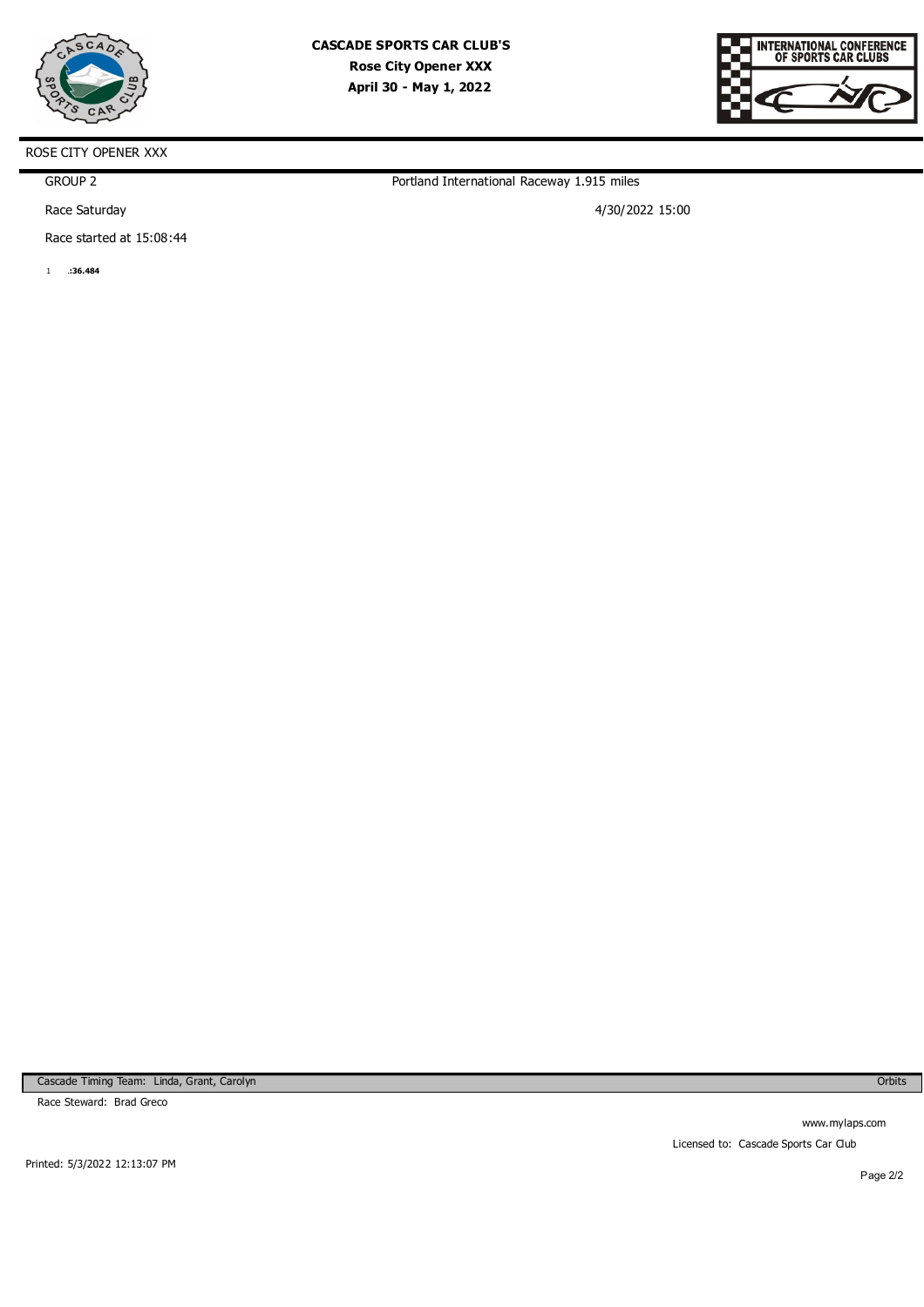



GROUP 2

Race Saturday

Race started at 15:08:44

1 **1:36.484** 

Portland International Raceway 1.915 miles

4/30/2022 15:00

Cascade Timing Team: Linda, Grant, Carolyn

Race Steward: Brad Greco

Orbits

www.mylaps.com Licensed to: Cascade Sports Car Club

Printed: 5/3/2022 12:13:07 PM

Page 2/2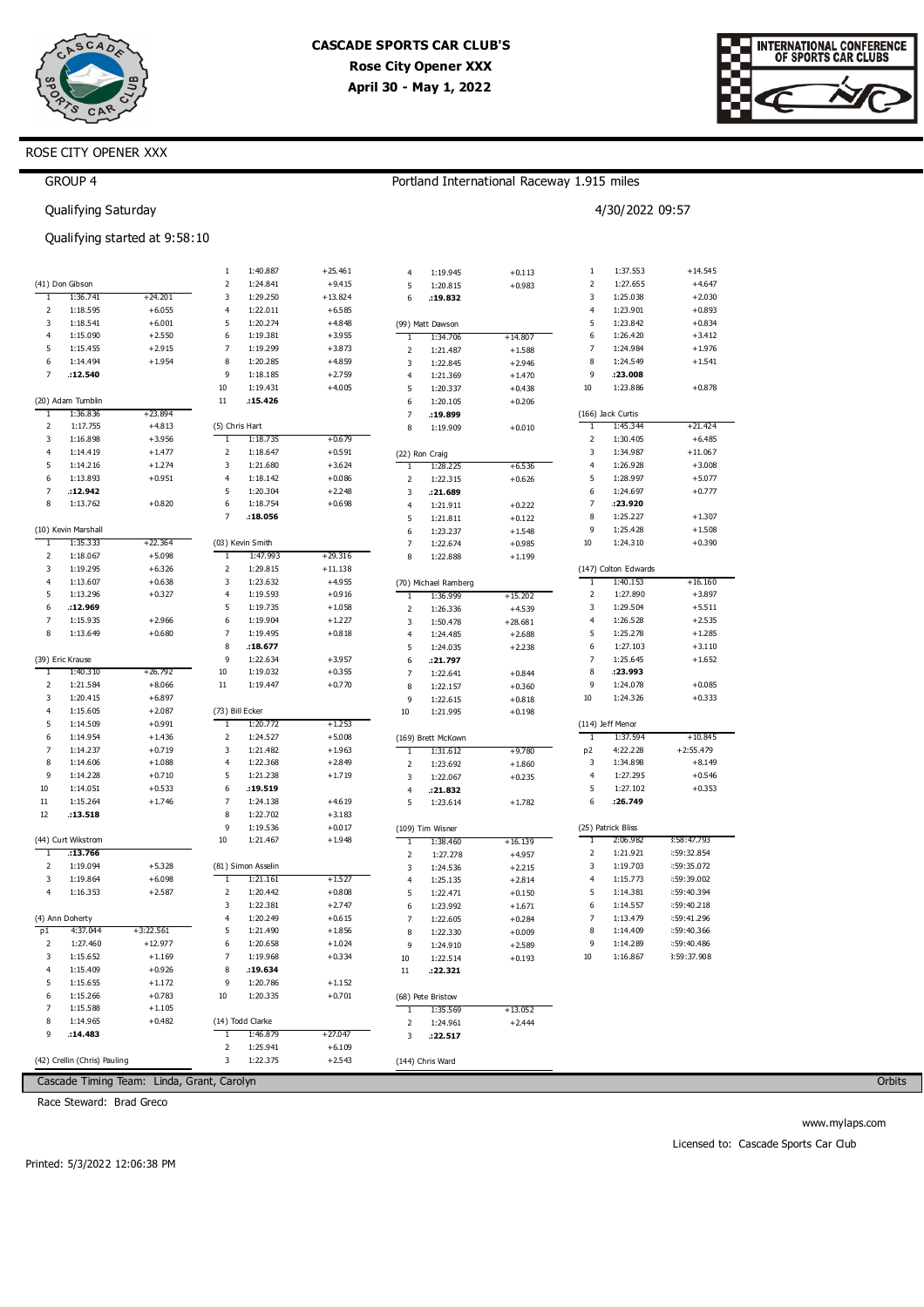



# ROSE CITY OPENER XXX

|                     | GROUP 4                      |                                            |                 |                      |                      |                          |                      | Portland International Raceway 1.915 miles |                     |                      |                           |
|---------------------|------------------------------|--------------------------------------------|-----------------|----------------------|----------------------|--------------------------|----------------------|--------------------------------------------|---------------------|----------------------|---------------------------|
|                     | Qualifying Saturday          |                                            |                 |                      |                      |                          |                      |                                            |                     | 4/30/2022 09:57      |                           |
|                     |                              | Qualifying started at 9:58:10              |                 |                      |                      |                          |                      |                                            |                     |                      |                           |
|                     |                              |                                            | $1\,$           | 1:40.887             | $+25.461$            | 4                        | 1:19.945             | $+0.113$                                   | 1                   | 1:37.553             | $+14.545$                 |
|                     | (41) Don Gibson              |                                            | $\mathbf 2$     | 1:24.841             | $+9.415$             | 5                        | 1:20.815             | $+0.983$                                   | 2                   | 1:27.655             | $+4.647$                  |
| $\mathbf{1}$        | 1:36.741                     | $+24.201$                                  | 3               | 1:29.250             | $+13.824$            | 6                        | :19.832              |                                            | 3                   | 1:25.038             | $+2.030$                  |
| 2                   | 1:18.595                     | $+6.055$                                   | 4               | 1:22.011             | $+6.585$             |                          |                      |                                            | $\overline{4}$      | 1:23.901             | $+0.893$                  |
| 3                   | 1:18.541                     | $+6.001$                                   | 5               | 1:20.274             | $+4.848$             |                          | (99) Matt Dawson     |                                            | 5                   | 1:23.842             | $+0.834$                  |
| 4                   | 1:15.090                     | $+2.550$                                   | 6               | 1:19.381             | $+3.955$             | 1                        | 1:34.706             | $+14.807$                                  | 6<br>$\overline{7}$ | 1:26.420             | $+3.412$                  |
| 5                   | 1:15.455                     | $+2.915$                                   | $\overline{7}$  | 1:19.299             | $+3.873$             | $\mathsf 2$              | 1:21.487             | $+1.588$                                   |                     | 1:24.984             | $+1.976$                  |
| 6<br>$\overline{7}$ | 1:14.494<br>:12.540          | $+1.954$                                   | 8<br>9          | 1:20.285             | $+4.859$<br>$+2.759$ | 3                        | 1:22.845             | $+2.946$                                   | 8<br>9              | 1:24.549<br>:23.008  | $+1.541$                  |
|                     |                              |                                            | $10\,$          | 1:18.185<br>1:19.431 | $+4.005$             | 4                        | 1:21.369             | $+1.470$                                   | 10                  | 1:23.886             | $+0.878$                  |
|                     | (20) Adam Tumblin            |                                            | 11              | .15.426              |                      | 5<br>6                   | 1:20.337<br>1:20.105 | $+0.438$<br>$+0.206$                       |                     |                      |                           |
| 1                   | 1:36.836                     | $+23.894$                                  |                 |                      |                      | 7                        | :19.899              |                                            |                     | (166) Jack Curtis    |                           |
| 2                   | 1:17.755                     | $+4.813$                                   | (5) Chris Hart  |                      |                      | 8                        | 1:19.909             | $+0.010$                                   | $\mathbf{1}$        | 1:45.344             | $+21.424$                 |
| 3                   | 1:16.898                     | $+3.956$                                   | $\mathbf{1}$    | 1:18.735             | $+0.679$             |                          |                      |                                            | 2                   | 1:30.405             | $+6.485$                  |
| $\overline{4}$      | 1:14.419                     | $+1.477$                                   | 2               | 1:18.647             | $+0.591$             |                          | (22) Ron Craig       |                                            | 3                   | 1:34.987             | $+11.067$                 |
| 5                   | 1:14.216                     | $+1.274$                                   | 3               | 1:21.680             | $+3.624$             | T                        | 1:28.225             | $+6.536$                                   | 4                   | 1:26.928             | $+3.008$                  |
| 6                   | 1:13.893                     | $+0.951$                                   | 4               | 1:18.142             | $+0.086$             | $\overline{\mathbf{c}}$  | 1:22.315             | $+0.626$                                   | 5                   | 1:28.997             | $+5.077$                  |
| $\overline{7}$      | .12.942                      |                                            | 5               | 1:20.304             | $+2.248$             | 3                        | : 21.689             |                                            | 6                   | 1:24.697             | $+0.777$                  |
| 8                   | 1:13.762                     | $+0.820$                                   | 6               | 1:18.754             | $+0.698$             | 4                        | 1:21.911             | $+0.222$                                   | 7                   | :23.920              |                           |
|                     |                              |                                            | 7               | .18.056              |                      | 5                        | 1:21.811             | $+0.122$                                   | 8                   | 1:25.227             | $+1.307$                  |
|                     | (10) Kevin Marshall          |                                            |                 |                      |                      | 6                        | 1:23.237             | $+1.548$                                   | 9                   | 1:25.428             | $+1.508$                  |
| $\mathbf{1}$        | 1:35.333                     | $+22.364$                                  |                 | (03) Kevin Smith     |                      | $\overline{7}$           | 1:22.674             | $+0.985$                                   | 10                  | 1:24.310             | $+0.390$                  |
| $\mathbf 2$         | 1:18.067                     | $+5.098$                                   | 1               | 1:47.993             | $+29.316$            | 8                        | 1:22.888             | $+1.199$                                   |                     |                      |                           |
| 3                   | 1:19.295                     | $+6.326$                                   | 2               | 1:29.815             | $+11.138$            |                          |                      |                                            |                     | (147) Colton Edwards |                           |
| 4                   | 1:13.607                     | $+0.638$                                   | 3               | 1:23.632             | $+4.955$             |                          | (70) Michael Ramberg |                                            | 1                   | 1:40.153             | $+16.160$                 |
| 5                   | 1:13.296                     | $+0.327$                                   | 4               | 1:19.593             | $+0.916$             | T                        | 1:36.999             | $+15.202$                                  | 2                   | 1:27.890             | $+3.897$                  |
| 6                   | :12.969                      |                                            | 5               | 1:19.735             | $+1.058$             | 2                        | 1:26.336             | $+4.539$                                   | 3                   | 1:29.504             | $+5.511$                  |
| 7                   | 1:15.935                     | $+2.966$                                   | 6               | 1:19.904             | $+1.227$             | 3                        | 1:50.478             | $+28.681$                                  | 4                   | 1:26.528             | $+2.535$                  |
| 8                   | 1:13.649                     | $+0.680$                                   | 7               | 1:19.495             | $+0.818$             | 4                        | 1:24.485             | $+2.688$                                   | 5                   | 1:25.278             | $+1.285$                  |
|                     |                              |                                            | 8               | :18.677              |                      | 5                        | 1:24.035             | $+2.238$                                   | 6                   | 1:27.103             | $+3.110$                  |
|                     | (39) Eric Krause             |                                            | 9               | 1:22.634             | $+3.957$             | 6                        | :21.797              |                                            | 7                   | 1:25.645             | $+1.652$                  |
| $\mathbf{1}$        | 1:40.310                     | +26.792                                    | 10              | 1:19.032             | $+0.355$             | $\overline{\phantom{a}}$ | 1:22.641             | $+0.844$                                   | 8                   | :23.993              |                           |
| 2                   | 1:21.584                     | $+8.066$                                   | $11\,$          | 1:19.447             | $+0.770$             | 8                        | 1:22.157             | $+0.360$                                   | 9                   | 1:24.078             | $+0.085$                  |
| 3                   | 1:20.415                     | $+6.897$                                   |                 |                      |                      | 9                        | 1:22.615             | $+0.818$                                   | 10                  | 1:24.326             | $+0.333$                  |
| $\overline{4}$      | 1:15.605                     | $+2.087$                                   | (73) Bill Ecker |                      |                      | 10                       | 1:21.995             | $+0.198$                                   |                     |                      |                           |
| 5                   | 1:14.509                     | $+0.991$                                   | 1               | 1:20.772             | $+1.253$             |                          |                      |                                            |                     | (114) Jeff Menor     |                           |
| 6                   | 1:14.954                     | $+1.436$                                   | 2               | 1:24.527             | $+5.008$             |                          | (169) Brett McKown   |                                            | Τ                   | 1:37.594             | $+10.845$                 |
| $\overline{7}$      | 1:14.237                     | $+0.719$                                   | 3               | 1:21.482             | $+1.963$             | T                        | 1:31.612             | $+9.780$                                   | p <sub>2</sub>      | 4:22.228             | $+2:55.479$               |
| 8                   | 1:14.606                     | $+1.088$                                   | 4               | 1:22.368             | $+2.849$             | $\mathsf 2$              | 1:23.692             | $+1.860$                                   | 3                   | 1:34.898             | $+8.149$                  |
| 9                   | 1:14.228                     | $+0.710$                                   | 5               | 1:21.238             | $+1.719$             | 3                        | 1:22.067             | $+0.235$                                   | 4                   | 1:27.295             | $+0.546$                  |
| 10                  | 1:14.051                     | $+0.533$                                   | 6               | .19.519              |                      | 4                        | :21.832              |                                            | 5                   | 1:27.102             | $+0.353$                  |
| $11\,$              | 1:15.264                     | $+1.746$                                   | 7               | 1:24.138             | $+4.619$             | 5                        | 1:23.614             | $+1.782$                                   | 6                   | :26.749              |                           |
| 12                  | .13.518                      |                                            | 8               | 1:22.702             | $+3.183$             |                          |                      |                                            |                     |                      |                           |
|                     |                              |                                            | 9               | 1:19.536             | $+0.017$             |                          | (109) Tim Wisner     |                                            |                     | (25) Patrick Bliss   |                           |
|                     | (44) Curt Wikstrom           |                                            | 10              | 1:21.467             | $+1.948$             | $\mathbf{1}$             | 1:38.460             | $+16.139$                                  |                     | 2:06.982             | 3:58:47.793               |
| $\overline{1}$      | :13.766                      |                                            |                 |                      |                      | 2                        | 1:27.278             | $+4.957$                                   | 2                   | 1:21.921             | :59:32.854                |
| 2                   | 1:19.094                     | $+5.328$                                   |                 | (81) Simon Asselin   |                      | 3                        | 1:24.536             | $+2.215$                                   | 3                   | 1:19.703             | :59:35.072                |
| 3                   | 1:19.864                     | $+6.098$                                   | $\mathbf{1}$    | 1:21.161             | +1.527               | 4                        | 1:25.135             | $+2.814$                                   | 4                   | 1:15.773             | : 59:39.002               |
| 4                   | 1:16.353                     | $+2.587$                                   | 2               | 1:20.442             | $+0.808$             | 5                        | 1:22.471             | $+0.150$                                   | 5                   | 1:14.381             | : 59:40.394               |
|                     |                              |                                            | 3               | 1:22.381             | $+2.747$             | 6                        | 1:23.992             | $+1.671$                                   | 6                   | 1:14.557             | :59:40.218                |
|                     | (4) Ann Doherty              |                                            | 4<br>5          | 1:20.249             | $+0.615$             | 7                        | 1:22.605             | $+0.284$                                   | 7<br>8              | 1:13.479             | : 59:41.296               |
| p1                  | 4:37.044                     | $+3:22.561$                                |                 | 1:21.490             | $+1.856$             | 8                        | 1:22.330             | $+0.009$                                   | 9                   | 1:14.409             | :59:40.366                |
| 2<br>3              | 1:27.460<br>1:15.652         | $+12.977$<br>$+1.169$                      | 6<br>7          | 1:20.658             | $+1.024$<br>$+0.334$ | 9                        | 1:24.910             | $+2.589$                                   | 10                  | 1:14.289<br>1:16.867 | :59:40.486<br>3:59:37.908 |
| 4                   |                              |                                            | 8               | 1:19.968<br>:19.634  |                      | 10                       | 1:22.514             | $+0.193$                                   |                     |                      |                           |
| 5                   | 1:15.409                     | $+0.926$                                   | 9               |                      |                      | $11\,$                   | :22.321              |                                            |                     |                      |                           |
| 6                   | 1:15.655<br>1:15.266         | $+1.172$<br>$+0.783$                       | 10              | 1:20.786<br>1:20.335 | $+1.152$<br>$+0.701$ |                          |                      |                                            |                     |                      |                           |
| $\overline{7}$      | 1:15.588                     | $+1.105$                                   |                 |                      |                      |                          | (68) Pete Bristow    |                                            |                     |                      |                           |
| 8                   |                              |                                            |                 | (14) Todd Clarke     |                      | 1                        | 1:35.569             | $+13.052$                                  |                     |                      |                           |
| 9                   | 1:14.965<br>.14.483          | $+0.482$                                   | 1               | 1:46.879             | $+27.047$            | 2                        | 1:24.961             | $+2.444$                                   |                     |                      |                           |
|                     |                              |                                            | 2               | 1:25.941             | $+6.109$             | 3                        | :22.517              |                                            |                     |                      |                           |
|                     | (42) Crellin (Chris) Pauling |                                            | 3               | 1:22.375             | $+2.543$             |                          | (144) Chris Ward     |                                            |                     |                      |                           |
|                     |                              |                                            |                 |                      |                      |                          |                      |                                            |                     |                      |                           |
|                     |                              | Cascade Timing Team: Linda, Grant, Carolyn |                 |                      |                      |                          |                      |                                            |                     |                      |                           |

Race Steward: Brad Greco

Orbits

www.mylaps.com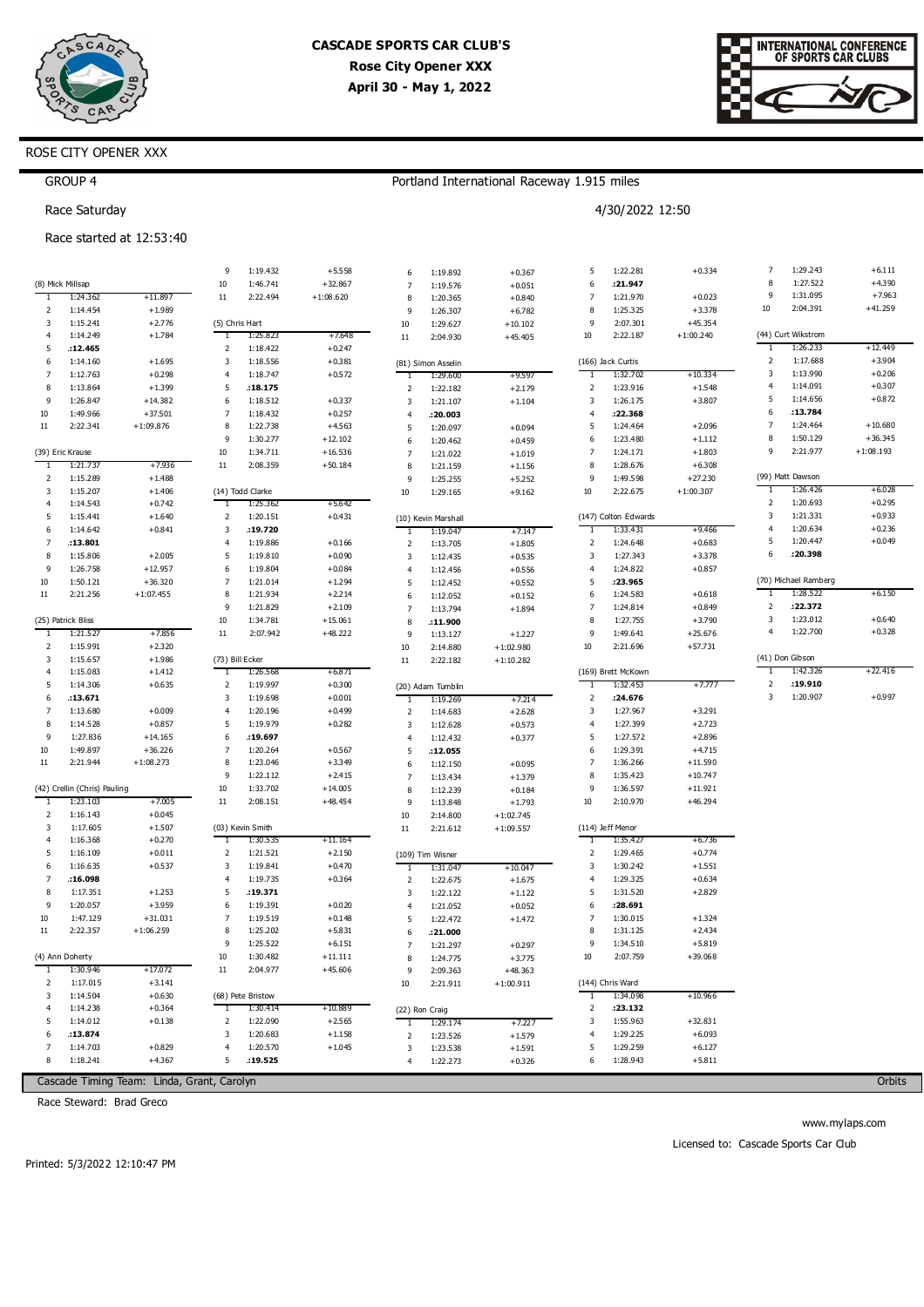

Portland International Raceway 1.915 miles

4/30/2022 12:50



### ROSE CITY OPENER XXX

| <b>GROUP 4</b> |  |
|----------------|--|
|----------------|--|

Race Saturday

#### Race started at 12:53:40

|                |                                |                                            | 9                   | 1:19.432             | $+5.558$             | 6                | 1:19.892             | $+0.367$                   | 5              | 1:22.281             | $+0.334$             | 7              | 1:29.243             | $+6.111$             |
|----------------|--------------------------------|--------------------------------------------|---------------------|----------------------|----------------------|------------------|----------------------|----------------------------|----------------|----------------------|----------------------|----------------|----------------------|----------------------|
|                | (8) Mick Millsap               |                                            | 10                  | 1:46.741             | $+32.867$            | $\overline{7}$   | 1:19.576             | $+0.051$                   | 6              | : 21.947             |                      | 8              | 1:27.522             | $+4.390$             |
| 1              | 1:24.362                       | $+11.897$                                  | 11                  | 2:22.494             | $+1:08.620$          | 8                | 1:20.365             | $+0.840$                   | $\overline{7}$ | 1:21.970             | $+0.023$             | 9              | 1:31.095             | $+7.963$             |
| 2              | 1:14.454                       | $+1.989$                                   |                     |                      |                      | 9                | 1:26.307             | $+6.782$                   | 8              | 1:25.325             | $+3.378$             | 10             | 2:04.391             | $+41.259$            |
| 3              | 1:15.241                       | $+2.776$                                   |                     | (5) Chris Hart       |                      | $10\,$           | 1:29.627             | $+10.102$                  | 9              | 2:07.301             | $+45.354$            |                |                      |                      |
| 4              | 1:14.249                       | $+1.784$                                   | T                   | 1:25.823             | $+7.648$             | $11\,$           | 2:04.930             | $+45.405$                  | 10             | 2:22.187             | $+1:00.240$          |                | (44) Curt Wikstrom   |                      |
| 5              | .12.465                        |                                            | $\overline{2}$      | 1:18.422             | $+0.247$             |                  |                      |                            |                |                      |                      | Τ              | 1:26.233             | +12.449              |
| 6              | 1:14.160                       | $+1.695$                                   | 3                   | 1:18.556             | $+0.381$             |                  | (81) Simon Asselin   |                            |                | (166) Jack Curtis    |                      | 2              | 1:17.688             | $+3.904$             |
| 7              | 1:12.763                       | $+0.298$                                   | $\overline{4}$      | 1:18.747             | $+0.572$             | Τ                | 1:29.600             | $+9.597$                   | $\mathbf{1}$   | 1:32.702             | $+10.334$            | 3              | 1:13.990             | $+0.206$             |
| 8              | 1:13.864                       | $+1.399$                                   | 5                   | .18.175              |                      | $\overline{2}$   | 1:22.182             | $+2.179$                   | $\overline{2}$ | 1:23.916             | $+1.548$             | $\overline{4}$ | 1:14.091             | $+0.307$             |
| 9              | 1:26.847                       | $+14.382$                                  | 6                   | 1:18.512             | $+0.337$             | 3                | 1:21.107             | $+1.104$                   | 3              | 1:26.175             | $+3.807$             | 5              | 1:14.656             | $+0.872$             |
| 10             | 1:49.966                       | $+37.501$                                  | 7                   | 1:18.432             | $+0.257$             | $\overline{4}$   | : 20.003             |                            | 4              | :22.368              |                      | 6              | :13.784              |                      |
| 11             | 2:22.341                       | $+1:09.876$                                | 8                   | 1:22.738             | $+4.563$             | 5                | 1:20.097             | $+0.094$                   | 5              | 1:24.464             | $+2.096$             | $\overline{7}$ | 1:24.464             | $+10.680$            |
|                |                                |                                            | 9                   | 1:30.277             | $+12.102$            | 6                | 1:20.462             | $+0.459$                   | 6              | 1:23.480             | $+1.112$             | 8              | 1:50.129             | $+36.345$            |
|                | (39) Eric Krause               |                                            | $10\,$              | 1:34.711             | $+16.536$            | $\overline{7}$   | 1:21.022             | $+1.019$                   | 7              | 1:24.171             | $+1.803$             | 9              | 2:21.977             | $+1:08.193$          |
| -1             | 1:21.737                       | $+7.936$                                   | $11$                | 2:08.359             | $+50.184$            | 8                | 1:21.159             | $+1.156$                   | 8              | 1:28.676             | $+6.308$             |                |                      |                      |
| 2              | 1:15.289                       | $+1.488$                                   |                     |                      |                      | 9                | 1:25.255             | $+5.252$                   | 9              | 1:49.598             | $+27.230$            |                | (99) Matt Dawson     |                      |
| 3              | 1:15.207                       | $+1.406$                                   |                     | (14) Todd Clarke     |                      | 10               | 1:29.165             | $+9.162$                   | 10             | 2:22.675             | $+1:00.307$          |                | 1:26.426<br>1:20.693 | $+6.028$<br>$+0.295$ |
| 4              | 1:14.543                       | $+0.742$                                   | 1                   | 1:25.362             | +5.642               |                  |                      |                            |                |                      |                      | 2<br>3         | 1:21.331             | $+0.933$             |
| 5              | 1:15.441                       | $+1.640$                                   | 2                   | 1:20.151             | $+0.431$             |                  | (10) Kevin Marshall  |                            |                | (147) Colton Edwards |                      | $\overline{4}$ | 1:20.634             | $+0.236$             |
| 6              | 1:14.642                       | $+0.841$                                   | 3                   | :19.720              |                      | 1                | 1:19.047             | $+7.147$                   | 1              | 1:33.431             | $+9.466$             | 5              | 1:20.447             | $+0.049$             |
| 7              | .13.801                        |                                            | $\overline{4}$      | 1:19.886             | $+0.166$             | $\overline{2}$   | 1:13.705             | $+1.805$                   | $\overline{2}$ | 1:24.648             | $+0.683$             | 6              | :20.398              |                      |
| 8              | 1:15.806                       | $+2.005$                                   | 5                   | 1:19.810             | $+0.090$             | 3                | 1:12.435             | $+0.535$                   | 3              | 1:27.343             | $+3.378$             |                |                      |                      |
| 9              | 1:26.758                       | $+12.957$                                  | 6                   | 1:19.804             | $+0.084$             | $\overline{4}$   | 1:12.456             | $+0.556$                   | 4              | 1:24.822             | $+0.857$             |                | (70) Michael Ramberg |                      |
| 10             | 1:50.121                       | $+36.320$                                  | $\overline{7}$<br>8 | 1:21.014             | $+1.294$             | 5                | 1:12.452             | $+0.552$                   | 5<br>6         | :23.965              |                      | T              | 1:28.522             | $+6.150$             |
| 11             | 2:21.256                       | $+1:07.455$                                | 9                   | 1:21.934             | $+2.214$<br>$+2.109$ | 6                | 1:12.052             | $+0.152$                   | 7              | 1:24.583             | $+0.618$<br>$+0.849$ | 2              | :22.372              |                      |
|                |                                |                                            | 10                  | 1:21.829<br>1:34.781 | $+15.061$            | $\overline{7}$   | 1:13.794             | $+1.894$                   | 8              | 1:24.814<br>1:27.755 | $+3.790$             | 3              | 1:23.012             | $+0.640$             |
|                | (25) Patrick Bliss<br>1:21.527 |                                            | $11$                | 2:07.942             | $+48.222$            | 8                | :11.900              |                            | 9              | 1:49.641             | $+25.676$            | $\overline{4}$ | 1:22.700             | $+0.328$             |
| -1<br>2        | 1:15.991                       | $+7.856$<br>$+2.320$                       |                     |                      |                      | 9                | 1:13.127             | $+1.227$                   | 10             | 2:21.696             | $+57.731$            |                |                      |                      |
| 3              | 1:15.657                       | $+1.986$                                   |                     | (73) Bill Ecker      |                      | $10\,$<br>$11\,$ | 2:14.880<br>2:22.182 | $+1:02.980$<br>$+1:10.282$ |                |                      |                      |                | (41) Don Gibson      |                      |
| 4              | 1:15.083                       | $+1.412$                                   | T                   | 1:26.568             | +6.871               |                  |                      |                            |                | (169) Brett McKown   |                      | 1              | 1:42.326             | $+22.416$            |
| 5              | 1:14.306                       | $+0.635$                                   | $\overline{2}$      | 1:19.997             | $+0.300$             |                  | (20) Adam Tumblin    |                            | 1              | 1:32.453             | $+7.777$             | 2              | :19.910              |                      |
| 6              | :13.671                        |                                            | 3                   | 1:19.698             | $+0.001$             | 1                | 1:19.269             | $+7.214$                   | $\overline{2}$ | : 24.676             |                      | 3              | 1:20.907             | $+0.997$             |
| 7              | 1:13.680                       | $+0.009$                                   | $\overline{4}$      | 1:20.196             | $+0.499$             | $\overline{2}$   | 1:14.683             | $+2.628$                   | 3              | 1:27.967             | $+3.291$             |                |                      |                      |
| 8              | 1:14.528                       | $+0.857$                                   | 5                   | 1:19.979             | $+0.282$             | 3                | 1:12.628             | $+0.573$                   | 4              | 1:27.399             | $+2.723$             |                |                      |                      |
| 9              | 1:27.836                       | $+14.165$                                  | 6                   | .19.697              |                      | $\overline{4}$   | 1:12.432             | $+0.377$                   | 5              | 1:27.572             | $+2.896$             |                |                      |                      |
| 10             | 1:49.897                       | $+36.226$                                  | $\overline{7}$      | 1:20.264             | $+0.567$             | 5                | .12.055              |                            | 6              | 1:29.391             | $+4.715$             |                |                      |                      |
| 11             | 2:21.944                       | $+1:08.273$                                | 8                   | 1:23.046             | $+3.349$             | 6                | 1:12.150             | $+0.095$                   | $\overline{7}$ | 1:36.266             | $+11.590$            |                |                      |                      |
|                |                                |                                            | 9                   | 1:22.112             | $+2.415$             | $\overline{7}$   | 1:13.434             | $+1.379$                   | 8              | 1:35.423             | $+10.747$            |                |                      |                      |
|                | (42) Crellin (Chris) Pauling   |                                            | 10                  | 1:33.702             | $+14.005$            | 8                | 1:12.239             | $+0.184$                   | 9              | 1:36.597             | $+11.921$            |                |                      |                      |
| 1              | 1:23.103                       | $+7.005$                                   | 11                  | 2:08.151             | $+48.454$            | 9                | 1:13.848             | $+1.793$                   | 10             | 2:10.970             | $+46.294$            |                |                      |                      |
| 2              | 1:16.143                       | $+0.045$                                   |                     |                      |                      | $10\,$           | 2:14.800             | $+1:02.745$                |                |                      |                      |                |                      |                      |
| 3              | 1:17.605                       | $+1.507$                                   |                     | (03) Kevin Smith     |                      | $11\,$           | 2:21.612             | $+1:09.557$                |                | (114) Jeff Menor     |                      |                |                      |                      |
| $\overline{4}$ | 1:16.368                       | $+0.270$                                   | 1                   | 1:30.535             | +11.164              |                  |                      |                            | T              | 1:35.427             | $+6.736$             |                |                      |                      |
| 5              | 1:16.109                       | $+0.011$                                   | $\mathbf 2$         | 1:21.521             | $+2.150$             |                  | (109) Tim Wisner     |                            | $\overline{2}$ | 1:29.465             | $+0.774$             |                |                      |                      |
| 6              | 1:16.635                       | $+0.537$                                   | 3                   | 1:19.841             | $+0.470$             | 1                | 1:31.047             | $+10.047$                  | 3              | 1:30.242             | $+1.551$             |                |                      |                      |
| 7              | .16.098                        |                                            | $\overline{4}$      | 1:19.735             | $+0.364$             | 2                | 1:22.675             | $+1.675$                   | 4              | 1:29.325             | $+0.634$             |                |                      |                      |
| 8              | 1:17.351                       | $+1.253$                                   | 5                   | :19.371              |                      | 3                | 1:22.122             | $+1.122$                   | 5              | 1:31.520             | $+2.829$             |                |                      |                      |
| 9              | 1:20.057                       | $+3.959$                                   | 6                   | 1:19.391             | $+0.020$             | $\overline{4}$   | 1:21.052             | $+0.052$                   | 6              | .28.691              |                      |                |                      |                      |
| 10             | 1:47.129                       | $+31.031$                                  | $\overline{7}$      | 1:19.519             | $+0.148$             | 5                | 1:22.472             | $+1.472$                   | $\overline{7}$ | 1:30.015             | $+1.324$             |                |                      |                      |
| 11             | 2:22.357                       | $+1:06.259$                                | 8                   | 1:25.202             | $+5.831$             | 6                | :21.000              |                            | 8              | 1:31.125             | $+2.434$             |                |                      |                      |
|                |                                |                                            | 9                   | 1:25.522             | $+6.151$             | 7                | 1:21.297             | $+0.297$                   | 9              | 1:34.510             | $+5.819$             |                |                      |                      |
|                | (4) Ann Doherty                |                                            | 10                  | 1:30.482             | $+11.111$            | 8                | 1:24.775             | +3.775                     | 10             | 2:07.759             | $+39.068$            |                |                      |                      |
| $\mathbf{1}$   | 1:30.946                       | $+17.072$                                  | 11                  | 2:04.977             | $+45.606$            | 9                | 2:09.363             | $+48.363$                  |                |                      |                      |                |                      |                      |
| 2              | 1:17.015                       | $+3.141$                                   |                     |                      |                      | 10               | 2:21.911             | $+1:00.911$                |                | (144) Chris Ward     |                      |                |                      |                      |
| 3              | 1:14.504                       | $+0.630$                                   |                     | (68) Pete Bristow    |                      |                  |                      |                            | 1              | 1:34.098             | $+10.966$            |                |                      |                      |
| 4              | 1:14.238                       | $+0.364$                                   | $\overline{1}$      | 1:30.414             | +10.889              |                  | (22) Ron Craig       |                            | 2              | : 23.132             |                      |                |                      |                      |
| 5              | 1:14.012                       | $+0.138$                                   | $\overline{2}$      | 1:22.090             | $+2.565$             | T                | 1:29.174             | $+7.227$                   | 3              | 1:55.963             | $+32.831$            |                |                      |                      |
| 6              | :13.874                        |                                            | 3                   | 1:20.683             | $+1.158$             | $\overline{2}$   | 1:23.526             | $+1.579$                   | 4              | 1:29.225             | $+6.093$             |                |                      |                      |
| 7              | 1:14.703                       | $+0.829$                                   | 4                   | 1:20.570             | $+1.045$             | 3                | 1:23.538             | $+1.591$                   | 5              | 1:29.259             | $+6.127$             |                |                      |                      |
| 8              | 1:18.241                       | $+4.367$                                   | 5                   | .19.525              |                      | 4                | 1:22.273             | $+0.326$                   | 6              | 1:28.943             | $+5.811$             |                |                      |                      |
|                |                                | Cascade Timing Team: Linda, Grant, Carolyn |                     |                      |                      |                  |                      |                            |                |                      |                      |                |                      | Orbits               |
|                |                                |                                            |                     |                      |                      |                  |                      |                            |                |                      |                      |                |                      |                      |

Race Steward: Brad Greco

Orbits

www.mylaps.com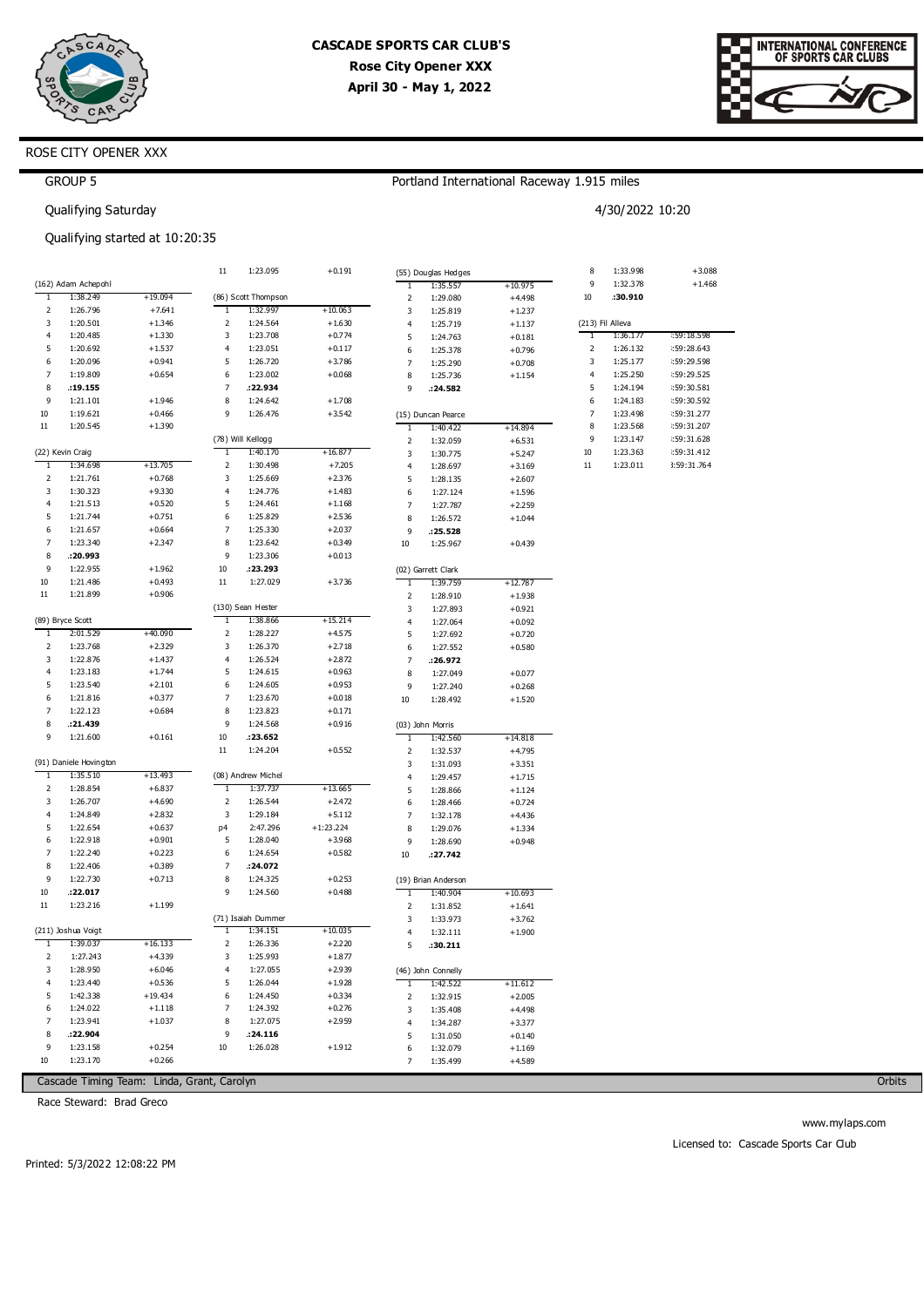



# ROSE CITY OPENER XXX

GROUP 5

## Portland International Raceway 1.915 miles

4/30/2022 10:20

Qualifying Saturday

Qualifying started at 10:20:35

|                |                        |           | $11\,$         | 1:23.095            | $+0.191$    |                | (55) Douglas Hedges |           | 8  | 1:33.998         | $+3.088$    |
|----------------|------------------------|-----------|----------------|---------------------|-------------|----------------|---------------------|-----------|----|------------------|-------------|
|                | (162) Adam Achepohl    |           |                |                     |             | 1              | 1:35.557            | $+10.975$ | 9  | 1:32.378         | $+1.468$    |
| T              | 1:38.249               | $+19.094$ |                | (86) Scott Thompson |             | $\overline{2}$ | 1:29.080            | $+4.498$  | 10 | :30.910          |             |
| $\mathbf 2$    | 1:26.796               | $+7.641$  | 1              | 1:32.997            | $+10.063$   | 3              | 1:25.819            | $+1.237$  |    |                  |             |
| 3              | 1:20.501               | $+1.346$  | $\mathsf 2$    | 1:24.564            | $+1.630$    | 4              | 1:25.719            | $+1.137$  |    | (213) Fil Alleva |             |
| $\overline{4}$ | 1:20.485               | $+1.330$  | 3              | 1:23.708            | $+0.774$    | 5              | 1:24.763            | $+0.181$  | T  | 1:36.177         | :59:18.598  |
| 5              | 1:20.692               | $+1.537$  | $\overline{4}$ | 1:23.051            | $+0.117$    | 6              | 1:25.378            | $+0.796$  | 2  | 1:26.132         | :59:28.643  |
| 6              | 1:20.096               | $+0.941$  | 5              | 1:26.720            | $+3.786$    | $\overline{7}$ | 1:25.290            | $+0.708$  | 3  | 1:25.177         | :59:29.598  |
| $\overline{7}$ | 1:19.809               | $+0.654$  | 6              | 1:23.002            | $+0.068$    | 8              | 1:25.736            | $+1.154$  | 4  | 1:25.250         | :59:29.525  |
| 8              | .19.155                |           | 7              | :22.934             |             | 9              | .24.582             |           | 5  | 1:24.194         | :59:30.581  |
| 9              | 1:21.101               | $+1.946$  | 8              | 1:24.642            | $+1.708$    |                |                     |           | 6  | 1:24.183         | :59:30.592  |
| 10             | 1:19.621               | $+0.466$  | 9              | 1:26.476            | $+3.542$    |                | (15) Duncan Pearce  |           | 7  | 1:23.498         | :59:31.277  |
| $11\,$         | 1:20.545               | $+1.390$  |                |                     |             | 1              | 1:40.422            | +14.894   | 8  | 1:23.568         | :59:31.207  |
|                |                        |           |                | (78) Will Kellogg   |             | $\overline{2}$ | 1:32.059            | $+6.531$  | 9  | 1:23.147         | :59:31.628  |
|                | (22) Kevin Craig       |           | 1              | 1:40.170            | $+16.877$   | 3              | 1:30.775            | $+5.247$  | 10 | 1:23.363         | :59:31.412  |
| $\mathbf{1}$   | 1:34.698               | $+13.705$ | 2              | 1:30.498            | $+7.205$    | 4              | 1:28.697            | $+3.169$  | 11 | 1:23.011         | 3:59:31.764 |
| $\overline{2}$ | 1:21.761               | $+0.768$  | 3              | 1:25.669            | $+2.376$    | 5              | 1:28.135            | $+2.607$  |    |                  |             |
| 3              | 1:30.323               | $+9.330$  | $\overline{4}$ | 1:24.776            | $+1.483$    | 6              | 1:27.124            | $+1.596$  |    |                  |             |
| 4              | 1:21.513               | $+0.520$  | 5              | 1:24.461            | $+1.168$    | 7              | 1:27.787            | $+2.259$  |    |                  |             |
| 5              | 1:21.744               | $+0.751$  | 6              | 1:25.829            | $+2.536$    | 8              | 1:26.572            | $+1.044$  |    |                  |             |
| 6              | 1:21.657               | $+0.664$  | 7              | 1:25.330            | $+2.037$    | 9              | .25.528             |           |    |                  |             |
| $\overline{7}$ | 1:23.340               | $+2.347$  | 8              | 1:23.642            | $+0.349$    | 10             | 1:25.967            | $+0.439$  |    |                  |             |
| 8              | :20.993                |           | 9              | 1:23.306            | $+0.013$    |                |                     |           |    |                  |             |
| 9              | 1:22.955               | $+1.962$  | 10             | :23.293             |             |                | (02) Garrett Clark  |           |    |                  |             |
| 10             | 1:21.486               | $+0.493$  | $11\,$         | 1:27.029            | $+3.736$    | $\mathbf{1}$   | 1:39.759            | $+12.787$ |    |                  |             |
| $11\,$         | 1:21.899               | $+0.906$  |                |                     |             | 2              | 1:28.910            | $+1.938$  |    |                  |             |
|                |                        |           |                | (130) Sean Hester   |             | 3              | 1:27.893            | $+0.921$  |    |                  |             |
|                | (89) Bryce Scott       |           | ٦              | 1:38.866            | +15.214     | $\overline{4}$ | 1:27.064            | $+0.092$  |    |                  |             |
| $\mathbf{1}$   | 2:01.529               | $+40.090$ | 2              | 1:28.227            | $+4.575$    | 5              | 1:27.692            | $+0.720$  |    |                  |             |
| $\mathsf{2}$   | 1:23.768               | $+2.329$  | 3              | 1:26.370            | $+2.718$    | 6              | 1:27.552            | $+0.580$  |    |                  |             |
| 3              | 1:22.876               | $+1.437$  | 4              | 1:26.524            | $+2.872$    | 7              | :26.972             |           |    |                  |             |
| 4              | 1:23.183               | $+1.744$  | 5              | 1:24.615            | $+0.963$    | 8              | 1:27.049            | $+0.077$  |    |                  |             |
| 5              | 1:23.540               | $+2.101$  | 6              | 1:24.605            | $+0.953$    | 9              | 1:27.240            | $+0.268$  |    |                  |             |
| 6              | 1:21.816               | $+0.377$  | 7              | 1:23.670            | $+0.018$    | 10             | 1:28.492            | $+1.520$  |    |                  |             |
| $\overline{7}$ | 1:22.123               | $+0.684$  | 8              | 1:23.823            | $+0.171$    |                |                     |           |    |                  |             |
| 8              | :21.439                |           | 9              | 1:24.568            | $+0.916$    |                | (03) John Morris    |           |    |                  |             |
| 9              | 1:21.600               | $+0.161$  | 10             | .23.652             |             | 1              | 1:42.560            | +14.818   |    |                  |             |
|                |                        |           | 11             | 1:24.204            | $+0.552$    | $\mathsf{2}$   | 1:32.537            | $+4.795$  |    |                  |             |
|                | (91) Daniele Hovington |           |                |                     |             | 3              | 1:31.093            | $+3.351$  |    |                  |             |
| 1              | 1:35.510               | $+13.493$ |                | (08) Andrew Michel  |             | 4              | 1:29.457            | $+1.715$  |    |                  |             |
| $\overline{2}$ | 1:28.854               | $+6.837$  | T              | 1:37.737            | $+13.665$   | 5              | 1:28.866            | $+1.124$  |    |                  |             |
| 3              | 1:26.707               | $+4.690$  | $\mathbf 2$    | 1:26.544            | $+2.472$    | 6              | 1:28.466            | $+0.724$  |    |                  |             |
| $\overline{4}$ | 1:24.849               | $+2.832$  | 3              | 1:29.184            | $+5.112$    | 7              | 1:32.178            | $+4.436$  |    |                  |             |
| 5              | 1:22.654               | $+0.637$  | p4             | 2:47.296            | $+1:23.224$ | 8              | 1:29.076            | $+1.334$  |    |                  |             |
| 6              | 1:22.918               | $+0.901$  | 5              | 1:28.040            | $+3.968$    | 9              | 1:28.690            | $+0.948$  |    |                  |             |
| 7              | 1:22.240               | $+0.223$  | 6              | 1:24.654            | $+0.582$    | 10             | : 27.742            |           |    |                  |             |
| 8              | 1:22.406               | $+0.389$  | $\overline{7}$ | :24.072             |             |                |                     |           |    |                  |             |
| 9              | 1:22.730               | $+0.713$  | 8              | 1:24.325            | $+0.253$    |                | (19) Brian Anderson |           |    |                  |             |
| 10             | :22.017                |           | 9              | 1:24.560            | $+0.488$    | 1              | 1:40.904            | +10.693   |    |                  |             |
| $11\,$         | 1:23.216               | $+1.199$  |                |                     |             | 2              | 1:31.852            | $+1.641$  |    |                  |             |
|                |                        |           |                | (71) Isaiah Dummer  |             | 3              | 1:33.973            | $+3.762$  |    |                  |             |
|                | (211) Joshua Voigt     |           | 1              | 1:34.151            | $+10.035$   | $\overline{4}$ | 1:32.111            | $+1.900$  |    |                  |             |
| $\mathbf{1}$   | 1:39.037               | $+16.133$ | $\mathbf 2$    | 1:26.336            | $+2.220$    | 5              | .30.211             |           |    |                  |             |
| 2              | 1:27.243               | $+4.339$  | 3              | 1:25.993            | $+1.877$    |                |                     |           |    |                  |             |
| 3              | 1:28.950               | $+6.046$  | $\overline{4}$ | 1:27.055            | $+2.939$    |                | (46) John Connelly  |           |    |                  |             |
| $\overline{4}$ | 1:23.440               | $+0.536$  | 5              | 1:26.044            | $+1.928$    | 1              | 1:42.522            | $+11.612$ |    |                  |             |
| 5              | 1:42.338               | $+19.434$ | 6              | 1:24.450            | $+0.334$    | $\overline{2}$ | 1:32.915            | $+2.005$  |    |                  |             |
| 6              | 1:24.022               | $+1.118$  | 7              | 1:24.392            | $+0.276$    | 3              | 1:35.408            | $+4.498$  |    |                  |             |
| $\overline{7}$ | 1:23.941               | $+1.037$  | 8              | 1:27.075            | $+2.959$    | $\overline{4}$ | 1:34.287            | $+3.377$  |    |                  |             |
| 8              | :22.904                |           | 9              | : 24.116            |             | 5              | 1:31.050            | $+0.140$  |    |                  |             |
| 9              | 1:23.158               | $+0.254$  | 10             | 1:26.028            | $+1.912$    | 6              | 1:32.079            | $+1.169$  |    |                  |             |
| 10             | 1:23.170               | $+0.266$  |                |                     |             |                | 1:35.499            | $+4.589$  |    |                  |             |

Cascade Timing Team: Linda, Grant, Carolyn

Race Steward: Brad Greco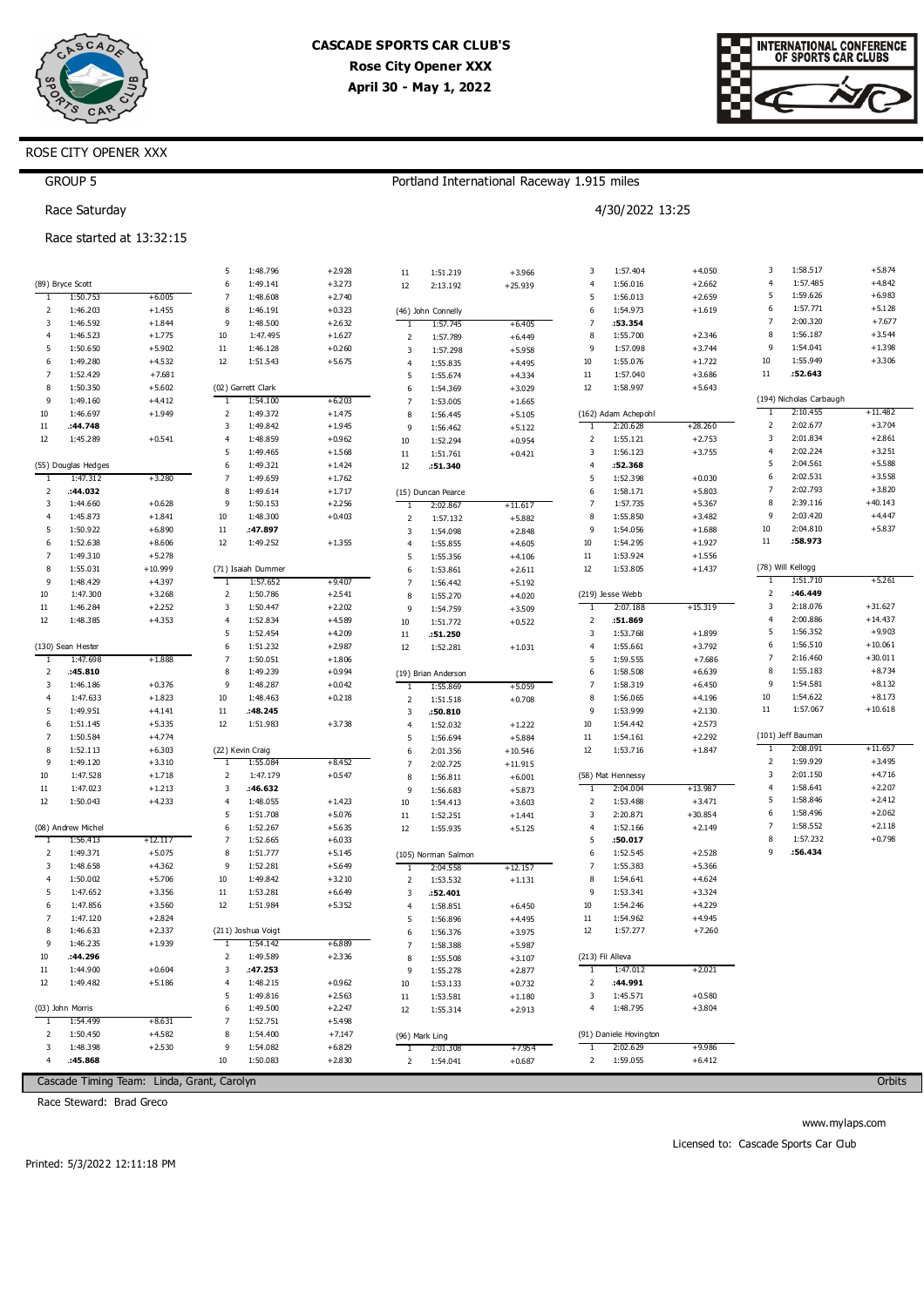

Portland International Raceway 1.915 miles

4/30/2022 13:25



# ROSE CITY OPENER XXX

# GROUP 5

Race Saturday

### Race started at 13:32:15

|                |                     |                                            | 5                       | 1:48.796           | $+2.928$ | 11             | 1:51.219            | $+3.966$  | 3                       | 1:57.404               | $+4.050$  | 3              | 1:58.517                | $+5.874$  |
|----------------|---------------------|--------------------------------------------|-------------------------|--------------------|----------|----------------|---------------------|-----------|-------------------------|------------------------|-----------|----------------|-------------------------|-----------|
|                | (89) Bryce Scott    |                                            | 6                       | 1:49.141           | $+3.273$ | 12             | 2:13.192            | $+25.939$ | $\overline{4}$          | 1:56.016               | $+2.662$  | $\overline{4}$ | 1:57.485                | $+4.842$  |
| -1             | 1:50.753            | $+6.005$                                   | $\overline{7}$          | 1:48.608           | $+2.740$ |                |                     |           | 5                       | 1:56.013               | $+2.659$  | 5              | 1:59.626                | $+6.983$  |
| 2              | 1:46.203            | $+1.455$                                   | 8                       | 1:46.191           | $+0.323$ |                | (46) John Connelly  |           | 6                       | 1:54.973               | $+1.619$  | 6              | 1:57.771                | $+5.128$  |
| 3              | 1:46.592            | $+1.844$                                   | 9                       | 1:48.500           | $+2.632$ | -1             | 1:57.745            | $+6.405$  | $\overline{7}$          | :53.354                |           | $\overline{7}$ | 2:00.320                | $+7.677$  |
| 4              | 1:46.523            | $+1.775$                                   | 10                      | 1:47.495           | $+1.627$ | $\overline{2}$ | 1:57.789            | $+6.449$  | 8                       | 1:55.700               | $+2.346$  | 8              | 1:56.187                | $+3.544$  |
| 5              | 1:50.650            | $+5.902$                                   | $11\,$                  | 1:46.128           | $+0.260$ | 3              | 1:57.298            | $+5.958$  | 9                       | 1:57.098               | $+3.744$  | 9              | 1:54.041                | $+1.398$  |
| 6              | 1:49.280            | $+4.532$                                   | 12                      | 1:51.543           | $+5.675$ | $\overline{4}$ | 1:55.835            | $+4.495$  | 10                      | 1:55.076               | $+1.722$  | 10             | 1:55.949                | $+3.306$  |
| $\overline{7}$ | 1:52.429            | $+7.681$                                   |                         |                    |          | 5              | 1:55.674            | $+4.334$  | $11\,$                  | 1:57.040               | $+3.686$  | $11\,$         | :52.643                 |           |
| 8              | 1:50.350            | $+5.602$                                   |                         | (02) Garrett Clark |          | 6              | 1:54.369            | $+3.029$  | 12                      | 1:58.997               | $+5.643$  |                |                         |           |
| 9              | 1:49.160            | $+4.412$                                   | -1                      | 1:54.100           | $+6.203$ | $\overline{7}$ | 1:53.005            | $+1.665$  |                         |                        |           |                | (194) Nicholas Carbaugh |           |
| 10             | 1:46.697            | $+1.949$                                   | $\overline{\mathbf{2}}$ | 1:49.372           | $+1.475$ | 8              | 1:56.445            | $+5.105$  |                         | (162) Adam Achepohl    |           | T              | 2:10.455                | $+11.482$ |
| $11\,$         | :44.748             |                                            | 3                       | 1:49.842           | $+1.945$ | 9              | 1:56.462            | $+5.122$  | T                       | 2:20.628               | $+28.260$ | 2              | 2:02.677                | $+3.704$  |
| 12             | 1:45.289            | $+0.541$                                   | $\overline{4}$          | 1:48.859           | $+0.962$ | 10             | 1:52.294            | $+0.954$  | $\overline{2}$          | 1:55.121               | $+2.753$  | 3              | 2:01.834                | $+2.861$  |
|                |                     |                                            | 5                       | 1:49.465           | $+1.568$ | 11             | 1:51.761            | $+0.421$  | 3                       | 1:56.123               | $+3.755$  | $\overline{4}$ | 2:02.224                | $+3.251$  |
|                | (55) Douglas Hedges |                                            | 6                       | 1:49.321           | $+1.424$ | 12             | :51.340             |           | $\overline{4}$          | :52.368                |           | 5              | 2:04.561                | $+5.588$  |
| $\overline{1}$ | 1:47.312            | $+3.280$                                   | $\overline{7}$          | 1:49.659           | $+1.762$ |                |                     |           | 5                       | 1:52.398               | $+0.030$  | 6              | 2:02.531                | $+3.558$  |
| 2              | :44.032             |                                            | 8                       | 1:49.614           | $+1.717$ |                | (15) Duncan Pearce  |           | 6                       | 1:58.171               | $+5.803$  | $\overline{7}$ | 2:02.793                | $+3.820$  |
| 3              | 1:44.660            | $+0.628$                                   | 9                       | 1:50.153           | $+2.256$ | $\overline{1}$ | 2:02.867            | $+11.617$ | $\overline{7}$          | 1:57.735               | $+5.367$  | 8              | 2:39.116                | $+40.143$ |
| 4              | 1:45.873            | $+1.841$                                   | 10                      | 1:48.300           | $+0.403$ | $\overline{2}$ | 1:57.132            | $+5.882$  | 8                       | 1:55.850               | $+3.482$  | 9              | 2:03.420                | $+4.447$  |
| 5              | 1:50.922            | $+6.890$                                   | $11\,$                  | :47.897            |          | 3              | 1:54.098            | $+2.848$  | 9                       | 1:54.056               | $+1.688$  | $10\,$         | 2:04.810                | $+5.837$  |
| 6              | 1:52.638            | $+8.606$                                   | 12                      | 1:49.252           | $+1.355$ | $\overline{4}$ | 1:55.855            | $+4.605$  | 10                      | 1:54.295               | $+1.927$  | $11\,$         | :58.973                 |           |
| 7              | 1:49.310            | $+5.278$                                   |                         |                    |          | 5              | 1:55.356            | $+4.106$  | $11\,$                  | 1:53.924               | $+1.556$  |                |                         |           |
| 8              | 1:55.031            | $+10.999$                                  |                         | (71) Isaiah Dummer |          | 6              | 1:53.861            | $+2.611$  | 12                      | 1:53.805               | $+1.437$  |                | (78) Will Kellogg       |           |
| 9              | 1:48.429            | $+4.397$                                   | 1                       | 1:57.652           | $+9.407$ | $\overline{7}$ | 1:56.442            | $+5.192$  |                         |                        |           | T              | 1:51.710                | $+5.261$  |
| 10             | 1:47.300            | $+3.268$                                   | $\overline{\mathbf{2}}$ | 1:50.786           | $+2.541$ | 8              | 1:55.270            | $+4.020$  |                         | (219) Jesse Webb       |           | 2              | :46.449                 |           |
| $11\,$         | 1:46.284            | $+2.252$                                   | 3                       | 1:50.447           | $+2.202$ | 9              | 1:54.759            | $+3.509$  | -1                      | 2:07.188               | $+15.319$ | 3              | 2:18.076                | $+31.627$ |
| 12             | 1:48.385            | $+4.353$                                   | $\overline{4}$          | 1:52.834           | $+4.589$ | 10             | 1:51.772            | $+0.522$  | $\overline{2}$          | :51.869                |           | 4              | 2:00.886                | $+14.437$ |
|                |                     |                                            | 5                       | 1:52.454           | $+4.209$ | 11             | :51.250             |           | $\overline{\mathbf{3}}$ | 1:53.768               | $+1.899$  | 5              | 1:56.352                | $+9.903$  |
|                | (130) Sean Hester   |                                            | 6                       | 1:51.232           | $+2.987$ | 12             | 1:52.281            | $+1.031$  | $\overline{4}$          | 1:55.661               | $+3.792$  | 6              | 1:56.510                | $+10.061$ |
| 1              | 1:47.698            | $+1.888$                                   | 7                       | 1:50.051           | $+1.806$ |                |                     |           | 5                       | 1:59.555               | $+7.686$  | $\overline{7}$ | 2:16.460                | $+30.011$ |
| 2              | :45.810             |                                            | 8                       | 1:49.239           | $+0.994$ |                | (19) Brian Anderson |           | 6                       | 1:58.508               | $+6.639$  | 8              | 1:55.183                | $+8.734$  |
| 3              | 1:46.186            | $+0.376$                                   | 9                       | 1:48.287           | $+0.042$ | 1              | 1:55.869            | $+5.059$  | $\overline{7}$          | 1:58.319               | $+6.450$  | 9              | 1:54.581                | $+8.132$  |
| 4              | 1:47.633            | $+1.823$                                   | 10                      | 1:48.463           | $+0.218$ | $\overline{2}$ | 1:51.518            | $+0.708$  | 8                       | 1:56.065               | $+4.196$  | $10\,$         | 1:54.622                | $+8.173$  |
| 5              | 1:49.951            | $+4.141$                                   | $11\,$                  | :48.245            |          | 3              | :50.810             |           | 9                       | 1:53.999               | $+2.130$  | 11             | 1:57.067                | $+10.618$ |
| 6              | 1:51.145            | $+5.335$                                   | 12                      | 1:51.983           | $+3.738$ | $\overline{4}$ | 1:52.032            | $+1.222$  | 10                      | 1:54.442               | $+2.573$  |                |                         |           |
| $\overline{7}$ | 1:50.584            | $+4.774$                                   |                         |                    |          | 5              | 1:56.694            | $+5.884$  | $11\,$                  | 1:54.161               | $+2.292$  |                | (101) Jeff Bauman       |           |
| 8              | 1:52.113            | $+6.303$                                   |                         | (22) Kevin Craig   |          | 6              | 2:01.356            | $+10.546$ | 12                      | 1:53.716               | $+1.847$  | 1              | 2:08.091                | $+11.657$ |
| 9              | 1:49.120            | $+3.310$                                   | 1                       | 1:55.084           | $+8.452$ | $\overline{7}$ | 2:02.725            | $+11.915$ |                         |                        |           | 2              | 1:59.929                | $+3.495$  |
| 10             | 1:47.528            | $+1.718$                                   | $\overline{\mathbf{2}}$ | 1:47.179           | $+0.547$ | 8              | 1:56.811            | $+6.001$  |                         | (58) Mat Hennessy      |           | 3              | 2:01.150                | $+4.716$  |
| $11\,$         | 1:47.023            | $+1.213$                                   | 3                       | :46.632            |          | 9              | 1:56.683            | $+5.873$  | $\mathbf{1}$            | 2:04.004               | $+13.987$ | 4              | 1:58.641                | $+2.207$  |
| 12             | 1:50.043            | $+4.233$                                   | $\overline{4}$          | 1:48.055           | $+1.423$ | 10             | 1:54.413            | $+3.603$  | $\overline{2}$          | 1:53.488               | $+3.471$  | 5              | 1:58.846                | $+2.412$  |
|                |                     |                                            | 5                       | 1:51.708           | $+5.076$ | $11\,$         | 1:52.251            | $+1.441$  | $\overline{\mathbf{3}}$ | 2:20.871               | $+30.854$ | 6              | 1:58.496                | $+2.062$  |
|                | (08) Andrew Michel  |                                            | 6                       | 1:52.267           | $+5.635$ | 12             | 1:55.935            | $+5.125$  | $\overline{4}$          | 1:52.166               | $+2.149$  | $\overline{7}$ | 1:58.552                | $+2.118$  |
| -1             | 1:56.413            | +12.117                                    | $\overline{7}$          | 1:52.665           | $+6.033$ |                |                     |           | 5                       | :50.017                |           | 8              | 1:57.232                | $+0.798$  |
| 2              | 1:49.371            | $+5.075$                                   | 8                       | 1:51.777           | $+5.145$ |                | (105) Norman Salmon |           | 6                       | 1:52.545               | $+2.528$  | 9              | :56.434                 |           |
| 3              | 1:48.658            | $+4.362$                                   | 9                       | 1:52.281           | $+5.649$ | 1              | 2:04.558            | $+12.157$ | $\overline{7}$          | 1:55.383               | $+5.366$  |                |                         |           |
| $\overline{4}$ | 1:50.002            | $+5.706$                                   | 10                      | 1:49.842           | $+3.210$ | $\overline{2}$ | 1:53.532            | $+1.131$  | 8                       | 1:54.641               | $+4.624$  |                |                         |           |
| 5              | 1:47.652            | $+3.356$                                   | $11\,$                  | 1:53.281           | $+6.649$ | 3              | :52.401             |           | 9                       | 1:53.341               | $+3.324$  |                |                         |           |
| 6              | 1:47.856            | $+3.560$                                   | 12                      | 1:51.984           | $+5.352$ | $\overline{4}$ | 1:58.851            | $+6.450$  | 10                      | 1:54.246               | $+4.229$  |                |                         |           |
| $\overline{7}$ | 1:47.120            | $+2.824$                                   |                         |                    |          | 5              | 1:56.896            | $+4.495$  | $11\,$                  | 1:54.962               | $+4.945$  |                |                         |           |
| 8              | 1:46.633            | $+2.337$                                   |                         | (211) Joshua Voigt |          | 6              | 1:56.376            | $+3.975$  | 12                      | 1:57.277               | $+7.260$  |                |                         |           |
| 9              | 1:46.235            | $+1.939$                                   | T                       | 1:54.142           | $+6.889$ | $\overline{7}$ | 1:58.388            | $+5.987$  |                         |                        |           |                |                         |           |
| 10             | :44.296             |                                            | 2                       | 1:49.589           | $+2.336$ | 8              | 1:55.508            | $+3.107$  |                         | (213) Fil Alleva       |           |                |                         |           |
| 11             | 1:44.900            | $+0.604$                                   | 3                       | :47.253            |          | 9              | 1:55.278            | $+2.877$  | <sup>1</sup>            | 1:47.012               | $+2.021$  |                |                         |           |
| 12             | 1:49.482            | $+5.186$                                   | $\overline{4}$          | 1:48.215           | $+0.962$ | 10             | 1:53.133            | $+0.732$  | 2                       | :44.991                |           |                |                         |           |
|                |                     |                                            | 5                       | 1:49.816           | $+2.563$ | 11             | 1:53.581            | $+1.180$  | 3                       | 1:45.571               | $+0.580$  |                |                         |           |
|                | (03) John Morris    |                                            | 6                       | 1:49.500           | $+2.247$ | 12             | 1:55.314            | $+2.913$  | 4                       | 1:48.795               | $+3.804$  |                |                         |           |
| $\mathbf{1}$   | 1:54.499            | $+8.631$                                   | $\overline{7}$          | 1:52.751           | $+5.498$ |                |                     |           |                         |                        |           |                |                         |           |
| 2              | 1:50.450            | $+4.582$                                   | 8                       | 1:54.400           | $+7.147$ |                | (96) Mark Ling      |           |                         | (91) Daniele Hovington |           |                |                         |           |
| 3              | 1:48.398            | $+2.530$                                   | 9                       | 1:54.082           | $+6.829$ | -1             | 2:01.308            | $+7.954$  |                         | 2:02.629               | $+9.986$  |                |                         |           |
| $\overline{4}$ | :45.868             |                                            | $10\,$                  | 1:50.083           | $+2.830$ | 2              | 1:54.041            | $+0.687$  | 2                       | 1:59.055               | $+6.412$  |                |                         |           |
|                |                     |                                            |                         |                    |          |                |                     |           |                         |                        |           |                |                         |           |
|                |                     | Cascade Timing Team: Linda, Grant, Carolyn |                         |                    |          |                |                     |           |                         |                        |           |                |                         | Orbits    |

Race Steward: Brad Greco

**Orbits** 

www.mylaps.com

Licensed to: Cascade Sports Car Club

Printed: 5/3/2022 12:11:18 PM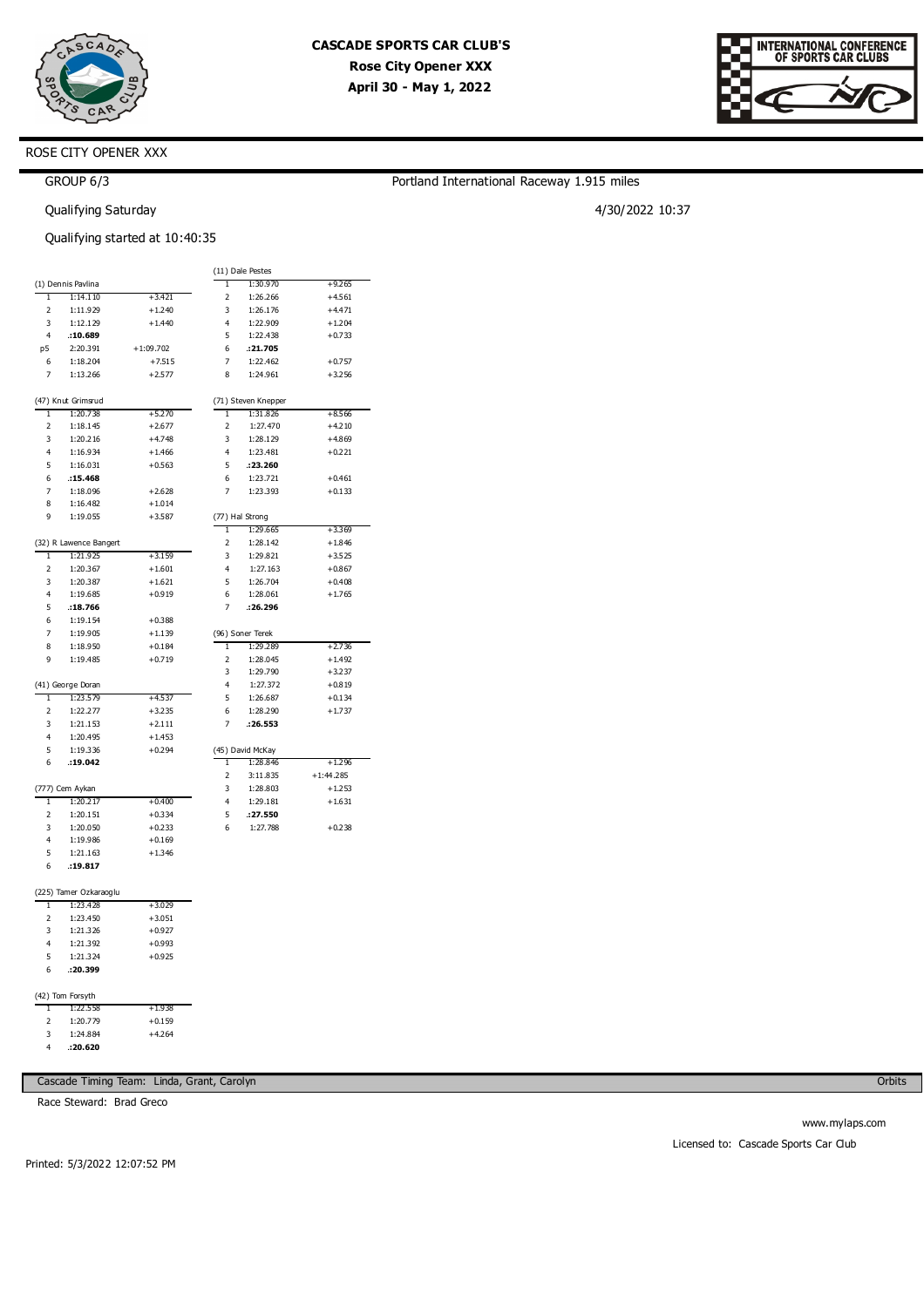



# ROSE CITY OPENER XXX

# GROUP 6/3

Qualifying Saturday

### Qualifying started at 10:40:35

|                         |                        |             |                         | (11) Dale Pestes    |             |
|-------------------------|------------------------|-------------|-------------------------|---------------------|-------------|
|                         | (1) Dennis Pavlina     |             | T                       | 1:30.970            | +9.265      |
| ī                       | 1:14.110               | $+3.421$    | $\overline{\mathbf{c}}$ | 1:26.266            | $+4.561$    |
| 2                       | 1:11.929               | $+1.240$    | 3                       | 1:26.176            | $+4.471$    |
| 3                       | 1:12.129               | $+1.440$    | $\overline{4}$          | 1:22.909            | $+1.204$    |
| $\overline{4}$          | .10.689                |             | 5                       | 1:22.438            | $+0.733$    |
| p5                      | 2:20.391               | $+1:09.702$ | 6                       | .21.705             |             |
| 6                       | 1:18.204               | $+7.515$    | 7                       | 1:22.462            | $+0.757$    |
| $\overline{7}$          | 1:13.266               | $+2.577$    | 8                       | 1:24.961            | $+3.256$    |
|                         |                        |             |                         |                     |             |
|                         | (47) Knut Grimsrud     |             |                         | (71) Steven Knepper |             |
| 1                       | 1:20.738               | $+5.270$    | ī                       | 1:31.826            | $+8.566$    |
| 2                       | 1:18.145               | $+2.677$    | $\overline{\mathbf{c}}$ | 1:27.470            | $+4.210$    |
| 3                       | 1:20.216               | $+4.748$    | 3                       | 1:28.129            | $+4.869$    |
| $\overline{a}$          | 1:16.934               | $+1.466$    | $\overline{a}$          | 1:23.481            | $+0.221$    |
| 5                       | 1:16.031               | $+0.563$    | 5                       | .:23.260            |             |
| 6                       | .15.468                |             | 6                       | 1:23.721            | $+0.461$    |
| $\overline{7}$          | 1:18.096               | $+2.628$    | $\overline{7}$          | 1:23.393            | $+0.133$    |
| 8                       | 1:16.482               | $+1.014$    |                         |                     |             |
| 9                       | 1:19.055               | $+3.587$    |                         | (77) Hal Strong     |             |
|                         |                        |             | ī                       | 1:29.665            | $+3.369$    |
|                         | (32) R Lawence Bangert |             | $\overline{2}$          | 1:28.142            | $+1.846$    |
| 1                       | 1:21.925               | $+3.159$    | 3                       | 1:29.821            | $+3.525$    |
| $\overline{\mathbf{z}}$ | 1:20.367               | $+1.601$    | $\overline{4}$          | 1:27.163            | $+0.867$    |
| 3                       | 1:20.387               | $+1.621$    | 5                       | 1:26.704            | $+0.408$    |
| 4                       | 1:19.685               | $+0.919$    | 6                       | 1:28.061            | $+1.765$    |
| 5                       | .18.766                |             | 7                       | .26.296             |             |
| 6                       | 1:19.154               | $+0.388$    |                         |                     |             |
| 7                       | 1:19.905               | $+1.139$    |                         | (96) Soner Terek    |             |
| 8                       | 1:18.950               | $+0.184$    | ī                       | 1:29.289            | $+2.736$    |
| 9                       | 1:19.485               | $+0.719$    | 2                       | 1:28.045            | $+1.492$    |
|                         |                        |             | 3                       | 1:29.790            | $+3.237$    |
|                         | (41) George Doran      |             | $\overline{4}$          | 1:27.372            | $+0.819$    |
| ī                       | 1:23.579               | $+4.537$    | 5                       | 1:26.687            | $+0.134$    |
| $\overline{2}$          | 1:22.277               | $+3.235$    | 6                       | 1:28.290            | $+1.737$    |
| 3                       | 1:21.153               | $+2.111$    | 7                       | .26.553             |             |
| 4                       | 1:20.495               | $+1.453$    |                         |                     |             |
| 5                       | 1:19.336               | $+0.294$    |                         | (45) David McKay    |             |
| 6                       | .19.042                |             | 1                       | 1:28.846            | $+1.296$    |
|                         |                        |             | 2                       | 3:11.835            | $+1:44.285$ |
|                         | (777) Cem Aykan        |             | 3                       | 1:28.803            | $+1.253$    |
| ī                       | 1:20.217               | $+0.400$    | 4                       | 1:29.181            | $+1.631$    |
| 2<br>3                  | 1:20.151               | $+0.334$    | 5<br>6                  | :27.550             |             |
| $\overline{4}$          | 1:20.050<br>1:19.986   | $+0.233$    |                         | 1:27.788            | $+0.238$    |
|                         |                        | $+0.169$    |                         |                     |             |
| 5<br>6                  | 1:21.163<br>.19.817    | $+1.346$    |                         |                     |             |
|                         |                        |             |                         |                     |             |
|                         | (225) Tamer Ozkaraoglu |             |                         |                     |             |
| T                       | 1:23.428               | $+3.029$    |                         |                     |             |
| $\overline{2}$          | 1:23.450               | $+3.051$    |                         |                     |             |
| 3                       | 1:21.326               | $+0.927$    |                         |                     |             |
| 4                       | 1:21.392               | $+0.993$    |                         |                     |             |
| 5                       | 1:21.324               | $+0.925$    |                         |                     |             |
| 6                       | .: 20.399              |             |                         |                     |             |
|                         |                        |             |                         |                     |             |
|                         | (42) Tom Forsyth       |             |                         |                     |             |
| T                       | 1:22.558               | $+1.938$    |                         |                     |             |
| 2                       | 1:20.779               | $+0.159$    |                         |                     |             |
| 3                       | 1:24.884               | $+4.264$    |                         |                     |             |
| 4                       | .20.620                |             |                         |                     |             |

Cascade Timing Team: Linda, Grant, Carolyn

Race Steward: Brad Greco

**Orbits** 

# Portland International Raceway 1.915 miles

4/30/2022 10:37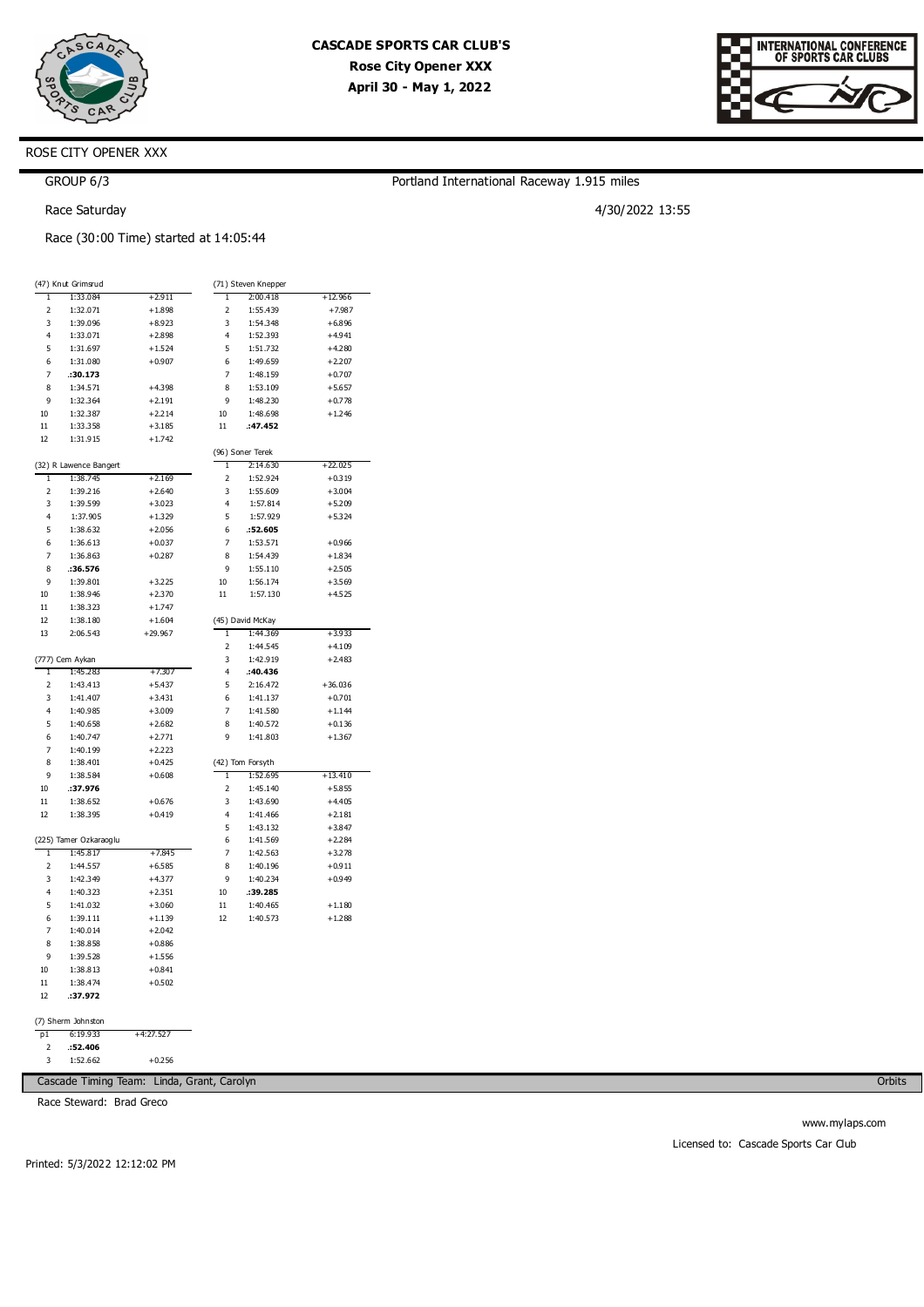

Portland International Raceway 1.915 miles

4/30/2022 13:55



# ROSE CITY OPENER XXX

GROUP 6/3

Race Saturday

Race (30:00 Time) started at 14:05:44

|                | (47) Knut Grimsrud     |             |                         | (71) Steven Knepper |           |
|----------------|------------------------|-------------|-------------------------|---------------------|-----------|
| ī              | 1:33.084               | $+2.911$    | ī                       | 2:00.418            | $+12.966$ |
| 2              | 1:32.071               | $+1.898$    | 2                       | 1:55.439            | $+7.987$  |
| 3              | 1:39.096               | $+8.923$    | 3                       | 1:54.348            | $+6.896$  |
| $\overline{4}$ | 1:33.071               | $+2.898$    | 4                       | 1:52.393            | $+4.941$  |
| 5              | 1:31.697               | $+1.524$    | 5                       | 1:51.732            | $+4.280$  |
| 6              | 1:31.080               | $+0.907$    | 6                       | 1:49.659            | $+2.207$  |
| $\overline{7}$ | .30.173                |             | $\overline{7}$          | 1:48.159            | $+0.707$  |
| 8              | 1:34.571               | $+4.398$    | 8                       | 1:53.109            | $+5.657$  |
| 9              | 1:32.364               | $+2.191$    | 9                       | 1:48.230            | $+0.778$  |
| 10             | 1:32.387               | $+2.214$    | 10                      | 1:48.698            | $+1.246$  |
| 11             | 1:33.358               | $+3.185$    | 11                      | :47.452             |           |
| 12             | 1:31.915               | $+1.742$    |                         |                     |           |
|                |                        |             |                         | (96) Soner Terek    |           |
|                | (32) R Lawence Bangert |             | ī                       | 2:14.630            | $+22.025$ |
| T              | 1:38.745               | $+2.169$    | 2                       | 1:52.924            | $+0.319$  |
| $\overline{2}$ | 1:39.216               | $+2.640$    | 3                       | 1:55.609            | $+3.004$  |
| 3              | 1:39.599               | $+3.023$    | 4                       | 1:57.814            | $+5.209$  |
| 4              | 1:37.905               | $+1.329$    | 5                       | 1:57.929            | $+5.324$  |
| 5              | 1:38.632               | $+2.056$    | 6                       | .52.605             |           |
| 6              | 1:36.613               | $+0.037$    | 7                       | 1:53.571            | $+0.966$  |
| $\overline{7}$ | 1:36.863               | $+0.287$    | 8                       | 1:54.439            | $+1.834$  |
| 8              | .36.576                |             | 9                       | 1:55.110            | $+2.505$  |
| 9              | 1:39.801               |             | 10                      |                     |           |
|                |                        | $+3.225$    |                         | 1:56.174            | $+3.569$  |
| 10             | 1:38.946               | $+2.370$    | 11                      | 1:57.130            | $+4.525$  |
| 11             | 1:38.323               | $+1.747$    |                         |                     |           |
| 12             | 1:38.180               | $+1.604$    |                         | (45) David McKay    |           |
| 13             | 2:06.543               | $+29.967$   | 1                       | 1:44.369            | $+3.933$  |
|                |                        |             | $\overline{c}$          | 1:44.545            | $+4.109$  |
|                | (777) Cem Aykan        |             | 3                       | 1:42.919            | $+2.483$  |
| 1              | 1:45.283               | $+7.307$    | 4                       | :40.436             |           |
| 2              | 1:43.413               | $+5.437$    | 5                       | 2:16.472            | $+36.036$ |
| 3              | 1:41.407               | $+3.431$    | 6                       | 1:41.137            | $+0.701$  |
| 4              | 1:40.985               | $+3.009$    | $\overline{7}$          | 1:41.580            | $+1.144$  |
| 5              | 1:40.658               | $+2.682$    | 8                       | 1:40.572            | $+0.136$  |
| 6              | 1:40.747               | $+2.771$    | 9                       | 1:41.803            | $+1.367$  |
| 7              | 1:40.199               | $+2.223$    |                         |                     |           |
| 8              | 1:38.401               | $+0.425$    |                         | (42) Tom Forsyth    |           |
| 9              | 1:38.584               | $+0.608$    | 1                       | 1:52.695            | $+13.410$ |
| 10             | :37.976                |             | $\overline{\mathbf{c}}$ | 1:45.140            | $+5.855$  |
| 11             | 1:38.652               | $+0.676$    | 3                       | 1:43.690            | $+4.405$  |
| 12             | 1:38.395               | $+0.419$    | 4                       | 1:41.466            | $+2.181$  |
|                |                        |             | 5                       | 1:43.132            | $+3.847$  |
|                | (225) Tamer Ozkaraoglu |             | 6                       | 1:41.569            | $+2.284$  |
| ī              | 1:45.817               | $+7.845$    | $\overline{7}$          | 1:42.563            | $+3.278$  |
| $\overline{2}$ | 1:44.557               | $+6.585$    | 8                       | 1:40.196            | $+0.911$  |
| 3              | 1:42.349               | $+4.377$    | 9                       | 1:40.234            | $+0.949$  |
| $\overline{4}$ | 1:40.323               | $+2.351$    | 10                      | :39.285             |           |
| 5              | 1:41.032               | $+3.060$    | 11                      | 1:40.465            | $+1.180$  |
| 6              | 1:39.111               | $+1.139$    | 12                      | 1:40.573            | $+1.288$  |
| $\overline{7}$ | 1:40.014               | $+2.042$    |                         |                     |           |
| 8              | 1:38.858               | $+0.886$    |                         |                     |           |
| 9              | 1:39.528               | $+1.556$    |                         |                     |           |
| 10             | 1:38.813               | $+0.841$    |                         |                     |           |
| 11             | 1:38.474               | $+0.502$    |                         |                     |           |
| 12             | :37.972                |             |                         |                     |           |
|                |                        |             |                         |                     |           |
|                | (7) Sherm Johnston     |             |                         |                     |           |
| p1             | 6:19.933               | $+4:27.527$ |                         |                     |           |
| 2              | :52.406                |             |                         |                     |           |

2 3 1:52.662

Cascade Timing Team: Linda, Grant, Carolyn

+0.256

Race Steward: Brad Greco

Printed: 5/3/2022 12:12:02 PM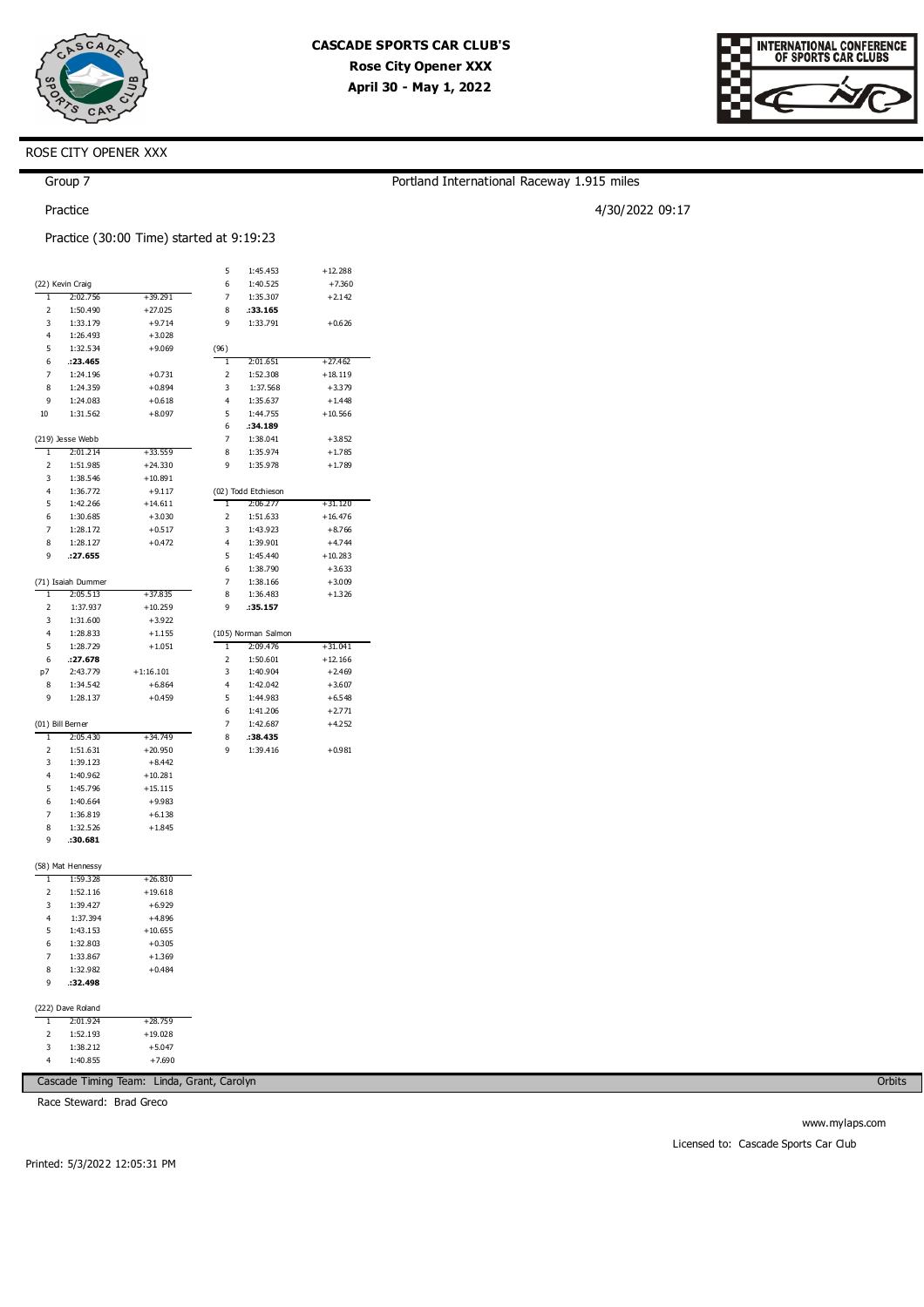

Portland International Raceway 1.915 miles

4/30/2022 09:17



## ROSE CITY OPENER XXX

## Group 7

Practice

Practice (30:00 Time) started at 9:19:23

|                |                    |             | 5              | 1:45.453            | $+12.288$ |
|----------------|--------------------|-------------|----------------|---------------------|-----------|
|                | (22) Kevin Craig   |             | 6              | 1:40.525            | $+7.360$  |
| T              | 2:02.756           | $+39.291$   | $\overline{7}$ | 1:35.307            | $+2.142$  |
| 2              | 1:50.490           | $+27.025$   | 8              | :33.165             |           |
| 3              | 1:33.179           | $+9.714$    | 9              | 1:33.791            | $+0.626$  |
| 4              | 1:26.493           | $+3.028$    |                |                     |           |
| 5              | 1:32.534           | $+9.069$    | (96)           |                     |           |
|                |                    |             | ī              |                     | $+27.462$ |
| 6              | :23.465            |             |                | 2:01.651            |           |
| 7              | 1:24.196           | $+0.731$    | 2              | 1:52.308            | $+18.119$ |
| 8              | 1:24.359           | $+0.894$    | 3              | 1:37.568            | $+3.379$  |
| 9              | 1:24.083           | $+0.618$    | 4              | 1:35.637            | $+1.448$  |
| 10             | 1:31.562           | $+8.097$    | 5              | 1:44.755            | $+10.566$ |
|                |                    |             | 6              | :34.189             |           |
|                | (219) Jesse Webb   |             | $\overline{7}$ | 1:38.041            | $+3.852$  |
| T              | 2:01.214           | +33.559     | 8              | 1:35.974            | $+1.785$  |
| 2              | 1:51.985           | $+24.330$   | 9              | 1:35.978            | $+1.789$  |
| 3              | 1:38.546           | $+10.891$   |                |                     |           |
| 4              | 1:36.772           | $+9.117$    |                | (02) Todd Etchieson |           |
| 5              | 1:42.266           | $+14.611$   | 1              | 2:06.277            | $+31.120$ |
| 6              | 1:30.685           | $+3.030$    | 2              | 1:51.633            | $+16.476$ |
| 7              | 1:28.172           | $+0.517$    | 3              | 1:43.923            | $+8.766$  |
| 8              | 1:28.127           | $+0.472$    | 4              | 1:39.901            | $+4.744$  |
|                |                    |             |                |                     |           |
| 9              | .27.655            |             | 5              | 1:45.440            | $+10.283$ |
|                |                    |             | 6              | 1:38.790            | $+3.633$  |
|                | (71) Isaiah Dummer |             | $\overline{7}$ | 1:38.166            | $+3.009$  |
| ī              | 2:05.513           | $+37.835$   | 8              | 1:36.483            | $+1.326$  |
| $\overline{2}$ | 1:37.937           | $+10.259$   | 9              | :35.157             |           |
| 3              | 1:31.600           | $+3.922$    |                |                     |           |
| 4              | 1:28.833           | $+1.155$    |                | (105) Norman Salmon |           |
| 5              | 1:28.729           | $+1.051$    | ī              | 2:09.476            | $+31.041$ |
| 6              | :27.678            |             | $\overline{2}$ | 1:50.601            | $+12.166$ |
| p7             | 2:43.779           | $+1:16.101$ | 3              | 1:40.904            | $+2.469$  |
| 8              | 1:34.542           | $+6.864$    | 4              | 1:42.042            | $+3.607$  |
| 9              | 1:28.137           | $+0.459$    | 5              | 1:44.983            | $+6.548$  |
|                |                    |             | 6              | 1:41.206            | $+2.771$  |
|                | (01) Bill Berner   |             | $\overline{7}$ | 1:42.687            | $+4.252$  |
| 1              | 2:05.430           | $+34.749$   | 8              | :38.435             |           |
|                |                    |             | q              |                     | $+0.981$  |
| $\overline{2}$ | 1:51.631           | $+20.950$   |                | 1:39.416            |           |
| 3              | 1:39.123           | $+8.442$    |                |                     |           |
| 4              | 1:40.962           | $+10.281$   |                |                     |           |
| 5              | 1:45.796           | $+15.115$   |                |                     |           |
| 6              | 1:40.664           | $+9.983$    |                |                     |           |
| $\overline{7}$ | 1:36.819           | $+6.138$    |                |                     |           |
| 8              | 1:32.526           | $+1.845$    |                |                     |           |
| 9              | .30.681            |             |                |                     |           |
|                |                    |             |                |                     |           |
|                | (58) Mat Hennessy  |             |                |                     |           |
| ī              | 1:59.328           | $+26.830$   |                |                     |           |
| $\overline{2}$ | 1:52.116           | $+19.618$   |                |                     |           |
| 3              | 1:39.427           | $+6.929$    |                |                     |           |
| $\overline{4}$ | 1:37.394           | $+4.896$    |                |                     |           |
| 5              | 1:43.153           | $+10.655$   |                |                     |           |
| 6              | 1:32.803           | $+0.305$    |                |                     |           |
|                |                    |             |                |                     |           |
| 7              | 1:33.867           | $+1.369$    |                |                     |           |
| 8              |                    |             |                |                     |           |
|                | 1:32.982           | $+0.484$    |                |                     |           |
| 9              | .:32.498           |             |                |                     |           |
|                |                    |             |                |                     |           |
|                | (222) Dave Roland  |             |                |                     |           |
| ī              | 2:01.924           | $+28.759$   |                |                     |           |

3 4 1:38.212 1:40.855 +5.047 +7.690

Cascade Timing Team: Linda, Grant, Carolyn

Race Steward: Brad Greco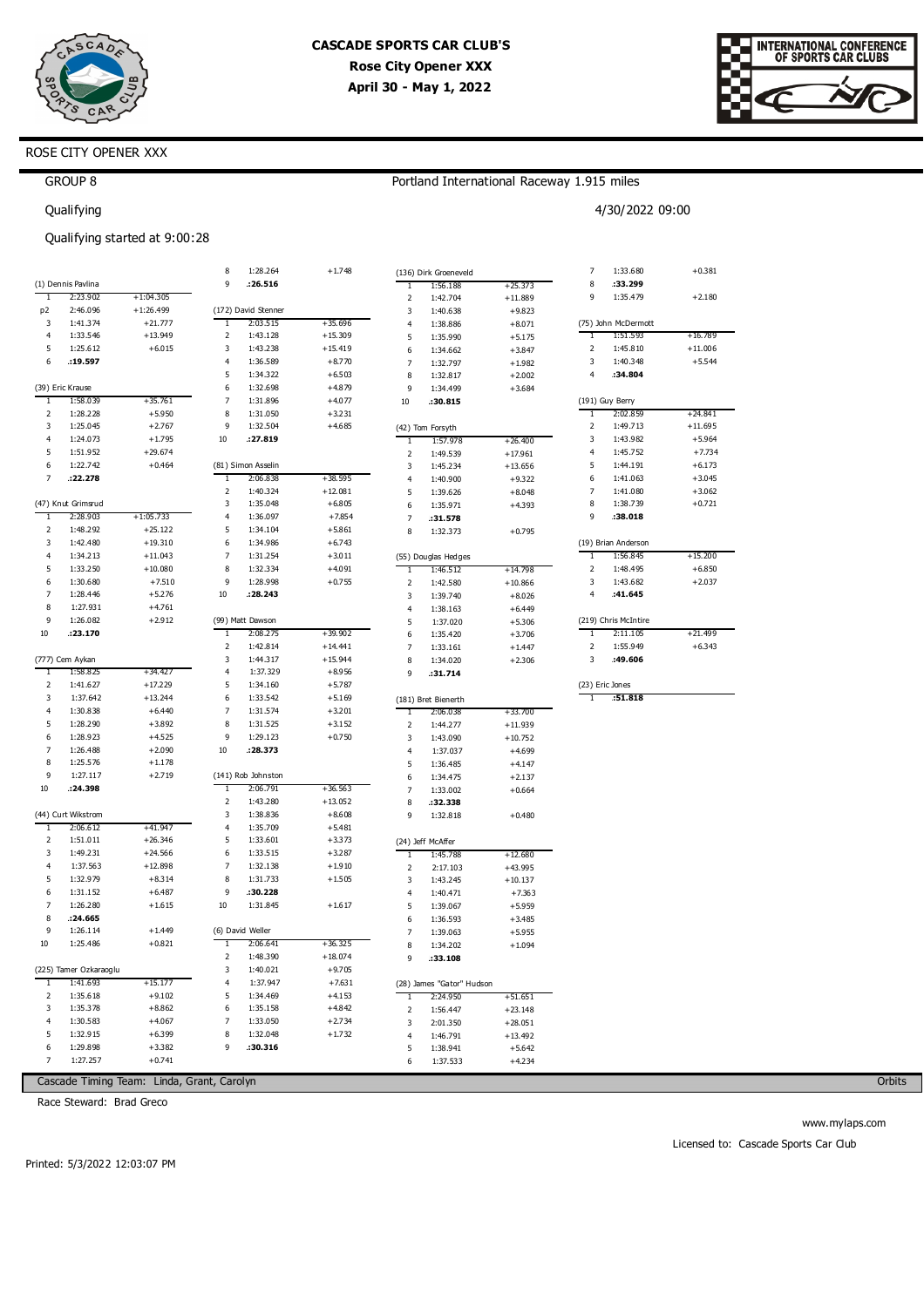



# ROSE CITY OPENER XXX

## Portland International Raceway 1.915 miles

4/30/2022 09:00

GROUP 8 Qualifying

### Qualifying started at 9:00:28

|                     |                        |                      | 8              | 1:28.264                       | $+1.748$               |                   | (136) Dirk Groeneveld         |                      | $\overline{7}$      | 1:33.680             | $+0.381$            |
|---------------------|------------------------|----------------------|----------------|--------------------------------|------------------------|-------------------|-------------------------------|----------------------|---------------------|----------------------|---------------------|
|                     | (1) Dennis Pavlina     |                      | 9              | :26.516                        |                        | ī                 | 1:56.188                      | $+25.373$            | 8                   | :33.299              |                     |
| ī                   | 2:23.902               | $+1:04.305$          |                |                                |                        | $\mathbf 2$       | 1:42.704                      | $+11.889$            | 9                   | 1:35.479             | $+2.180$            |
| p <sub>2</sub>      | 2:46.096               | $+1:26.499$          |                | (172) David Stenner            |                        | 3                 | 1:40.638                      | $+9.823$             |                     |                      |                     |
| 3                   | 1:41.374               | $+21.777$            | 1              | 2:03.515                       | $+35.696$              | 4                 | 1:38.886                      | $+8.071$             |                     | (75) John McDermott  |                     |
| 4                   | 1:33.546               | $+13.949$            | 2              | 1:43.128                       | $+15.309$              | 5                 | 1:35.990                      | $+5.175$             | T                   | 1:51.593             | +16.789             |
| 5                   | 1:25.612               | $+6.015$             | 3              | 1:43.238                       | $+15.419$              | 6                 | 1:34.662                      | $+3.847$             | 2                   | 1:45.810             | $+11.006$           |
| 6                   | :19.597                |                      | $\overline{4}$ | 1:36.589                       | $+8.770$               | $\overline{7}$    | 1:32.797                      | $+1.982$             | 3                   | 1:40.348             | $+5.544$            |
|                     |                        |                      | 5              | 1:34.322                       | $+6.503$               | 8                 | 1:32.817                      | $+2.002$             | 4                   | :34.804              |                     |
|                     | (39) Eric Krause       |                      | 6              | 1:32.698                       | $+4.879$               | 9                 | 1:34.499                      | $+3.684$             |                     |                      |                     |
| 1                   | 1:58.039               | +35.761              | $\overline{7}$ | 1:31.896                       | $+4.077$               | $10\,$            | .30.815                       |                      |                     | (191) Guy Berry      |                     |
| 2                   | 1:28.228               | $+5.950$             | 8              | 1:31.050                       | $+3.231$               |                   |                               |                      | 1                   | 2:02.859             | $+24.841$           |
| 3                   | 1:25.045               | $+2.767$             | 9              | 1:32.504                       | $+4.685$               |                   | (42) Tom Forsyth              |                      | 2                   | 1:49.713             | $+11.695$           |
| 4                   | 1:24.073               | $+1.795$             | 10             | :27.819                        |                        | 1                 | 1:57.978                      | +26.400              | 3                   | 1:43.982             | $+5.964$            |
| 5                   | 1:51.952               | $+29.674$            |                |                                |                        | $\overline{2}$    | 1:49.539                      | $+17.961$            | 4                   | 1:45.752             | $+7.734$            |
| 6                   | 1:22.742               | $+0.464$             |                | (81) Simon Asselin             |                        | 3                 | 1:45.234                      | $+13.656$            | 5                   | 1:44.191             | $+6.173$            |
| $\overline{7}$      | .22.278                |                      | 1              | 2:06.838                       | $+38.595$              | 4                 | 1:40.900                      | $+9.322$             | 6                   | 1:41.063             | $+3.045$            |
|                     |                        |                      | $\mathbf 2$    | 1:40.324                       | $+12.081$              | 5                 | 1:39.626                      | $+8.048$             | 7                   | 1:41.080             | $+3.062$            |
|                     | (47) Knut Grimsrud     |                      | 3              | 1:35.048                       | $+6.805$               | 6                 | 1:35.971                      | $+4.393$             | 8                   | 1:38.739             | $+0.721$            |
| 1                   | 2:28.903               | $+1:05.733$          | 4              | 1:36.097                       | $+7.854$               | 7                 | :31.578                       |                      | 9                   | :38.018              |                     |
| 2                   | 1:48.292               | $+25.122$            | 5              | 1:34.104                       | $+5.861$               | 8                 | 1:32.373                      | $+0.795$             |                     |                      |                     |
| 3                   | 1:42.480               | $+19.310$            | 6              | 1:34.986                       | $+6.743$               |                   |                               |                      |                     | (19) Brian Anderson  |                     |
| 4                   | 1:34.213               | $+11.043$            | 7              | 1:31.254                       | $+3.011$               |                   | (55) Douglas Hedges           |                      | 1                   | 1:56.845             | +15.200             |
| 5                   | 1:33.250               | $+10.080$            | 8              | 1:32.334                       | $+4.091$               | 1                 | 1:46.512                      | $+14.798$            | 2                   | 1:48.495             | $+6.850$            |
| 6<br>$\overline{7}$ | 1:30.680               | $+7.510$             | 9              | 1:28.998                       | $+0.755$               | $\mathbf 2$       | 1:42.580                      | $+10.866$            | 3<br>$\overline{4}$ | 1:43.682             | $+2.037$            |
|                     | 1:28.446               | $+5.276$             | 10             | :28.243                        |                        | 3                 | 1:39.740                      | $+8.026$             |                     | :41.645              |                     |
| 8<br>9              | 1:27.931               | $+4.761$             |                |                                |                        | 4                 | 1:38.163                      | $+6.449$             |                     |                      |                     |
|                     | 1:26.082               | $+2.912$             |                | (99) Matt Dawson               |                        | 5                 | 1:37.020                      | $+5.306$             |                     | (219) Chris McIntire |                     |
| $10\,$              | :23.170                |                      | 1<br>2         | 2:08.275<br>1:42.814           | $+39.902$              | 6                 | 1:35.420                      | $+3.706$             | 1<br>2              | 2:11.105<br>1:55.949 | +21.499<br>$+6.343$ |
|                     | (777) Cem Aykan        |                      | 3              | 1:44.317                       | $+14.441$<br>$+15.944$ | 7                 | 1:33.161                      | $+1.447$             | 3                   | :49.606              |                     |
| Ţ                   | 1:58.825               | +34.427              | 4              | 1:37.329                       | $+8.956$               | 8                 | 1:34.020                      | $+2.306$             |                     |                      |                     |
| 2                   | 1:41.627               | $+17.229$            | 5              | 1:34.160                       | $+5.787$               | 9                 | :31.714                       |                      |                     | (23) Eric Jones      |                     |
| 3                   | 1:37.642               | $+13.244$            | 6              | 1:33.542                       | $+5.169$               |                   | (181) Bret Bienerth           |                      |                     | :51.818              |                     |
| 4                   | 1:30.838               | $+6.440$             | 7              | 1:31.574                       | $+3.201$               | 1                 | 2:06.038                      | +33.700              |                     |                      |                     |
| 5                   | 1:28.290               | $+3.892$             | 8              | 1:31.525                       | $+3.152$               | $\mathbf 2$       | 1:44.277                      | $+11.939$            |                     |                      |                     |
| 6                   | 1:28.923               | $+4.525$             | 9              | 1:29.123                       |                        |                   |                               |                      |                     |                      |                     |
| 7                   | 1:26.488               |                      |                |                                |                        |                   |                               |                      |                     |                      |                     |
| 8                   |                        |                      |                |                                | $+0.750$               | 3                 | 1:43.090                      | $+10.752$            |                     |                      |                     |
|                     |                        | $+2.090$             | 10             | :28.373                        |                        | 4                 | 1:37.037                      | $+4.699$             |                     |                      |                     |
| 9                   | 1:25.576               | $+1.178$             |                |                                |                        | 5                 | 1:36.485                      | $+4.147$             |                     |                      |                     |
| 10                  | 1:27.117<br>:24.398    | $+2.719$             | 1              | (141) Rob Johnston<br>2:06.791 | $+36.563$              | 6                 | 1:34.475                      | $+2.137$             |                     |                      |                     |
|                     |                        |                      | $\overline{2}$ | 1:43.280                       | $+13.052$              | $\overline{7}$    | 1:33.002                      | $+0.664$             |                     |                      |                     |
|                     | (44) Curt Wikstrom     |                      | 3              | 1:38.836                       | $+8.608$               | 8<br>9            | :32.338                       | $+0.480$             |                     |                      |                     |
| 1                   | 2:06.612               | +41.947              | 4              | 1:35.709                       | $+5.481$               |                   | 1:32.818                      |                      |                     |                      |                     |
| $\mathsf 2$         | 1:51.011               | $+26.346$            | 5              | 1:33.601                       | $+3.373$               |                   |                               |                      |                     |                      |                     |
| 3                   | 1:49.231               | $+24.566$            | 6              | 1:33.515                       | $+3.287$               | T                 | (24) Jeff McAffer<br>1:45.788 | $+12.680$            |                     |                      |                     |
| 4                   | 1:37.563               | $+12.898$            | $\overline{7}$ | 1:32.138                       | $+1.910$               |                   | 2:17.103                      | $+43.995$            |                     |                      |                     |
| 5                   | 1:32.979               | $+8.314$             | 8              | 1:31.733                       | $+1.505$               | $\mathsf{2}$<br>3 | 1:43.245                      | $+10.137$            |                     |                      |                     |
| 6                   | 1:31.152               | $+6.487$             | 9              | :30.228                        |                        | 4                 | 1:40.471                      | $+7.363$             |                     |                      |                     |
| $\overline{7}$      | 1:26.280               | $+1.615$             | 10             | 1:31.845                       | $+1.617$               | 5                 | 1:39.067                      | $+5.959$             |                     |                      |                     |
| 8                   | .24.665                |                      |                |                                |                        | 6                 | 1:36.593                      | $+3.485$             |                     |                      |                     |
| 9                   | 1:26.114               | $+1.449$             |                | (6) David Weller               |                        | $\overline{7}$    | 1:39.063                      | $+5.955$             |                     |                      |                     |
| $10\,$              | 1:25.486               | $+0.821$             | 1              | 2:06.641                       | $+36.325$              | 8                 | 1:34.202                      | $+1.094$             |                     |                      |                     |
|                     |                        |                      | 2              | 1:48.390                       | $+18.074$              | 9                 | :33.108                       |                      |                     |                      |                     |
|                     | (225) Tamer Ozkaraoglu |                      | 3              | 1:40.021                       | $+9.705$               |                   |                               |                      |                     |                      |                     |
| T                   | 1:41.693               | $+15.177$            | 4              | 1:37.947                       | $+7.631$               |                   | (28) James "Gator" Hudson     |                      |                     |                      |                     |
| 2                   | 1:35.618               | $+9.102$             | 5              | 1:34.469                       | $+4.153$               | 1                 | 2:24.950                      | $+51.651$            |                     |                      |                     |
| 3                   | 1:35.378               | $+8.862$             | 6              | 1:35.158                       | $+4.842$               | $\mathsf{2}$      | 1:56.447                      | $+23.148$            |                     |                      |                     |
| 4                   | 1:30.583               | $+4.067$             | 7              | 1:33.050                       | $+2.734$               | 3                 | 2:01.350                      | $+28.051$            |                     |                      |                     |
| 5                   | 1:32.915               | $+6.399$             | 8              | 1:32.048                       | $+1.732$               | $\overline{4}$    | 1:46.791                      | $+13.492$            |                     |                      |                     |
| 6<br>7              | 1:29.898<br>1:27.257   | $+3.382$<br>$+0.741$ | 9              | :30.316                        |                        | 5<br>6            | 1:38.941<br>1:37.533          | $+5.642$<br>$+4.234$ |                     |                      |                     |

Cascade Timing Team: Linda, Grant, Carolyn

Race Steward: Brad Greco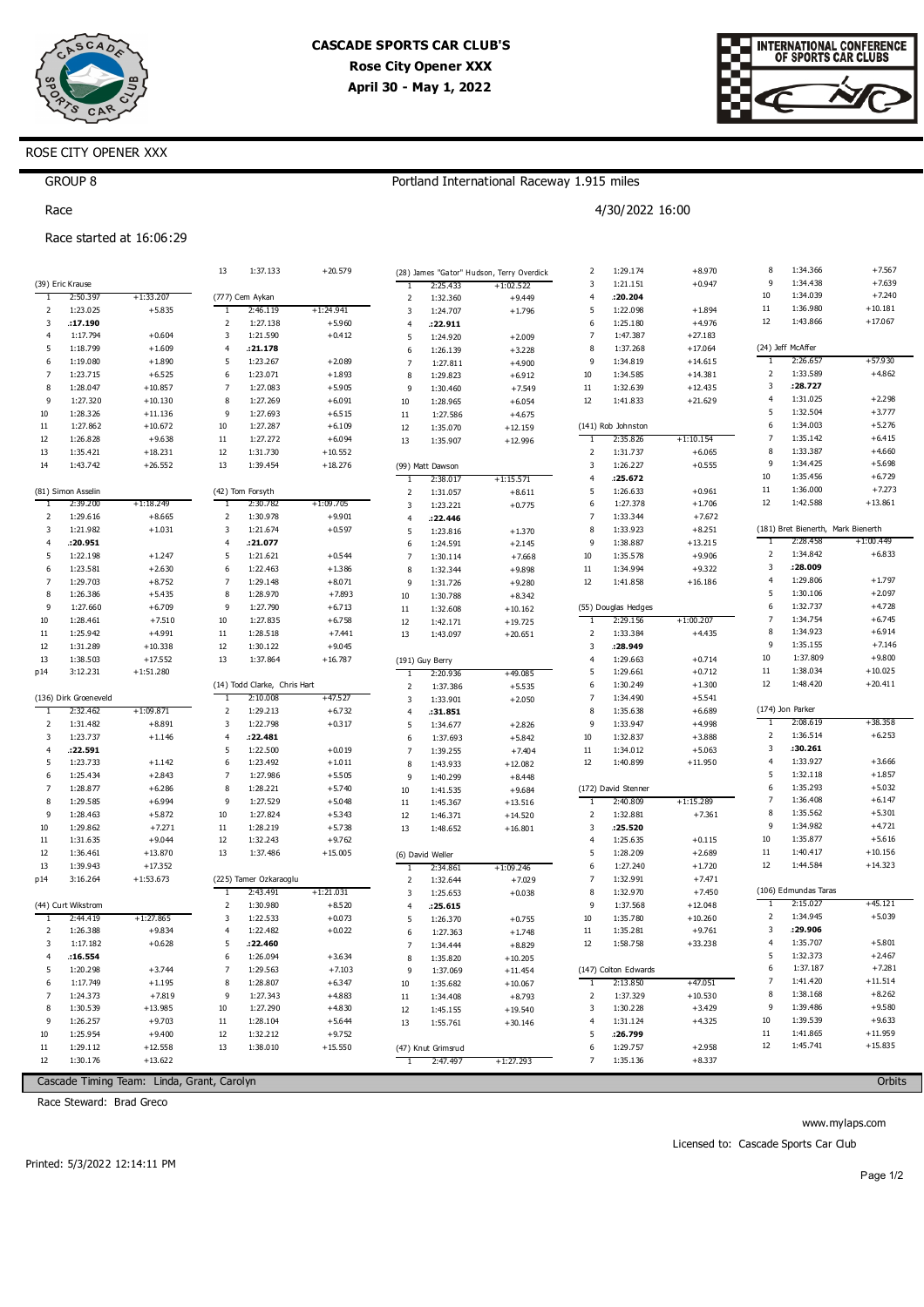



# ROSE CITY OPENER XXX

## Portland International Raceway 1.915 miles

4/30/2022 16:00

GROUP 8 Race

Race started at 16:06:29

|                |                       |                       | 13             | 1:37.133                                 | $+20.579$             |                         |                     | (28) James "Gator" Hudson, Terry Overdick | 2                            | 1:29.174             | $+8.970$             | 8                   | 1:34.366                           | $+7.567$             |
|----------------|-----------------------|-----------------------|----------------|------------------------------------------|-----------------------|-------------------------|---------------------|-------------------------------------------|------------------------------|----------------------|----------------------|---------------------|------------------------------------|----------------------|
|                | (39) Eric Krause      |                       |                |                                          |                       | T                       | 2:25.433            | $+1:02.522$                               | $\overline{\mathbf{3}}$      | 1:21.151             | $+0.947$             | 9                   | 1:34.438                           | $+7.639$             |
| 1              | 2:50.397              | $+1:33.207$           |                | (777) Cem Aykan                          |                       | $\overline{2}$          | 1:32.360            | $+9.449$                                  | $\overline{4}$               | : 20.204             |                      | $10\,$              | 1:34.039                           | $+7.240$             |
| $\overline{2}$ | 1:23.025              | $+5.835$              | 1              | 2:46.119                                 | $+1:24.941$           | 3                       | 1:24.707            | $+1.796$                                  | 5                            | 1:22.098             | $+1.894$             | $11\,$              | 1:36.980                           | $+10.181$            |
| 3              | :17.190               |                       | 2              | 1:27.138                                 | $+5.960$              | $\overline{4}$          | .22.911             |                                           | 6                            | 1:25.180             | $+4.976$             | 12                  | 1:43.866                           | $+17.067$            |
| $\overline{4}$ | 1:17.794              | $+0.604$              | 3              | 1:21.590                                 | $+0.412$              | 5                       | 1:24.920            | $+2.009$                                  | $\overline{7}$               | 1:47.387             | $+27.183$            |                     |                                    |                      |
| 5              | 1:18.799              | $+1.609$              | $\overline{4}$ | :21.178                                  |                       | 6                       | 1:26.139            | $+3.228$                                  | 8                            | 1:37.268             | $+17.064$            |                     | (24) Jeff McAffer                  |                      |
| 6              | 1:19.080              | $+1.890$              | 5              | 1:23.267                                 | $+2.089$              | $\overline{7}$          | 1:27.811            | $+4.900$                                  | 9                            | 1:34.819             | $+14.615$            | 1                   | 2:26.657                           | +57.930              |
| $\overline{7}$ | 1:23.715              | $+6.525$              | 6              | 1:23.071                                 | $+1.893$              | 8                       | 1:29.823            | $+6.912$                                  | 10                           | 1:34.585             | $+14.381$            | 2                   | 1:33.589                           | $+4.862$             |
| 8              | 1:28.047              | $+10.857$             | $\overline{7}$ | 1:27.083                                 | $+5.905$              | 9                       | 1:30.460            | $+7.549$                                  | $11\,$                       | 1:32.639             | $+12.435$            | 3                   | :28.727                            |                      |
| 9              | 1:27.320              | $+10.130$             | 8              | 1:27.269                                 | $+6.091$              | 10                      | 1:28.965            | $+6.054$                                  | 12                           | 1:41.833             | $+21.629$            | $\overline{4}$      | 1:31.025                           | $+2.298$             |
| 10             | 1:28.326              | $+11.136$             | 9              | 1:27.693                                 | $+6.515$              | 11                      | 1:27.586            | $+4.675$                                  |                              |                      |                      | 5                   | 1:32.504                           | $+3.777$             |
| 11             | 1:27.862              | $+10.672$             | $10\,$         | 1:27.287                                 | $+6.109$              | 12                      | 1:35.070            | $+12.159$                                 |                              | (141) Rob Johnston   |                      | 6                   | 1:34.003                           | $+5.276$             |
| 12             | 1:26.828              | $+9.638$              | $11\,$         | 1:27.272                                 | $+6.094$              | 13                      | 1:35.907            | $+12.996$                                 | T                            | 2:35.826             | $+1:10.154$          | $\overline{7}$      | 1:35.142                           | $+6.415$             |
| 13             | 1:35.421              | $+18.231$             | $12\,$         | 1:31.730                                 | $+10.552$             |                         |                     |                                           | $\overline{2}$               | 1:31.737             | $+6.065$             | 8                   | 1:33.387                           | $+4.660$             |
| 14             | 1:43.742              | $+26.552$             | 13             | 1:39.454                                 | $+18.276$             |                         | (99) Matt Dawson    |                                           | $\overline{\mathbf{3}}$      | 1:26.227             | $+0.555$             | 9                   | 1:34.425                           | $+5.698$             |
|                |                       |                       |                |                                          |                       | 1                       | 2:38.017            | +1:15.571                                 | $\overline{4}$               | :25.672              |                      | 10                  | 1:35.456                           | $+6.729$             |
|                | (81) Simon Asselin    |                       |                | (42) Tom Forsyth                         |                       | $\overline{2}$          | 1:31.057            | $+8.611$                                  | 5                            | 1:26.633             | $+0.961$             | $11\,$              | 1:36.000                           | $+7.273$             |
| -1             | 2:39.200              | $+1:18.249$           | ד              | 2:30.782                                 | +1:09.705             | $\overline{\mathbf{3}}$ | 1:23.221            | $+0.775$                                  | 6                            | 1:27.378             | $+1.706$             | 12                  | 1:42.588                           | $+13.861$            |
| 2              | 1:29.616              | $+8.665$              | $\mathsf 2$    | 1:30.978                                 | $+9.901$              | $\overline{4}$          | : 22.446            |                                           | $\overline{7}$               | 1:33.344             | $+7.672$             |                     |                                    |                      |
| 3              | 1:21.982              | $+1.031$              | 3              | 1:21.674                                 | $+0.597$              | 5                       | 1:23.816            | $+1.370$                                  | 8                            | 1:33.923             | $+8.251$             |                     | (181) Bret Bienerth, Mark Bienerth | $+1:00.449$          |
| $\overline{4}$ | : 20.951              |                       | $\overline{4}$ | :21.077                                  |                       | 6                       | 1:24.591            | $+2.145$                                  | 9                            | 1:38.887             | $+13.215$            | 1                   | 2:28.458<br>1:34.842               | $+6.833$             |
| 5              | 1:22.198              | $+1.247$              | 5              | 1:21.621                                 | $+0.544$              | $\overline{7}$          | 1:30.114            | $+7.668$                                  | 10                           | 1:35.578             | $+9.906$             | $\mathsf 2$<br>3    | :28.009                            |                      |
| 6              | 1:23.581              | $+2.630$              | 6              | 1:22.463                                 | $+1.386$              | 8                       | 1:32.344            | $+9.898$                                  | $11\,$                       | 1:34.994             | $+9.322$             |                     |                                    |                      |
| $\overline{7}$ | 1:29.703              | $+8.752$              | $\overline{7}$ | 1:29.148                                 | $+8.071$              | 9                       | 1:31.726            | $+9.280$                                  | 12                           | 1:41.858             | $+16.186$            | $\overline{4}$<br>5 | 1:29.806<br>1:30.106               | $+1.797$<br>$+2.097$ |
| 8<br>9         | 1:26.386              | $+5.435$              | 8<br>9         | 1:28.970                                 | $+7.893$              | 10                      | 1:30.788            | $+8.342$                                  |                              |                      |                      | 6                   | 1:32.737                           | $+4.728$             |
|                | 1:27.660              | $+6.709$              |                | 1:27.790                                 | $+6.713$              | 11                      | 1:32.608            | $+10.162$                                 | ٦                            | (55) Douglas Hedges  |                      | $\overline{7}$      | 1:34.754                           | $+6.745$             |
| 10             | 1:28.461              | $+7.510$              | $10\,$         | 1:27.835                                 | $+6.758$              | 12                      | 1:42.171            | $+19.725$                                 |                              | 2:29.156             | +1:00.207            | 8                   | 1:34.923                           | $+6.914$             |
| 11<br>12       | 1:25.942              | $+4.991$<br>$+10.338$ | 11<br>12       | 1:28.518                                 | $+7.441$              | 13                      | 1:43.097            | $+20.651$                                 | 2<br>$\overline{\mathbf{3}}$ | 1:33.384<br>:28.949  | $+4.435$             | 9                   | 1:35.155                           | $+7.146$             |
|                | 1:31.289<br>1:38.503  | $+17.552$             | 13             | 1:30.122<br>1:37.864                     | $+9.045$<br>$+16.787$ |                         |                     |                                           | $\overline{4}$               | 1:29.663             | $+0.714$             | 10                  | 1:37.809                           | $+9.800$             |
| 13             |                       |                       |                |                                          |                       |                         | (191) Guy Berry     |                                           | 5                            | 1:29.661             | $+0.712$             | 11                  | 1:38.034                           | $+10.025$            |
| p14            | 3:12.231              | $+1:51.280$           |                |                                          |                       | 1                       | 2:20.936            | +49.085                                   | 6                            | 1:30.249             |                      | 12                  | 1:48.420                           | $+20.411$            |
|                | (136) Dirk Groeneveld |                       | T              | (14) Todd Clarke, Chris Hart<br>2:10.008 | +47.527               | $\overline{2}$          | 1:37.386            | $+5.535$                                  | $\overline{7}$               | 1:34.490             | $+1.300$<br>$+5.541$ |                     |                                    |                      |
| -1             | 2:32.462              | $+1:09.871$           | $\mathbf 2$    | 1:29.213                                 | $+6.732$              | 3<br>$\overline{4}$     | 1:33.901            | $+2.050$                                  | 8                            | 1:35.638             | $+6.689$             |                     | (174) Jon Parker                   |                      |
| 2              | 1:31.482              | $+8.891$              | 3              | 1:22.798                                 | $+0.317$              | 5                       | :31.851<br>1:34.677 | $+2.826$                                  | 9                            | 1:33.947             | $+4.998$             | -1                  | 2:08.619                           | +38.358              |
| 3              | 1:23.737              | $+1.146$              | 4              | :22.481                                  |                       | 6                       | 1:37.693            | $+5.842$                                  | 10                           | 1:32.837             | $+3.888$             | 2                   | 1:36.514                           | $+6.253$             |
| 4              | .22.591               |                       | 5              | 1:22.500                                 | $+0.019$              | $\overline{7}$          | 1:39.255            | $+7.404$                                  | 11                           | 1:34.012             | $+5.063$             | 3                   | :30.261                            |                      |
| 5              | 1:23.733              | $+1.142$              | 6              | 1:23.492                                 | $+1.011$              | 8                       | 1:43.933            | $+12.082$                                 | 12                           | 1:40.899             | $+11.950$            | $\overline{4}$      | 1:33.927                           | $+3.666$             |
| 6              | 1:25.434              | $+2.843$              | $\overline{7}$ | 1:27.986                                 | $+5.505$              | 9                       | 1:40.299            | $+8.448$                                  |                              |                      |                      | 5                   | 1:32.118                           | $+1.857$             |
| $\overline{7}$ | 1:28.877              | $+6.286$              | 8              | 1:28.221                                 | $+5.740$              | $10\,$                  | 1:41.535            | $+9.684$                                  |                              | (172) David Stenner  |                      | 6                   | 1:35.293                           | $+5.032$             |
| 8              | 1:29.585              | $+6.994$              | 9              | 1:27.529                                 | $+5.048$              | 11                      | 1:45.367            | $+13.516$                                 | 1                            | 2:40.809             | $+1:15.289$          | $\overline{7}$      | 1:36.408                           | $+6.147$             |
| 9              | 1:28.463              | $+5.872$              | 10             | 1:27.824                                 | $+5.343$              | 12                      | 1:46.371            | $+14.520$                                 | $\mathsf{2}$                 | 1:32.881             | $+7.361$             | 8                   | 1:35.562                           | $+5.301$             |
| 10             | 1:29.862              | $+7.271$              | $11\,$         | 1:28.219                                 | $+5.738$              | 13                      | 1:48.652            | $+16.801$                                 | 3                            | : 25.520             |                      | 9                   | 1:34.982                           | $+4.721$             |
| 11             | 1:31.635              | $+9.044$              | 12             | 1:32.243                                 | $+9.762$              |                         |                     |                                           | $\overline{4}$               | 1:25.635             | $+0.115$             | $10\,$              | 1:35.877                           | $+5.616$             |
| 12             | 1:36.461              | $+13.870$             | 13             | 1:37.486                                 | $+15.005$             |                         | (6) David Weller    |                                           | 5                            | 1:28.209             | $+2.689$             | $11\,$              | 1:40.417                           | $+10.156$            |
| 13             | 1:39.943              | $+17.352$             |                |                                          |                       | 1                       | 2:34.861            | $+1:09.246$                               | 6                            | 1:27.240             | $+1.720$             | 12                  | 1:44.584                           | $+14.323$            |
| p14            | 3:16.264              | $+1:53.673$           |                | (225) Tamer Ozkaraoglu                   |                       | $\overline{2}$          | 1:32.644            | $+7.029$                                  | $\overline{7}$               | 1:32.991             | $+7.471$             |                     |                                    |                      |
|                |                       |                       | T              | 2:43.491                                 | +1:21.031             | 3                       | 1:25.653            | $+0.038$                                  | 8                            | 1:32.970             | $+7.450$             |                     | (106) Edmundas Taras               |                      |
|                | (44) Curt Wikstrom    |                       | $\mathbf 2$    | 1:30.980                                 | $+8.520$              | $\overline{4}$          | :25.615             |                                           | 9                            | 1:37.568             | $+12.048$            | ℸ                   | 2:15.027                           | +45.121              |
| 1              | 2:44.419              | $+1:27.865$           | 3              | 1:22.533                                 | $+0.073$              | 5                       | 1:26.370            | $+0.755$                                  | $10\,$                       | 1:35.780             | $+10.260$            | $\mathbf 2$         | 1:34.945                           | $+5.039$             |
| 2              | 1:26.388              | $+9.834$              | $\overline{4}$ | 1:22.482                                 | $+0.022$              | 6                       | 1:27.363            | $+1.748$                                  | $11\,$                       | 1:35.281             | $+9.761$             | 3                   | :29.906                            |                      |
| 3              | 1:17.182              | $+0.628$              | 5              | :22.460                                  |                       | $\overline{7}$          | 1:34.444            | $+8.829$                                  | $12\,$                       | 1:58.758             | $+33.238$            | $\overline{4}$      | 1:35.707                           | $+5.801$             |
| $\overline{4}$ | .16.554               |                       | 6              | 1:26.094                                 | $+3.634$              | 8                       | 1:35.820            | $+10.205$                                 |                              |                      |                      | 5                   | 1:32.373                           | $+2.467$             |
| 5              | 1:20.298              | $+3.744$              | $\overline{7}$ | 1:29.563                                 | $+7.103$              | 9                       | 1:37.069            | $+11.454$                                 |                              | (147) Colton Edwards |                      | 6                   | 1:37.187                           | $+7.281$             |
| 6              | 1:17.749              | $+1.195$              | 8              | 1:28.807                                 | $+6.347$              | $10\,$                  | 1:35.682            | $+10.067$                                 | 1                            | 2:13.850             | $+47.051$            | $\overline{7}$      | 1:41.420                           | $+11.514$            |
| $\overline{7}$ | 1:24.373              | $+7.819$              | 9              | 1:27.343                                 | $+4.883$              | 11                      | 1:34.408            | $+8.793$                                  | $\overline{\mathbf{c}}$      | 1:37.329             | $+10.530$            | 8                   | 1:38.168                           | $+8.262$             |
| 8              | 1:30.539              | $+13.985$             | $10\,$         | 1:27.290                                 | $+4.830$              | 12                      | 1:45.155            | $+19.540$                                 | 3                            | 1:30.228             | $+3.429$             | 9                   | 1:39.486                           | $+9.580$             |
| 9              | 1:26.257              | $+9.703$              | $11\,$         | 1:28.104                                 | $+5.644$              | 13                      | 1:55.761            | $+30.146$                                 | $\overline{4}$               | 1:31.124             | $+4.325$             | 10                  | 1:39.539                           | $+9.633$             |
| 10             | 1:25.954              | $+9.400$              | 12             | 1:32.212                                 | $+9.752$              |                         |                     |                                           | 5                            | :26.799              |                      | $11\,$              | 1:41.865                           | $+11.959$            |
| 11             | 1:29.112              | $+12.558$             | 13             | 1:38.010                                 | $+15.550$             |                         | (47) Knut Grimsrud  |                                           | 6                            | 1:29.757             | $+2.958$             | 12                  | 1:45.741                           | $+15.835$            |
| 12             | 1:30.176              | $+13.622$             |                |                                          |                       |                         | 2:47.497            | $+1:27.293$                               | $\overline{7}$               | 1:35.136             | $+8.337$             |                     |                                    |                      |
|                |                       |                       |                |                                          |                       |                         |                     |                                           |                              |                      |                      |                     |                                    |                      |

Cascade Timing Team: Linda, Grant, Carolyn

Race Steward: Brad Greco

Orbits

Printed: 5/3/2022 12:14:11 PM

Page 1/2

www.mylaps.com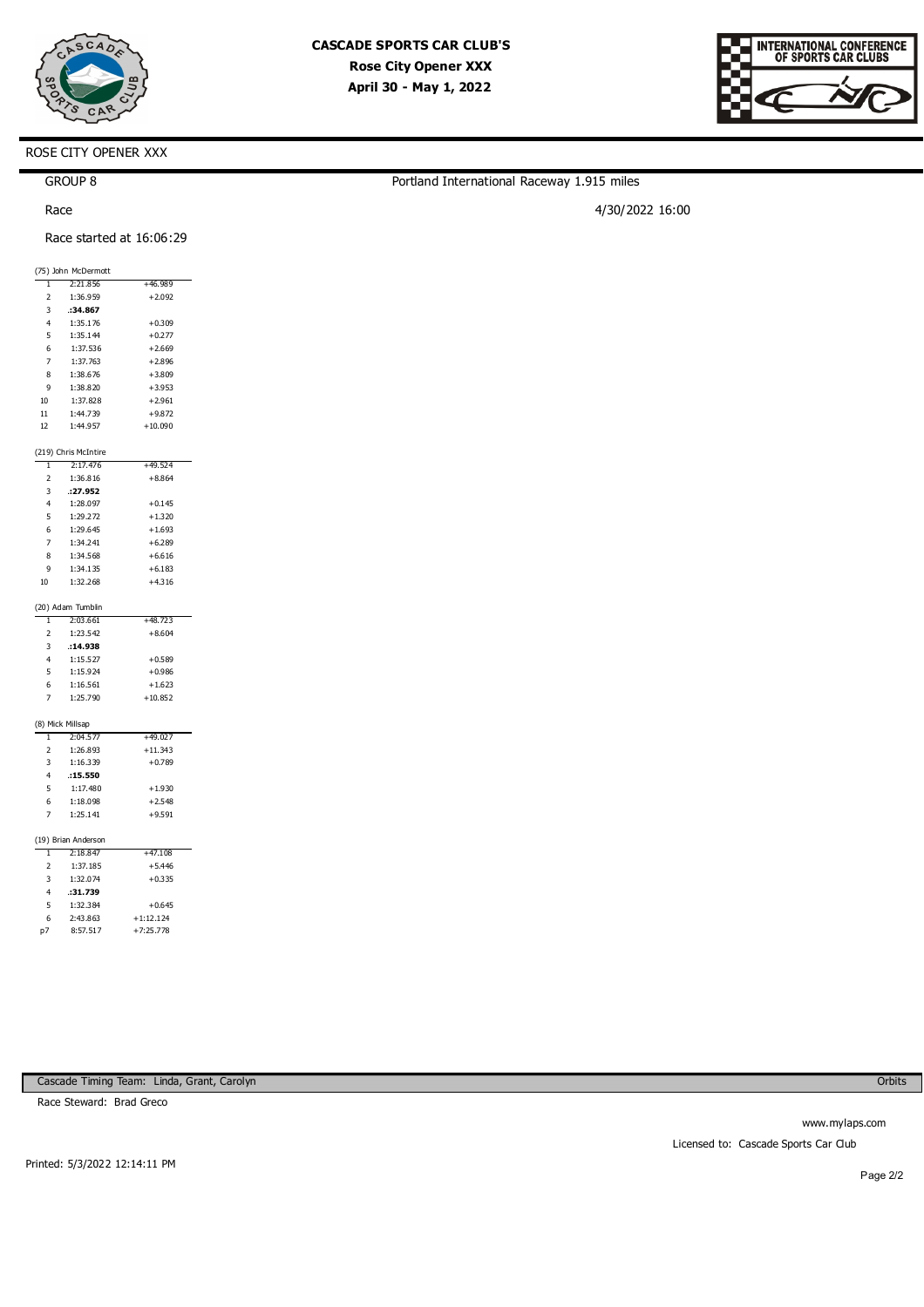

Portland International Raceway 1.915 miles

4/30/2022 16:00



# ROSE CITY OPENER XXX

GROUP 8

Race

Race started at 16:06:29

| (75) John McDermott |                      |           |  |  |  |
|---------------------|----------------------|-----------|--|--|--|
| 1                   | 2:21.856             | +46.989   |  |  |  |
| $\overline{2}$      | 1:36.959             | $+2.092$  |  |  |  |
| 3                   | :34.867              |           |  |  |  |
| $\overline{4}$      | 1:35.176             | $+0.309$  |  |  |  |
| 5                   | 1:35.144             | $+0.277$  |  |  |  |
| 6                   | 1:37.536             | $+2.669$  |  |  |  |
| $\overline{7}$      | 1:37.763             | $+2.896$  |  |  |  |
| 8                   | 1:38.676             | $+3.809$  |  |  |  |
| 9                   | 1:38.820             | $+3.953$  |  |  |  |
| 10 <sup>10</sup>    | 1:37.828             | $+2.961$  |  |  |  |
| 11                  | 1:44.739             | $+9.872$  |  |  |  |
| 12                  | 1:44.957             | $+10.090$ |  |  |  |
|                     |                      |           |  |  |  |
|                     | (219) Chris McIntire |           |  |  |  |
| ī                   | 2:17.476             | $+49.524$ |  |  |  |
| $\overline{2}$      | 1:36.816             | $+8.864$  |  |  |  |
| 3                   | : 27.952             |           |  |  |  |
| $\overline{4}$      | 1:28.097             | $+0.145$  |  |  |  |
| 5                   | 1:29.272             | $+1.320$  |  |  |  |
| 6                   | 1:29.645             | $+1.693$  |  |  |  |
| 7                   | 1:34.241             | $+6.289$  |  |  |  |
| 8                   | 1:34.568             | $+6.616$  |  |  |  |
| 9                   | 1:34.135             | $+6.183$  |  |  |  |
| 10                  | 1:32.268             | $+4.316$  |  |  |  |
|                     | (20) Adam Tumblin    |           |  |  |  |
| T                   | 2:03.661             | $+48.723$ |  |  |  |
| $\overline{2}$      | 1:23.542             | $+8.604$  |  |  |  |
| 3                   | :14.938              |           |  |  |  |
| $\overline{4}$      | 1:15.527             | $+0.589$  |  |  |  |
| 5                   | 1:15.924             | $+0.986$  |  |  |  |
| 6                   | 1:16.561             | $+1.623$  |  |  |  |
| 7                   | 1:25.790             | $+10.852$ |  |  |  |
|                     |                      |           |  |  |  |
|                     | (8) Mick Millsap     |           |  |  |  |
| 1                   | 2:04.577             | +49.027   |  |  |  |
| 2                   | 1:26.893             | $+11.343$ |  |  |  |
| 3                   | 1:16.339             | $+0.789$  |  |  |  |
| 4                   | :15.550              |           |  |  |  |
| 5                   | 1:17.480             | $+1.930$  |  |  |  |
| 6                   | 1:18.098             | $+2.548$  |  |  |  |
| 7                   | 1:25.141             | $+9.591$  |  |  |  |
|                     |                      |           |  |  |  |
|                     | (19) Brian Anderson  |           |  |  |  |
|                     | 10.017               |           |  |  |  |

| 1              | 2:18.847 | $+47.108$   |
|----------------|----------|-------------|
| $\overline{2}$ | 1:37.185 | $+5.446$    |
| 3              | 1:32.074 | $+0.335$    |
| 4              | :31.739  |             |
| 5              | 1:32.384 | $+0.645$    |
| 6              | 2:43.863 | $+1:12.124$ |
| n7             | 8:57.517 | $+7:25.778$ |
|                |          |             |

www.mylaps.com Licensed to: Cascade Sports Car Club

Race Steward: Brad Greco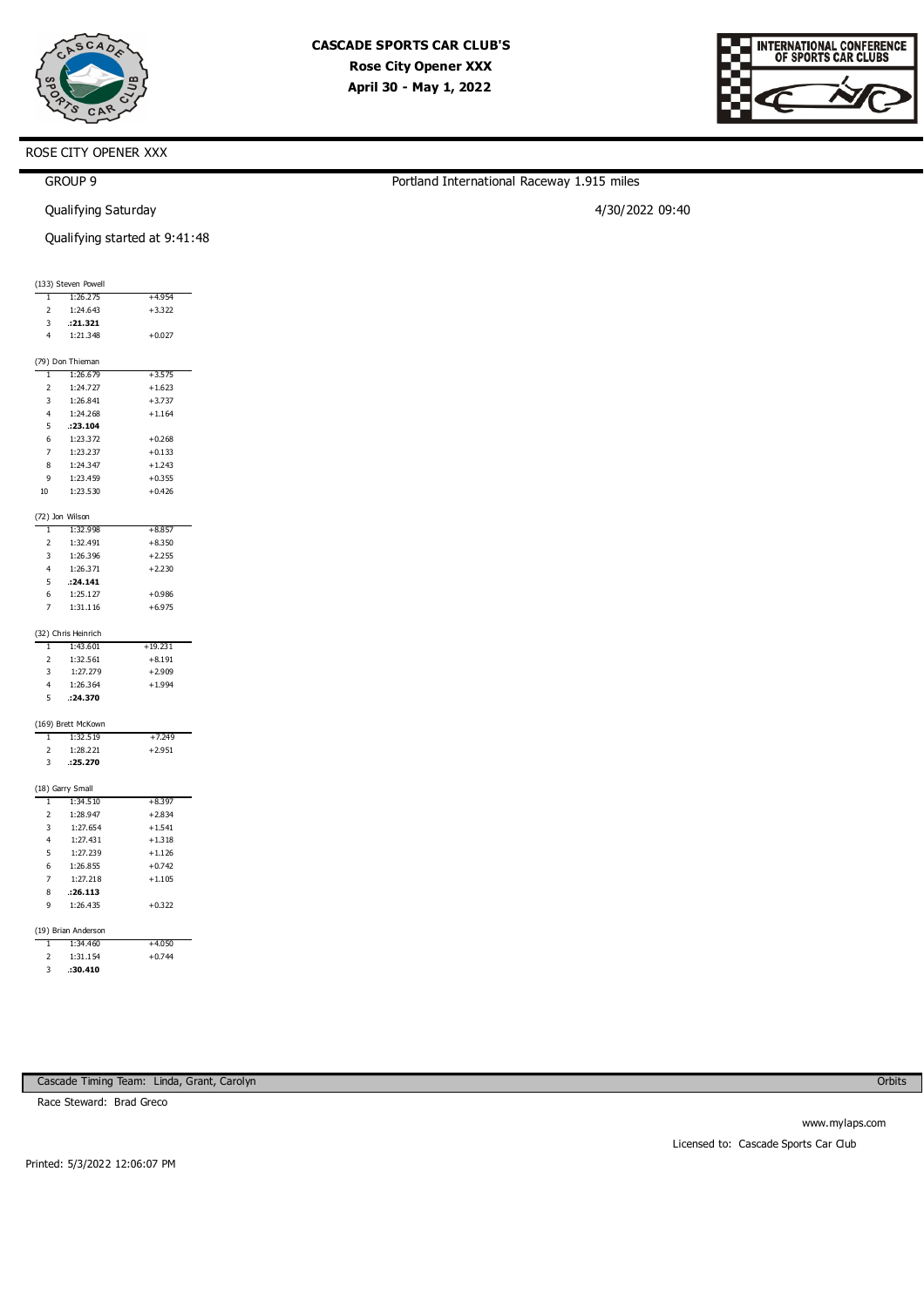

Portland International Raceway 1.915 miles

4/30/2022 09:40

| RNATIONAL CONFERENCE<br>OF SPORTS CAR CLUBS |
|---------------------------------------------|
|                                             |

### ROSE CITY OPENER XXX

| <b>GROUP</b> |
|--------------|
|--------------|

Qualifying Saturday

Qualifying started at 9:41:48

|                                |                                 | Qualifying started at 9:41:48 |
|--------------------------------|---------------------------------|-------------------------------|
|                                |                                 |                               |
|                                | (133) Steven Powell             |                               |
| $\mathbf{1}$                   | 1:26.275                        | $+4.954$                      |
| $\overline{2}$                 | 1:24.643                        | $+3.322$                      |
| $\overline{\mathbf{3}}$        | .21.321                         |                               |
| $\overline{4}$                 | 1:21.348                        | $+0.027$                      |
|                                | (79) Don Thieman                |                               |
| $\mathbf{1}$                   | 1:26.679                        | $+3.575$                      |
| $\overline{2}$                 | 1:24.727                        | $+1.623$                      |
| $\overline{\mathbf{3}}$        | 1:26.841                        | $+3.737$                      |
| $\overline{4}$                 | 1:24.268                        | $+1.164$                      |
| $\sqrt{5}$                     | .23.104                         |                               |
| $\,6\,$                        | 1:23.372                        | $+0.268$                      |
| $\overline{7}$                 | 1:23.237                        | $+0.133$                      |
| $\bf8$                         | 1:24.347                        | $+1.243$                      |
| 9                              | 1:23.459                        | $+0.355$                      |
| $10\,$                         | 1:23.530                        | $+0.426$                      |
|                                | (72) Jon Wilson                 |                               |
| $\mathbf{I}$                   | 1:32.998                        | $+8.857$                      |
| $\overline{2}$                 | 1:32.491                        | $+8.350$                      |
| $\overline{\mathbf{3}}$        | 1:26.396                        | $+2.255$                      |
| $\overline{\mathbf{4}}$        | 1:26.371                        | $+2.230$                      |
| $\sqrt{5}$                     | .24.141                         |                               |
| 6                              | 1:25.127                        | $+0.986$                      |
| $\overline{7}$                 | 1:31.116                        | $+6.975$                      |
|                                |                                 |                               |
|                                | (32) Chris Heinrich             |                               |
| $\mathbf{I}$<br>$\overline{2}$ | 1:43.601<br>1:32.561            | $+19.231$<br>$+8.191$         |
| $\overline{\mathbf{3}}$        | 1:27.279                        | $+2.909$                      |
| $\overline{4}$                 | 1:26.364                        | $+1.994$                      |
| 5                              | .24.370                         |                               |
|                                |                                 |                               |
|                                | (169) Brett McKown              |                               |
| T                              | 1:32.519                        | +7.249                        |
| $\overline{2}$                 | 1:28.221                        | $+2.951$                      |
| $\overline{3}$                 | .25.270                         |                               |
|                                | (18) Garry Small                |                               |
| $\overline{1}$                 | 1:34.510                        | $+8.397$                      |
| $\overline{2}$                 | 1:28.947                        | $+2.834$                      |
| $\overline{\mathbf{3}}$        | 1:27.654                        | $+1.541$                      |
| $\overline{4}$                 | 1:27.431                        | $+1.318$                      |
| $\sqrt{5}$                     | 1:27.239                        | $+1.126$                      |
| $\,6\,$                        | 1:26.855                        | $+0.742$                      |
| $\overline{7}$                 | 1:27.218                        | $+1.105$                      |
| 8                              | .26.113                         |                               |
| 9                              | 1:26.435                        | $+0.322$                      |
|                                |                                 |                               |
| $\overline{1}$                 | (19) Brian Anderson<br>1:34.460 | $+4.050$                      |
| $\overline{2}$                 | 1:31.154                        | $+0.744$                      |
|                                |                                 |                               |

**Orbits** 

Race Steward: Brad Greco

3 **1:30.410** 

www.mylaps.com Licensed to: Cascade Sports Car Club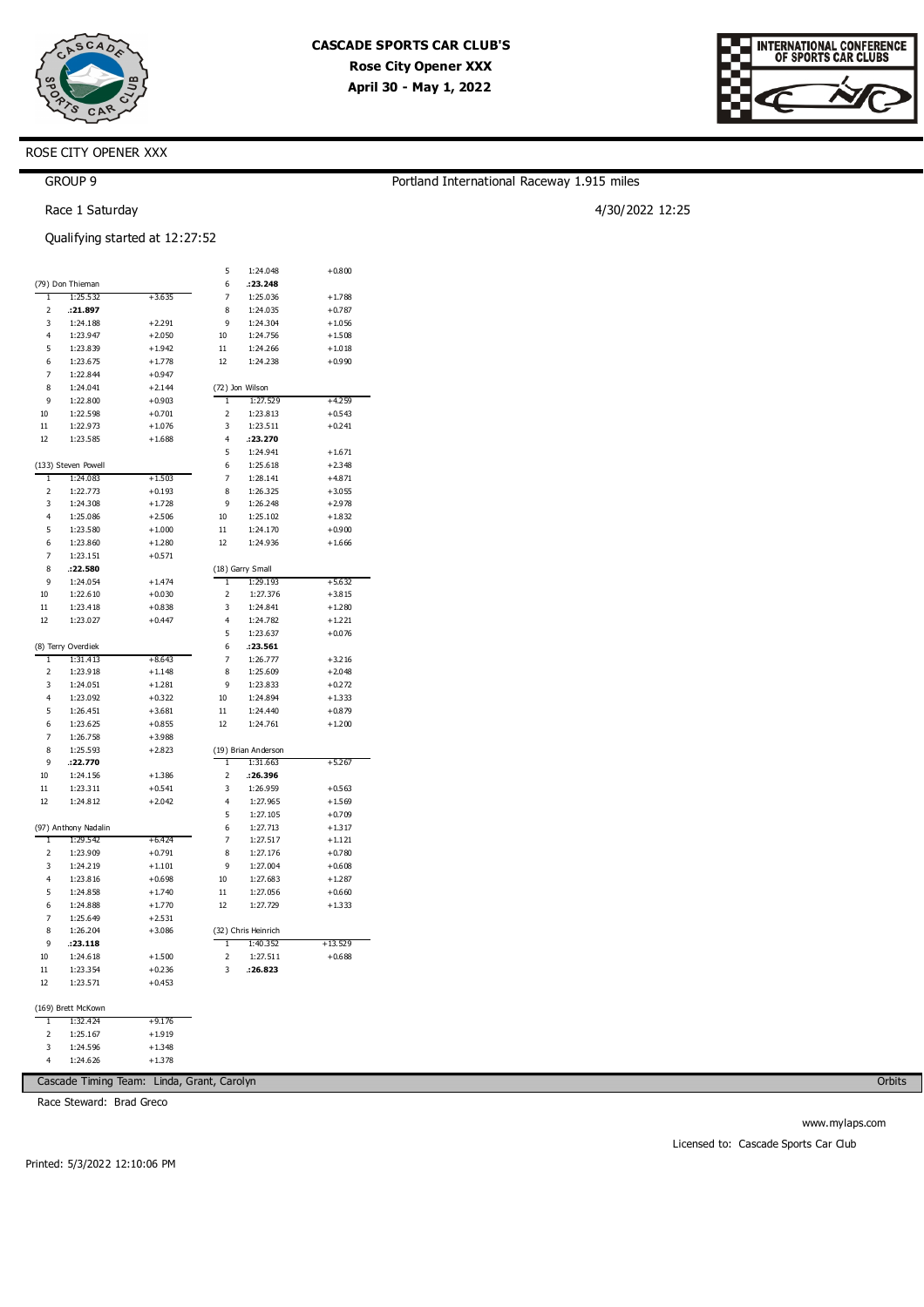

Portland International Raceway 1.915 miles

4/30/2022 12:25



# ROSE CITY OPENER XXX

## GROUP 9

Race 1 Saturday

|                |                      | Qualifying started at 12:27:52 |                         |                                 |           |
|----------------|----------------------|--------------------------------|-------------------------|---------------------------------|-----------|
|                |                      |                                | 5                       | 1:24.048                        | $+0.800$  |
|                | (79) Don Thieman     |                                | 6                       | :23.248                         |           |
| ī              | 1:25.532             | $+3.635$                       | 7                       | 1:25.036                        | $+1.788$  |
| 2              | :21.897              |                                | 8                       | 1:24.035                        | $+0.787$  |
| 3              | 1:24.188             | $+2.291$                       | 9                       | 1:24.304                        | $+1.056$  |
| 4              | 1:23.947             | $+2.050$                       | 10                      | 1:24.756                        | $+1.508$  |
| 5              | 1:23.839             | $+1.942$                       | 11                      | 1:24.266                        | $+1.018$  |
| 6              | 1:23.675             | $+1.778$                       | 12                      | 1:24.238                        | $+0.990$  |
| 7              | 1:22.844             | $+0.947$                       |                         |                                 |           |
| 8              | 1:24.041             | $+2.144$                       |                         | (72) Jon Wilson                 |           |
| 9              | 1:22.800             | $+0.903$                       | 1                       | 1:27.529                        | $+4.259$  |
| 10             | 1:22.598             | $+0.701$                       | $\overline{\mathbf{c}}$ | 1:23.813                        | $+0.543$  |
| 11             | 1:22.973             | $+1.076$                       | 3                       | 1:23.511                        | $+0.241$  |
| 12             | 1:23.585             | $+1.688$                       | 4                       | :23.270                         |           |
|                |                      |                                | 5                       | 1:24.941                        | $+1.671$  |
|                | (133) Steven Powell  |                                | 6                       | 1:25.618                        | $+2.348$  |
| ī              | 1:24.083             | $+1.503$                       | 7                       | 1:28.141                        | $+4.871$  |
| 2              | 1:22.773             | $+0.193$                       | 8                       | 1:26.325                        | $+3.055$  |
| 3              | 1:24.308             | $+1.728$                       | 9                       | 1:26.248                        | $+2.978$  |
| 4              | 1:25.086             | $+2.506$                       | 10                      | 1:25.102                        | $+1.832$  |
| 5              | 1:23.580             | $+1.000$                       | 11                      | 1:24.170                        | $+0.900$  |
| 6              | 1:23.860             | $+1.280$                       | 12                      | 1:24.936                        | $+1.666$  |
| 7              | 1:23.151             | $+0.571$                       |                         |                                 |           |
| 8              | :22.580              |                                |                         | (18) Garry Small                |           |
| 9              | 1:24.054             | $+1.474$                       | 1                       | 1:29.193                        | $+5.632$  |
| 10             | 1:22.610             | $+0.030$                       | $\overline{c}$          | 1:27.376                        | $+3.815$  |
| 11             | 1:23.418             | $+0.838$                       | 3                       | 1:24.841                        | $+1.280$  |
| 12             | 1:23.027             | $+0.447$                       | 4                       | 1:24.782                        | $+1.221$  |
|                |                      |                                | 5                       | 1:23.637                        | $+0.076$  |
|                | (8) Terry Overdiek   |                                | 6                       | .23.561                         |           |
| 1              | 1:31.413             | $+8.643$                       | 7                       | 1:26.777                        | $+3.216$  |
| $\overline{2}$ | 1:23.918             | $+1.148$                       | 8                       | 1:25.609                        | $+2.048$  |
| 3              | 1:24.051             | $+1.281$                       | 9                       | 1:23.833                        | $+0.272$  |
| $\overline{4}$ | 1:23.092             | $+0.322$                       | 10                      | 1:24.894                        | $+1.333$  |
| 5              | 1:26.451             | $+3.681$                       | 11                      | 1:24.440                        | $+0.879$  |
| 6              | 1:23.625             | $+0.855$                       | 12                      | 1:24.761                        | $+1.200$  |
| 7              | 1:26.758             | $+3.988$                       |                         |                                 |           |
| 8              | 1:25.593             | $+2.823$                       |                         | (19) Brian Anderson             |           |
| 9              | :22.770              |                                | 1                       | 1:31.663                        | $+5.267$  |
| 10             | 1:24.156             | $+1.386$                       | 2                       | :26.396                         |           |
| 11             | 1:23.311             | $+0.541$                       | 3                       | 1:26.959                        | $+0.563$  |
| 12             | 1:24.812             | $+2.042$                       | 4                       | 1:27.965                        | $+1.569$  |
|                |                      |                                | 5                       | 1:27.105                        | $+0.709$  |
|                | (97) Anthony Nadalin |                                | 6                       | 1:27.713                        | $+1.317$  |
| 1              | 1:29.542             | $+6.424$                       | 7                       | 1:27.517                        | $+1.121$  |
| $\overline{2}$ | 1:23.909             | $+0.791$                       | 8                       | 1:27.176                        | $+0.780$  |
| 3              | 1:24.219             | $+1.101$                       | 9                       | 1:27.004                        | $+0.608$  |
| 4              | 1:23.816             | $+0.698$                       | 10                      | 1:27.683                        | $+1.287$  |
| 5              | 1:24.858             | $+1.740$<br>$+1.770$           | 11                      | 1:27.056                        | $+0.660$  |
| 6              | 1:24.888             |                                | 12                      | 1:27.729                        | $+1.333$  |
| 7              | 1:25.649             | $+2.531$                       |                         |                                 |           |
| 8              | 1:26.204             | $+3.086$                       |                         | (32) Chris Heinrich<br>1:40.352 |           |
| 9              | .23.118              |                                | 1                       |                                 | $+13.529$ |
| 10             | 1:24.618             | $+1.500$                       | 2                       | 1:27.511                        | $+0.688$  |
| 11             | 1:23.354             | $+0.236$                       | 3                       | .26.823                         |           |
| 12             | 1:23.571             | $+0.453$                       |                         |                                 |           |
|                | (169) Brett McKown   |                                |                         |                                 |           |
| 1              | 1:32.424             | $+9.176$                       |                         |                                 |           |
| 2              | 1:25.167             | $+1.919$                       |                         |                                 |           |

3 4 1:24.596 1:24.626 +1.348 +1.378

Cascade Timing Team: Linda, Grant, Carolyn

Race Steward: Brad Greco

**Orbits** 

www.mylaps.com Licensed to: Cascade Sports Car Club